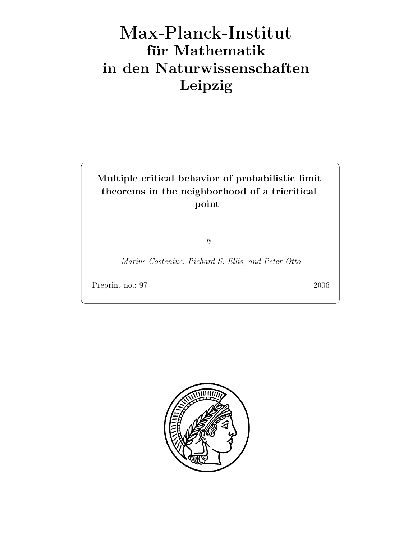# Max-Plan
k-Institut für Mathematik in den Naturwissenschaften Leipzig

### Multiple critical behavior of probabilistic limit theorems in the neighborhood of a tricritical point

by

Marius Costeniuc, Richard S. Ellis, and Peter Otto

Preprint no.: 97 2006

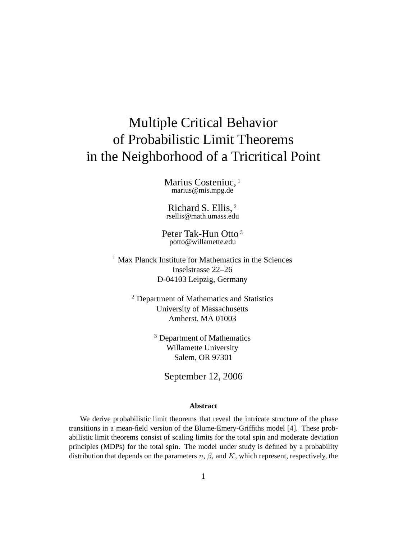## Multiple Critical Behavior of Probabilistic Limit Theorems in the Neighborhood of a Tricritical Point

Marius Costeniuc, <sup>1</sup> marius@mis.mpg.de

Richard S. Ellis, <sup>2</sup> rsellis@math.umass.edu

Peter Tak-Hun Otto <sup>3</sup> potto@willamette.edu

<sup>1</sup> Max Planck Institute for Mathematics in the Sciences Inselstrasse 22–26 D-04103 Leipzig, Germany

> <sup>2</sup> Department of Mathematics and Statistics University of Massachusetts Amherst, MA 01003

> > <sup>3</sup> Department of Mathematics Willamette University Salem, OR 97301

> > > September 12, 2006

#### **Abstract**

We derive probabilistic limit theorems that reveal the intricate structure of the phase transitions in a mean-field version of the Blume-Emery-Griffiths model [4]. These probabilistic limit theorems consist of scaling limits for the total spin and moderate deviation principles (MDPs) for the total spin. The model under study is defined by a probability distribution that depends on the parameters  $n, \beta$ , and K, which represent, respectively, the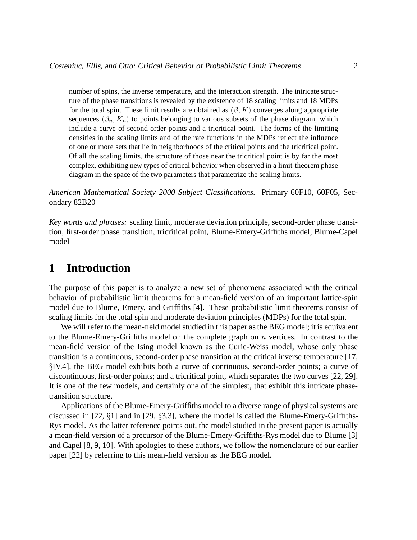number of spins, the inverse temperature, and the interaction strength. The intricate structure of the phase transitions is revealed by the existence of 18 scaling limits and 18 MDPs for the total spin. These limit results are obtained as  $(\beta, K)$  converges along appropriate sequences  $(\beta_n, K_n)$  to points belonging to various subsets of the phase diagram, which include a curve of second-order points and a tricritical point. The forms of the limiting densities in the scaling limits and of the rate functions in the MDPs reflect the influence of one or more sets that lie in neighborhoods of the critical points and the tricritical point. Of all the scaling limits, the structure of those near the tricritical point is by far the most complex, exhibiting new types of critical behavior when observed in a limit-theorem phase diagram in the space of the two parameters that parametrize the scaling limits.

*American Mathematical Society 2000 Subject Classifications.* Primary 60F10, 60F05, Secondary 82B20

*Key words and phrases:* scaling limit, moderate deviation principle, second-order phase transition, first-order phase transition, tricritical point, Blume-Emery-Griffiths model, Blume-Capel model

#### **1 Introduction**

The purpose of this paper is to analyze a new set of phenomena associated with the critical behavior of probabilistic limit theorems for a mean-field version of an important lattice-spin model due to Blume, Emery, and Griffiths [4]. These probabilistic limit theorems consist of scaling limits for the total spin and moderate deviation principles (MDPs) for the total spin.

We will refer to the mean-field model studied in this paper as the BEG model; it is equivalent to the Blume-Emery-Griffiths model on the complete graph on  $n$  vertices. In contrast to the mean-field version of the Ising model known as the Curie-Weiss model, whose only phase transition is a continuous, second-order phase transition at the critical inverse temperature [17, §IV.4], the BEG model exhibits both a curve of continuous, second-order points; a curve of discontinuous, first-order points; and a tricritical point, which separates the two curves [22, 29]. It is one of the few models, and certainly one of the simplest, that exhibit this intricate phasetransition structure.

Applications of the Blume-Emery-Griffiths model to a diverse range of physical systems are discussed in [22, §1] and in [29, §3.3], where the model is called the Blume-Emery-Griffiths-Rys model. As the latter reference points out, the model studied in the present paper is actually a mean-field version of a precursor of the Blume-Emery-Griffiths-Rys model due to Blume [3] and Capel [8, 9, 10]. With apologies to these authors, we follow the nomenclature of our earlier paper [22] by referring to this mean-field version as the BEG model.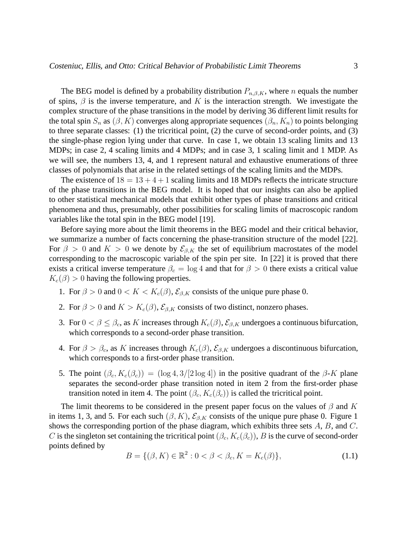The BEG model is defined by a probability distribution  $P_{n,\beta,K}$ , where n equals the number of spins,  $\beta$  is the inverse temperature, and K is the interaction strength. We investigate the complex structure of the phase transitions in the model by deriving 36 different limit results for the total spin  $S_n$  as  $(\beta, K)$  converges along appropriate sequences  $(\beta_n, K_n)$  to points belonging to three separate classes: (1) the tricritical point, (2) the curve of second-order points, and (3) the single-phase region lying under that curve. In case 1, we obtain 13 scaling limits and 13 MDPs; in case 2, 4 scaling limits and 4 MDPs; and in case 3, 1 scaling limit and 1 MDP. As we will see, the numbers 13, 4, and 1 represent natural and exhaustive enumerations of three classes of polynomials that arise in the related settings of the scaling limits and the MDPs.

The existence of  $18 = 13 + 4 + 1$  scaling limits and 18 MDPs reflects the intricate structure of the phase transitions in the BEG model. It is hoped that our insights can also be applied to other statistical mechanical models that exhibit other types of phase transitions and critical phenomena and thus, presumably, other possibilities for scaling limits of macroscopic random variables like the total spin in the BEG model [19].

Before saying more about the limit theorems in the BEG model and their critical behavior, we summarize a number of facts concerning the phase-transition structure of the model [22]. For  $\beta > 0$  and  $K > 0$  we denote by  $\mathcal{E}_{\beta,K}$  the set of equilibrium macrostates of the model corresponding to the macroscopic variable of the spin per site. In [22] it is proved that there exists a critical inverse temperature  $\beta_c = \log 4$  and that for  $\beta > 0$  there exists a critical value  $K_c(\beta) > 0$  having the following properties.

- 1. For  $\beta > 0$  and  $0 < K < K_c(\beta)$ ,  $\mathcal{E}_{\beta,K}$  consists of the unique pure phase 0.
- 2. For  $\beta > 0$  and  $K > K_c(\beta)$ ,  $\mathcal{E}_{\beta,K}$  consists of two distinct, nonzero phases.
- 3. For  $0 < \beta \leq \beta_c$ , as K increases through  $K_c(\beta)$ ,  $\mathcal{E}_{\beta,K}$  undergoes a continuous bifurcation, which corresponds to a second-order phase transition.
- 4. For  $\beta > \beta_c$ , as K increases through  $K_c(\beta)$ ,  $\mathcal{E}_{\beta,K}$  undergoes a discontinuous bifurcation, which corresponds to a first-order phase transition.
- 5. The point  $(\beta_c, K_c(\beta_c)) = (\log 4, 3/2 \log 4)$  in the positive quadrant of the  $\beta$ -K plane separates the second-order phase transition noted in item 2 from the first-order phase transition noted in item 4. The point  $(\beta_c, K_c(\beta_c))$  is called the tricritical point.

The limit theorems to be considered in the present paper focus on the values of  $\beta$  and K in items 1, 3, and 5. For each such  $(\beta, K)$ ,  $\mathcal{E}_{\beta,K}$  consists of the unique pure phase 0. Figure 1 shows the corresponding portion of the phase diagram, which exhibits three sets A, B, and C. C is the singleton set containing the tricritical point  $(\beta_c, K_c(\beta_c))$ , B is the curve of second-order points defined by

$$
B = \{ (\beta, K) \in \mathbb{R}^2 : 0 < \beta < \beta_c, K = K_c(\beta) \},\tag{1.1}
$$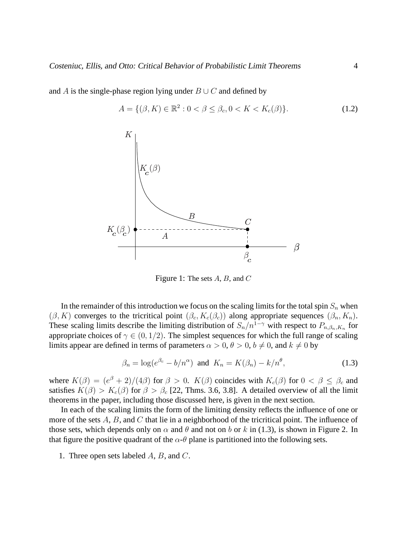$A = \{ (\beta, K) \in \mathbb{R}^2 : 0 < \beta \le \beta_c, 0 < K < K_c(\beta) \}.$  (1.2) A  $\checkmark$ K  $-c \vee c'$ K (¯)  $\tilde{\phantom{a}}$ 

and A is the single-phase region lying under  $B \cup C$  and defined by

Figure 1: The sets  $A, B$ , and  $C$ 

In the remainder of this introduction we focus on the scaling limits for the total spin  $S_n$  when  $(\beta, K)$  converges to the tricritical point  $(\beta_c, K_c(\beta_c))$  along appropriate sequences  $(\beta_n, K_n)$ . These scaling limits describe the limiting distribution of  $S_n/n^{1-\gamma}$  with respect to  $P_{n,\beta_n,K_n}$  for appropriate choices of  $\gamma \in (0, 1/2)$ . The simplest sequences for which the full range of scaling limits appear are defined in terms of parameters  $\alpha > 0$ ,  $\theta > 0$ ,  $b \neq 0$ , and  $k \neq 0$  by

$$
\beta_n = \log(e^{\beta_c} - b/n^{\alpha}) \text{ and } K_n = K(\beta_n) - k/n^{\theta}, \tag{1.3}
$$

 $\beta_{c}$  $\tilde{\phantom{a}}$ 

where  $K(\beta) = (e^{\beta} + 2)/(4\beta)$  for  $\beta > 0$ .  $K(\beta)$  coincides with  $K_c(\beta)$  for  $0 < \beta \le \beta_c$  and satisfies  $K(\beta) > K_c(\beta)$  for  $\beta > \beta_c$  [22, Thms. 3.6, 3.8]. A detailed overview of all the limit theorems in the paper, including those discussed here, is given in the next section.

In each of the scaling limits the form of the limiting density reflects the influence of one or more of the sets  $A, B$ , and  $C$  that lie in a neighborhood of the tricritical point. The influence of those sets, which depends only on  $\alpha$  and  $\theta$  and not on b or k in (1.3), is shown in Figure 2. In that figure the positive quadrant of the  $\alpha$ -θ plane is partitioned into the following sets.

1. Three open sets labeled A, B, and C.



 $\beta$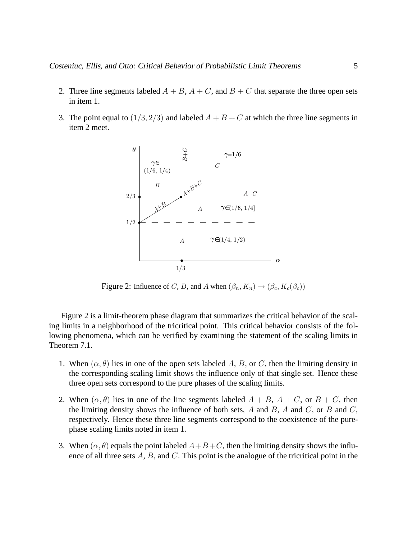- 2. Three line segments labeled  $A + B$ ,  $A + C$ , and  $B + C$  that separate the three open sets in item 1.
- 3. The point equal to  $(1/3, 2/3)$  and labeled  $A + B + C$  at which the three line segments in item 2 meet.



Figure 2: Influence of C, B, and A when  $(\beta_n, K_n) \rightarrow (\beta_c, K_c(\beta_c))$ 

Figure 2 is a limit-theorem phase diagram that summarizes the critical behavior of the scaling limits in a neighborhood of the tricritical point. This critical behavior consists of the following phenomena, which can be verified by examining the statement of the scaling limits in Theorem 7.1.

- 1. When  $(\alpha, \theta)$  lies in one of the open sets labeled A, B, or C, then the limiting density in the corresponding scaling limit shows the influence only of that single set. Hence these three open sets correspond to the pure phases of the scaling limits.
- 2. When  $(\alpha, \theta)$  lies in one of the line segments labeled  $A + B$ ,  $A + C$ , or  $B + C$ , then the limiting density shows the influence of both sets,  $A$  and  $B$ ,  $A$  and  $C$ , or  $B$  and  $C$ , respectively. Hence these three line segments correspond to the coexistence of the purephase scaling limits noted in item 1.
- 3. When  $(\alpha, \theta)$  equals the point labeled  $A+B+C$ , then the limiting density shows the influence of all three sets  $A, B$ , and  $C$ . This point is the analogue of the tricritical point in the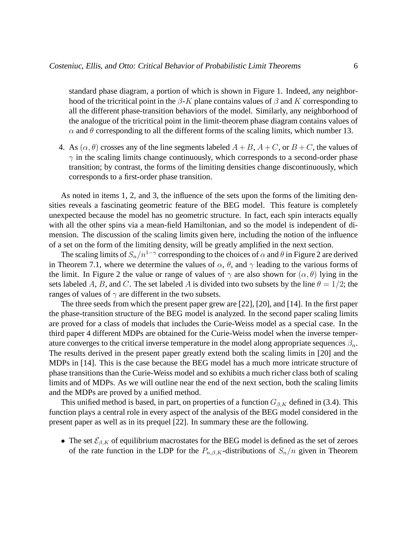standard phase diagram, a portion of which is shown in Figure 1. Indeed, any neighborhood of the tricritical point in the  $\beta$ -K plane contains values of  $\beta$  and K corresponding to all the different phase-transition behaviors of the model. Similarly, any neighborhood of the analogue of the tricritical point in the limit-theorem phase diagram contains values of  $\alpha$  and  $\theta$  corresponding to all the different forms of the scaling limits, which number 13.

4. As  $(\alpha, \theta)$  crosses any of the line segments labeled  $A + B$ ,  $A + C$ , or  $B + C$ , the values of  $\gamma$  in the scaling limits change continuously, which corresponds to a second-order phase transition; by contrast, the forms of the limiting densities change discontinuously, which corresponds to a first-order phase transition.

As noted in items 1, 2, and 3, the influence of the sets upon the forms of the limiting densities reveals a fascinating geometric feature of the BEG model. This feature is completely unexpected because the model has no geometric structure. In fact, each spin interacts equally with all the other spins via a mean-field Hamiltonian, and so the model is independent of dimension. The discussion of the scaling limits given here, including the notion of the influence of a set on the form of the limiting density, will be greatly amplified in the next section.

The scaling limits of  $S_n/n^{1-\gamma}$  corresponding to the choices of  $\alpha$  and  $\theta$  in Figure 2 are derived in Theorem 7.1, where we determine the values of  $\alpha$ ,  $\theta$ , and  $\gamma$  leading to the various forms of the limit. In Figure 2 the value or range of values of  $\gamma$  are also shown for  $(\alpha, \theta)$  lying in the sets labeled A, B, and C. The set labeled A is divided into two subsets by the line  $\theta = 1/2$ ; the ranges of values of  $\gamma$  are different in the two subsets.

The three seeds from which the present paper grew are [22], [20], and [14]. In the first paper the phase-transition structure of the BEG model is analyzed. In the second paper scaling limits are proved for a class of models that includes the Curie-Weiss model as a special case. In the third paper 4 different MDPs are obtained for the Curie-Weiss model when the inverse temperature converges to the critical inverse temperature in the model along appropriate sequences  $\beta_n$ . The results derived in the present paper greatly extend both the scaling limits in [20] and the MDPs in [14]. This is the case because the BEG model has a much more intricate structure of phase transitions than the Curie-Weiss model and so exhibits a much richer class both of scaling limits and of MDPs. As we will outline near the end of the next section, both the scaling limits and the MDPs are proved by a unified method.

This unified method is based, in part, on properties of a function  $G_{\beta,K}$  defined in (3.4). This function plays a central role in every aspect of the analysis of the BEG model considered in the present paper as well as in its prequel [22]. In summary these are the following.

• The set  $\mathcal{E}_{\beta,K}$  of equilibrium macrostates for the BEG model is defined as the set of zeroes of the rate function in the LDP for the  $P_{n,\beta,K}$ -distributions of  $S_n/n$  given in Theorem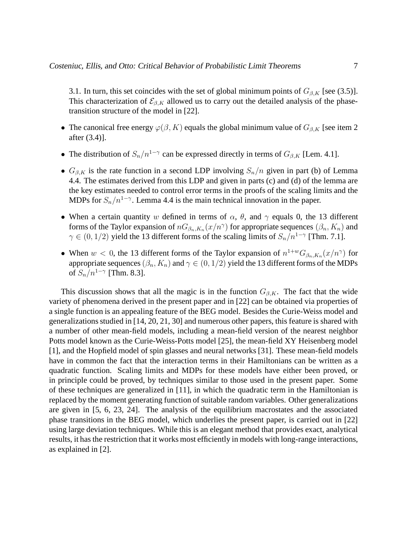3.1. In turn, this set coincides with the set of global minimum points of  $G_{\beta,K}$  [see (3.5)]. This characterization of  $\mathcal{E}_{\beta,K}$  allowed us to carry out the detailed analysis of the phasetransition structure of the model in [22].

- The canonical free energy  $\varphi(\beta, K)$  equals the global minimum value of  $G_{\beta,K}$  [see item 2 after (3.4)].
- The distribution of  $S_n/n^{1-\gamma}$  can be expressed directly in terms of  $G_{\beta,K}$  [Lem. 4.1].
- $G_{\beta,K}$  is the rate function in a second LDP involving  $S_n/n$  given in part (b) of Lemma 4.4. The estimates derived from this LDP and given in parts (c) and (d) of the lemma are the key estimates needed to control error terms in the proofs of the scaling limits and the MDPs for  $S_n/n^{1-\gamma}$ . Lemma 4.4 is the main technical innovation in the paper.
- When a certain quantity w defined in terms of  $\alpha$ ,  $\theta$ , and  $\gamma$  equals 0, the 13 different forms of the Taylor expansion of  $nG_{\beta_n,K_n}(x/n^{\gamma})$  for appropriate sequences  $(\beta_n, K_n)$  and  $\gamma \in (0, 1/2)$  yield the 13 different forms of the scaling limits of  $S_n/n^{1-\gamma}$  [Thm. 7.1].
- When  $w < 0$ , the 13 different forms of the Taylor expansion of  $n^{1+w}G_{\beta_n,K_n}(x/n^{\gamma})$  for appropriate sequences  $(\beta_n, K_n)$  and  $\gamma \in (0, 1/2)$  yield the 13 different forms of the MDPs of  $S_n/n^{1-\gamma}$  [Thm. 8.3].

This discussion shows that all the magic is in the function  $G_{\beta,K}$ . The fact that the wide variety of phenomena derived in the present paper and in [22] can be obtained via properties of a single function is an appealing feature of the BEG model. Besides the Curie-Weiss model and generalizations studied in [14, 20, 21, 30] and numerous other papers, this feature is shared with a number of other mean-field models, including a mean-field version of the nearest neighbor Potts model known as the Curie-Weiss-Potts model [25], the mean-field XY Heisenberg model [1], and the Hopfield model of spin glasses and neural networks [31]. These mean-field models have in common the fact that the interaction terms in their Hamiltonians can be written as a quadratic function. Scaling limits and MDPs for these models have either been proved, or in principle could be proved, by techniques similar to those used in the present paper. Some of these techniques are generalized in [11], in which the quadratic term in the Hamiltonian is replaced by the moment generating function of suitable random variables. Other generalizations are given in [5, 6, 23, 24]. The analysis of the equilibrium macrostates and the associated phase transitions in the BEG model, which underlies the present paper, is carried out in [22] using large deviation techniques. While this is an elegant method that provides exact, analytical results, it has the restriction that it works most efficiently in models with long-range interactions, as explained in [2].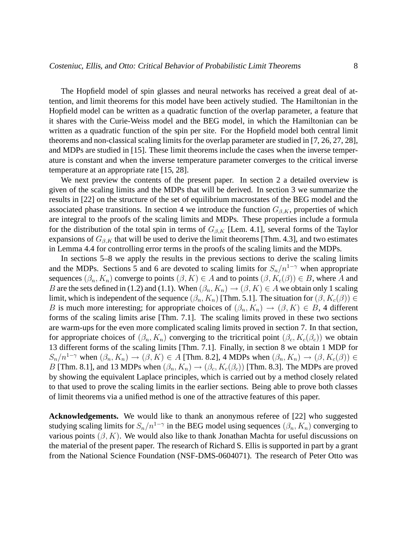The Hopfield model of spin glasses and neural networks has received a great deal of attention, and limit theorems for this model have been actively studied. The Hamiltonian in the Hopfield model can be written as a quadratic function of the overlap parameter, a feature that it shares with the Curie-Weiss model and the BEG model, in which the Hamiltonian can be written as a quadratic function of the spin per site. For the Hopfield model both central limit theorems and non-classical scaling limits for the overlap parameter are studied in [7, 26, 27, 28], and MDPs are studied in [15]. These limit theorems include the cases when the inverse temperature is constant and when the inverse temperature parameter converges to the critical inverse temperature at an appropriate rate [15, 28].

We next preview the contents of the present paper. In section 2 a detailed overview is given of the scaling limits and the MDPs that will be derived. In section 3 we summarize the results in [22] on the structure of the set of equilibrium macrostates of the BEG model and the associated phase transitions. In section 4 we introduce the function  $G_{\beta,K}$ , properties of which are integral to the proofs of the scaling limits and MDPs. These properties include a formula for the distribution of the total spin in terms of  $G_{\beta,K}$  [Lem. 4.1], several forms of the Taylor expansions of  $G_{\beta,K}$  that will be used to derive the limit theorems [Thm. 4.3], and two estimates in Lemma 4.4 for controlling error terms in the proofs of the scaling limits and the MDPs.

In sections 5–8 we apply the results in the previous sections to derive the scaling limits and the MDPs. Sections 5 and 6 are devoted to scaling limits for  $S_n/n^{1-\gamma}$  when appropriate sequences  $(\beta_n, K_n)$  converge to points  $(\beta, K) \in A$  and to points  $(\beta, K_c(\beta)) \in B$ , where A and B are the sets defined in (1.2) and (1.1). When  $(\beta_n, K_n) \to (\beta, K) \in A$  we obtain only 1 scaling limit, which is independent of the sequence  $(\beta_n, K_n)$  [Thm. 5.1]. The situation for  $(\beta, K_c(\beta)) \in$ B is much more interesting; for appropriate choices of  $(\beta_n, K_n) \to (\beta, K) \in B$ , 4 different forms of the scaling limits arise [Thm. 7.1]. The scaling limits proved in these two sections are warm-ups for the even more complicated scaling limits proved in section 7. In that section, for appropriate choices of  $(\beta_n, K_n)$  converging to the tricritical point  $(\beta_c, K_c(\beta_c))$  we obtain 13 different forms of the scaling limits [Thm. 7.1]. Finally, in section 8 we obtain 1 MDP for  $S_n/n^{1-\gamma}$  when  $(\beta_n, K_n) \to (\beta, K) \in A$  [Thm. 8.2], 4 MDPs when  $(\beta_n, K_n) \to (\beta, K_c(\beta)) \in A$ B [Thm. 8.1], and 13 MDPs when  $(\beta_n, K_n) \to (\beta_c, K_c(\beta_c))$  [Thm. 8.3]. The MDPs are proved by showing the equivalent Laplace principles, which is carried out by a method closely related to that used to prove the scaling limits in the earlier sections. Being able to prove both classes of limit theorems via a unified method is one of the attractive features of this paper.

**Acknowledgements.** We would like to thank an anonymous referee of [22] who suggested studying scaling limits for  $S_n/n^{1-\gamma}$  in the BEG model using sequences  $(\beta_n, K_n)$  converging to various points  $(\beta, K)$ . We would also like to thank Jonathan Machta for useful discussions on the material of the present paper. The research of Richard S. Ellis is supported in part by a grant from the National Science Foundation (NSF-DMS-0604071). The research of Peter Otto was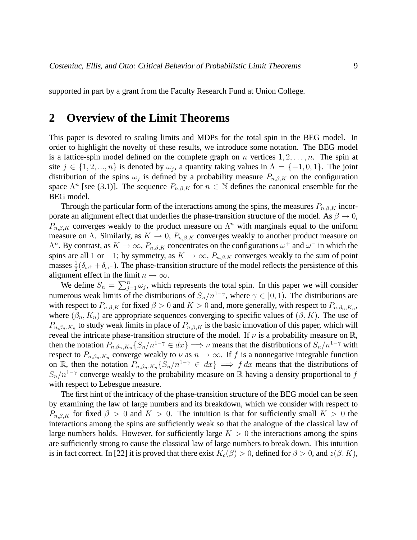supported in part by a grant from the Faculty Research Fund at Union College.

#### **2 Overview of the Limit Theorems**

This paper is devoted to scaling limits and MDPs for the total spin in the BEG model. In order to highlight the novelty of these results, we introduce some notation. The BEG model is a lattice-spin model defined on the complete graph on n vertices  $1, 2, \ldots, n$ . The spin at site  $j \in \{1, 2, ..., n\}$  is denoted by  $\omega_j$ , a quantity taking values in  $\Lambda = \{-1, 0, 1\}$ . The joint distribution of the spins  $\omega_i$  is defined by a probability measure  $P_{n,\beta,K}$  on the configuration space  $\Lambda^n$  [see (3.1)]. The sequence  $P_{n,\beta,K}$  for  $n \in \mathbb{N}$  defines the canonical ensemble for the BEG model.

Through the particular form of the interactions among the spins, the measures  $P_{n,\beta,K}$  incorporate an alignment effect that underlies the phase-transition structure of the model. As  $\beta \to 0$ ,  $P_{n,\beta,K}$  converges weakly to the product measure on  $\Lambda^n$  with marginals equal to the uniform measure on Λ. Similarly, as  $K \to 0$ ,  $P_{n,\beta,K}$  converges weakly to another product measure on  $\Lambda^n$ . By contrast, as  $K \to \infty$ ,  $P_{n,\beta,K}$  concentrates on the configurations  $\omega^+$  and  $\omega^-$  in which the spins are all 1 or −1; by symmetry, as  $K \to \infty$ ,  $P_{n,\beta,K}$  converges weakly to the sum of point masses  $\frac{1}{2}(\delta_{\omega^+} + \delta_{\omega^-})$ . The phase-transition structure of the model reflects the persistence of this alignment effect in the limit  $n \to \infty$ .

We define  $S_n = \sum_{j=1}^n \omega_j$ , which represents the total spin. In this paper we will consider numerous weak limits of the distributions of  $S_n/n^{1-\gamma}$ , where  $\gamma \in [0, 1)$ . The distributions are with respect to  $P_{n,\beta,K}$  for fixed  $\beta > 0$  and  $K > 0$  and, more generally, with respect to  $P_{n,\beta,n,K_n}$ , where  $(\beta_n, K_n)$  are appropriate sequences converging to specific values of  $(\beta, K)$ . The use of  $P_{n,\beta_n,K_n}$  to study weak limits in place of  $P_{n,\beta,K}$  is the basic innovation of this paper, which will reveal the intricate phase-transition structure of the model. If  $\nu$  is a probability measure on  $\mathbb{R}$ , then the notation  $P_{n,\beta_n,K_n}\{S_n/n^{1-\gamma} \in dx\} \Longrightarrow \nu$  means that the distributions of  $S_n/n^{1-\gamma}$  with respect to  $P_{n,\beta_n,K_n}$  converge weakly to  $\nu$  as  $n \to \infty$ . If f is a nonnegative integrable function on R, then the notation  $P_{n,\beta_n,K_n}\{S_n/n^{1-\gamma} \in dx\} \implies f dx$  means that the distributions of  $S_n/n^{1-\gamma}$  converge weakly to the probability measure on R having a density proportional to f with respect to Lebesgue measure.

The first hint of the intricacy of the phase-transition structure of the BEG model can be seen by examining the law of large numbers and its breakdown, which we consider with respect to  $P_{n,\beta,K}$  for fixed  $\beta > 0$  and  $K > 0$ . The intuition is that for sufficiently small  $K > 0$  the interactions among the spins are sufficiently weak so that the analogue of the classical law of large numbers holds. However, for sufficiently large  $K > 0$  the interactions among the spins are sufficiently strong to cause the classical law of large numbers to break down. This intuition is in fact correct. In [22] it is proved that there exist  $K_c(\beta) > 0$ , defined for  $\beta > 0$ , and  $z(\beta, K)$ ,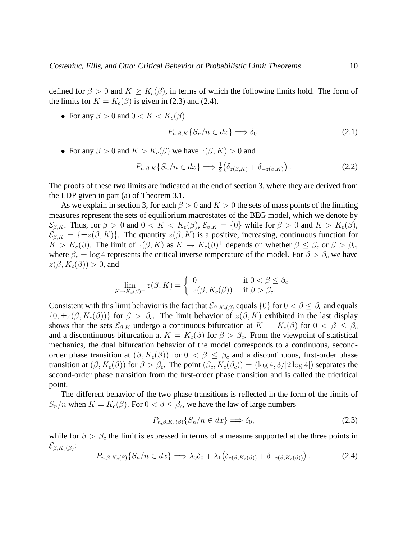defined for  $\beta > 0$  and  $K \geq K_c(\beta)$ , in terms of which the following limits hold. The form of the limits for  $K = K_c(\beta)$  is given in (2.3) and (2.4).

• For any  $\beta > 0$  and  $0 < K < K_c(\beta)$ 

$$
P_{n,\beta,K}\{S_n/n \in dx\} \Longrightarrow \delta_0. \tag{2.1}
$$

• For any  $\beta > 0$  and  $K > K_c(\beta)$  we have  $z(\beta, K) > 0$  and

$$
P_{n,\beta,K}\{S_n/n \in dx\} \Longrightarrow \frac{1}{2} \big(\delta_{z(\beta,K)} + \delta_{-z(\beta,K)}\big) \,. \tag{2.2}
$$

The proofs of these two limits are indicated at the end of section 3, where they are derived from the LDP given in part (a) of Theorem 3.1.

As we explain in section 3, for each  $\beta > 0$  and  $K > 0$  the sets of mass points of the limiting measures represent the sets of equilibrium macrostates of the BEG model, which we denote by  $\mathcal{E}_{\beta,K}$ . Thus, for  $\beta > 0$  and  $0 < K < K_c(\beta), \mathcal{E}_{\beta,K} = \{0\}$  while for  $\beta > 0$  and  $K > K_c(\beta),$  $\mathcal{E}_{\beta,K} = {\pm z(\beta,K)}$ . The quantity  $z(\beta,K)$  is a positive, increasing, continuous function for  $K > K_c(\beta)$ . The limit of  $z(\beta, K)$  as  $K \to K_c(\beta)^+$  depends on whether  $\beta \leq \beta_c$  or  $\beta > \beta_c$ , where  $\beta_c = \log 4$  represents the critical inverse temperature of the model. For  $\beta > \beta_c$  we have  $z(\beta, K_c(\beta)) > 0$ , and

$$
\lim_{K \to K_c(\beta)^+} z(\beta, K) = \begin{cases} 0 & \text{if } 0 < \beta \le \beta_c \\ z(\beta, K_c(\beta)) & \text{if } \beta > \beta_c. \end{cases}
$$

Consistent with this limit behavior is the fact that  $\mathcal{E}_{\beta,K_c(\beta)}$  equals  $\{0\}$  for  $0 < \beta \leq \beta_c$  and equals  ${0, \pm z(\beta, K_c(\beta))\}$  for  $\beta > \beta_c$ . The limit behavior of  $z(\beta, K)$  exhibited in the last display shows that the sets  $\mathcal{E}_{\beta,K}$  undergo a continuous bifurcation at  $K = K_c(\beta)$  for  $0 < \beta \leq \beta_c$ and a discontinuous bifurcation at  $K = K_c(\beta)$  for  $\beta > \beta_c$ . From the viewpoint of statistical mechanics, the dual bifurcation behavior of the model corresponds to a continuous, secondorder phase transition at  $(\beta, K_c(\beta))$  for  $0 < \beta \leq \beta_c$  and a discontinuous, first-order phase transition at  $(\beta, K_c(\beta))$  for  $\beta > \beta_c$ . The point  $(\beta_c, K_c(\beta_c)) = (\log 4, 3/2 \log 4)$  separates the second-order phase transition from the first-order phase transition and is called the tricritical point.

The different behavior of the two phase transitions is reflected in the form of the limits of  $S_n/n$  when  $K = K_c(\beta)$ . For  $0 < \beta \leq \beta_c$ , we have the law of large numbers

$$
P_{n,\beta,K_c(\beta)}\{S_n/n \in dx\} \Longrightarrow \delta_0,\tag{2.3}
$$

while for  $\beta > \beta_c$  the limit is expressed in terms of a measure supported at the three points in  $\mathcal{E}_{\beta,K_c(\beta)}$ :

$$
P_{n,\beta,K_c(\beta)}\{S_n/n \in dx\} \Longrightarrow \lambda_0 \delta_0 + \lambda_1 \left(\delta_{z(\beta,K_c(\beta))} + \delta_{-z(\beta,K_c(\beta))}\right). \tag{2.4}
$$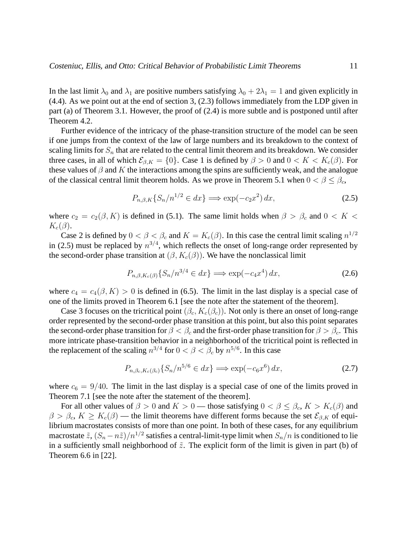In the last limit  $\lambda_0$  and  $\lambda_1$  are positive numbers satisfying  $\lambda_0 + 2\lambda_1 = 1$  and given explicitly in (4.4). As we point out at the end of section 3, (2.3) follows immediately from the LDP given in part (a) of Theorem 3.1. However, the proof of (2.4) is more subtle and is postponed until after Theorem 4.2.

Further evidence of the intricacy of the phase-transition structure of the model can be seen if one jumps from the context of the law of large numbers and its breakdown to the context of scaling limits for  $S_n$  that are related to the central limit theorem and its breakdown. We consider three cases, in all of which  $\mathcal{E}_{\beta,K} = \{0\}$ . Case 1 is defined by  $\beta > 0$  and  $0 < K < K_c(\beta)$ . For these values of  $\beta$  and K the interactions among the spins are sufficiently weak, and the analogue of the classical central limit theorem holds. As we prove in Theorem 5.1 when  $0 < \beta \leq \beta_c$ ,

$$
P_{n,\beta,K}\{S_n/n^{1/2} \in dx\} \Longrightarrow \exp(-c_2x^2) \, dx,\tag{2.5}
$$

where  $c_2 = c_2(\beta, K)$  is defined in (5.1). The same limit holds when  $\beta > \beta_c$  and  $0 < K <$  $K_c(\beta)$ .

Case 2 is defined by  $0 < \beta < \beta_c$  and  $K = K_c(\beta)$ . In this case the central limit scaling  $n^{1/2}$ in (2.5) must be replaced by  $n^{3/4}$ , which reflects the onset of long-range order represented by the second-order phase transition at  $(\beta, K_c(\beta))$ . We have the nonclassical limit

$$
P_{n,\beta,K_c(\beta)}\{S_n/n^{3/4} \in dx\} \Longrightarrow \exp(-c_4x^4) \, dx,\tag{2.6}
$$

where  $c_4 = c_4(\beta, K) > 0$  is defined in (6.5). The limit in the last display is a special case of one of the limits proved in Theorem 6.1 [see the note after the statement of the theorem].

Case 3 focuses on the tricritical point  $(\beta_c, K_c(\beta_c))$ . Not only is there an onset of long-range order represented by the second-order phase transition at this point, but also this point separates the second-order phase transition for  $\beta < \beta_c$  and the first-order phase transition for  $\beta > \beta_c$ . This more intricate phase-transition behavior in a neighborhood of the tricritical point is reflected in the replacement of the scaling  $n^{3/4}$  for  $0 < \beta < \beta_c$  by  $n^{5/6}$ . In this case

$$
P_{n,\beta_c,K_c(\beta_c)}\{S_n/n^{5/6} \in dx\} \Longrightarrow \exp(-c_6x^6) \, dx,\tag{2.7}
$$

where  $c_6 = 9/40$ . The limit in the last display is a special case of one of the limits proved in Theorem 7.1 [see the note after the statement of the theorem].

For all other values of  $\beta > 0$  and  $K > 0$  — those satisfying  $0 < \beta \leq \beta_c$ ,  $K > K_c(\beta)$  and  $\beta > \beta_c$ ,  $K \geq K_c(\beta)$  — the limit theorems have different forms because the set  $\mathcal{E}_{\beta,K}$  of equilibrium macrostates consists of more than one point. In both of these cases, for any equilibrium macrostate  $\tilde{z}$ ,  $(S_n - n\tilde{z})/n^{1/2}$  satisfies a central-limit-type limit when  $S_n/n$  is conditioned to lie in a sufficiently small neighborhood of  $\tilde{z}$ . The explicit form of the limit is given in part (b) of Theorem 6.6 in [22].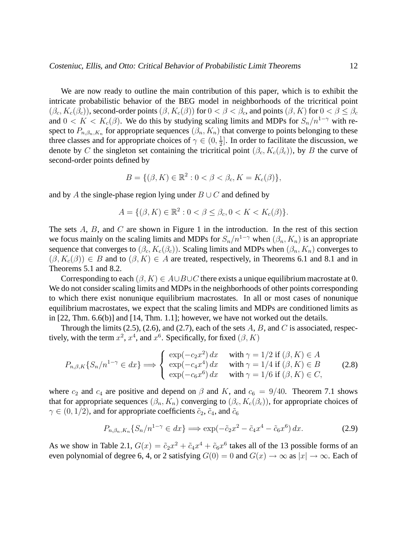We are now ready to outline the main contribution of this paper, which is to exhibit the intricate probabilistic behavior of the BEG model in neighborhoods of the tricritical point  $(\beta_c, K_c(\beta_c))$ , second-order points  $(\beta, K_c(\beta))$  for  $0 < \beta < \beta_c$ , and points  $(\beta, K)$  for  $0 < \beta \leq \beta_c$ and  $0 < K < K_c(\beta)$ . We do this by studying scaling limits and MDPs for  $S_n/n^{1-\gamma}$  with respect to  $P_{n,\beta_n,K_n}$  for appropriate sequences  $(\beta_n, K_n)$  that converge to points belonging to these three classes and for appropriate choices of  $\gamma \in (0, \frac{1}{2})$  $\frac{1}{2}$ . In order to facilitate the discussion, we denote by C the singleton set containing the tricritical point  $(\beta_c, K_c(\beta_c))$ , by B the curve of second-order points defined by

$$
B = \{ (\beta, K) \in \mathbb{R}^2 : 0 < \beta < \beta_c, K = K_c(\beta) \},\
$$

and by A the single-phase region lying under  $B \cup C$  and defined by

$$
A = \{ (\beta, K) \in \mathbb{R}^2 : 0 < \beta \le \beta_c, 0 < K < K_c(\beta) \}.
$$

The sets  $A$ ,  $B$ , and  $C$  are shown in Figure 1 in the introduction. In the rest of this section we focus mainly on the scaling limits and MDPs for  $S_n/n^{1-\gamma}$  when  $(\beta_n, K_n)$  is an appropriate sequence that converges to  $(\beta_c, K_c(\beta_c))$ . Scaling limits and MDPs when  $(\beta_n, K_n)$  converges to  $(\beta, K_c(\beta)) \in B$  and to  $(\beta, K) \in A$  are treated, respectively, in Theorems 6.1 and 8.1 and in Theorems 5.1 and 8.2.

Corresponding to each  $(\beta, K) \in A \cup B \cup C$  there exists a unique equilibrium macrostate at 0. We do not consider scaling limits and MDPs in the neighborhoods of other points corresponding to which there exist nonunique equilibrium macrostates. In all or most cases of nonunique equilibrium macrostates, we expect that the scaling limits and MDPs are conditioned limits as in [22, Thm. 6.6(b)] and [14, Thm. 1.1]; however, we have not worked out the details.

Through the limits (2.5), (2.6), and (2.7), each of the sets  $A, B$ , and  $C$  is associated, respectively, with the term  $x^2$ ,  $x^4$ , and  $x^6$ . Specifically, for fixed  $(\beta, K)$ 

$$
P_{n,\beta,K}\{S_n/n^{1-\gamma} \in dx\} \Longrightarrow \begin{cases} \exp(-c_2x^2) dx & \text{with } \gamma = 1/2 \text{ if } (\beta, K) \in A\\ \exp(-c_4x^4) dx & \text{with } \gamma = 1/4 \text{ if } (\beta, K) \in B\\ \exp(-c_6x^6) dx & \text{with } \gamma = 1/6 \text{ if } (\beta, K) \in C, \end{cases}
$$
(2.8)

where  $c_2$  and  $c_4$  are positive and depend on  $\beta$  and K, and  $c_6 = 9/40$ . Theorem 7.1 shows that for appropriate sequences  $(\beta_n, K_n)$  converging to  $(\beta_c, K_c(\beta_c))$ , for appropriate choices of  $\gamma \in (0, 1/2)$ , and for appropriate coefficients  $\tilde{c}_2$ ,  $\tilde{c}_4$ , and  $\tilde{c}_6$ 

$$
P_{n,\beta_n,K_n}\{S_n/n^{1-\gamma} \in dx\} \Longrightarrow \exp(-\tilde{c}_2x^2 - \tilde{c}_4x^4 - \tilde{c}_6x^6) \, dx. \tag{2.9}
$$

As we show in Table 2.1,  $G(x) = \tilde{c}_2 x^2 + \tilde{c}_4 x^4 + \tilde{c}_6 x^6$  takes all of the 13 possible forms of an even polynomial of degree 6, 4, or 2 satisfying  $G(0) = 0$  and  $G(x) \rightarrow \infty$  as  $|x| \rightarrow \infty$ . Each of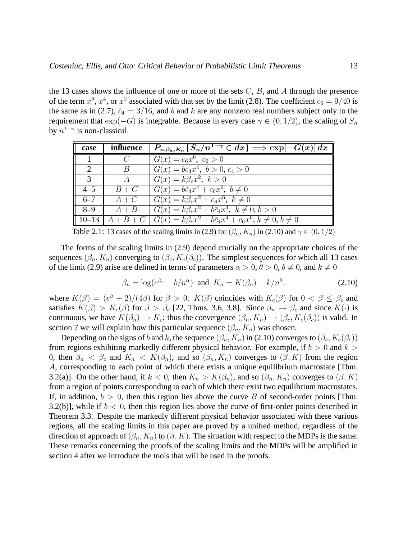the 13 cases shows the influence of one or more of the sets  $C$ ,  $B$ , and  $A$  through the presence of the term  $x^6$ ,  $x^4$ , or  $x^2$  associated with that set by the limit (2.8). The coefficient  $c_6 = 9/40$  is the same as in (2.7),  $\bar{c}_4 = 3/16$ , and b and k are any nonzero real numbers subject only to the requirement that  $\exp(-G)$  is integrable. Because in every case  $\gamma \in (0, 1/2)$ , the scaling of  $S_n$ by  $n^{1-\gamma}$  is non-classical.

| case                        | influence                 | $P_{n,\beta_n,K_n}\{S_n/n^{1-\gamma} \in dx\} \Longrightarrow \exp[-G(x)]dx$                 |
|-----------------------------|---------------------------|----------------------------------------------------------------------------------------------|
|                             | $\epsilon$                | $G(x) = c_6 x^6$ , $c_6 > 0$                                                                 |
| $\mathcal{D}_{\mathcal{L}}$ | $\boldsymbol{\mathsf{B}}$ | $G(x) = b\bar{c}_4x^4$ , $b > 0$ , $\bar{c}_4 > 0$                                           |
| $\mathcal{R}$               | $\overline{A}$            | $G(x) = k\beta_c x^2, k > 0$                                                                 |
| $4 - 5$                     | $B+C$                     | $\overline{G(x)} = b\bar{c}_4x^4 + c_6x^6, b \neq 0$                                         |
| $6 - 7$                     | $A+C$                     | $G(x) = k\beta_c x^2 + c_6 x^6, k \neq 0$                                                    |
| $8-9$                       | $A + B$                   | $G(x) = k\beta_c x^2 + b\bar{c}_4 x^4, \ k \neq 0, b > 0$                                    |
|                             |                           | 10-13 $A + B + C$ $G(x) = k\beta_c x^2 + b\bar{c}_4 x^4 + c_6 x^6$ , $k \neq 0$ , $b \neq 0$ |

Table 2.1: 13 cases of the scaling limits in (2.9) for  $(\beta_n, K_n)$  in (2.10) and  $\gamma \in (0, 1/2)$ 

The forms of the scaling limits in (2.9) depend crucially on the appropriate choices of the sequences  $(\beta_n, K_n)$  converging to  $(\beta_c, K_c(\beta_c))$ . The simplest sequences for which all 13 cases of the limit (2.9) arise are defined in terms of parameters  $\alpha > 0$ ,  $\theta > 0$ ,  $b \neq 0$ , and  $k \neq 0$ 

$$
\beta_n = \log(e^{\beta_c} - b/n^{\alpha}) \text{ and } K_n = K(\beta_n) - k/n^{\theta}, \qquad (2.10)
$$

where  $K(\beta) = (e^{\beta} + 2)/(4\beta)$  for  $\beta > 0$ .  $K(\beta)$  coincides with  $K_c(\beta)$  for  $0 < \beta \le \beta_c$  and satisfies  $K(\beta) > K_c(\beta)$  for  $\beta > \beta_c$  [22, Thms. 3.6, 3.8]. Since  $\beta_n \to \beta_c$  and since  $K(\cdot)$  is continuous, we have  $K(\beta_n) \to K_c$ ; thus the convergence  $(\beta_n, K_n) \to (\beta_c, K_c(\beta_c))$  is valid. In section 7 we will explain how this particular sequence  $(\beta_n, K_n)$  was chosen.

Depending on the signs of b and k, the sequence  $(\beta_n, K_n)$  in (2.10) converges to  $(\beta_c, K_c(\beta_c))$ from regions exhibiting markedly different physical behavior. For example, if  $b > 0$  and  $k > 0$ 0, then  $\beta_n < \beta_c$  and  $K_n < K(\beta_n)$ , and so  $(\beta_n, K_n)$  converges to  $(\beta, K)$  from the region A, corresponding to each point of which there exists a unique equilibrium macrostate [Thm. 3.2(a)]. On the other hand, if  $k < 0$ , then  $K_n > K(\beta_n)$ , and so  $(\beta_n, K_n)$  converges to  $(\beta, K)$ from a region of points corresponding to each of which there exist two equilibrium macrostates. If, in addition,  $b > 0$ , then this region lies above the curve B of second-order points [Thm. 3.2(b)], while if  $b < 0$ , then this region lies above the curve of first-order points described in Theorem 3.3. Despite the markedly different physical behavior associated with these various regions, all the scaling limits in this paper are proved by a unified method, regardless of the direction of approach of  $(\beta_n, K_n)$  to  $(\beta, K)$ . The situation with respect to the MDPs is the same. These remarks concerning the proofs of the scaling limits and the MDPs will be amplified in section 4 after we introduce the tools that will be used in the proofs.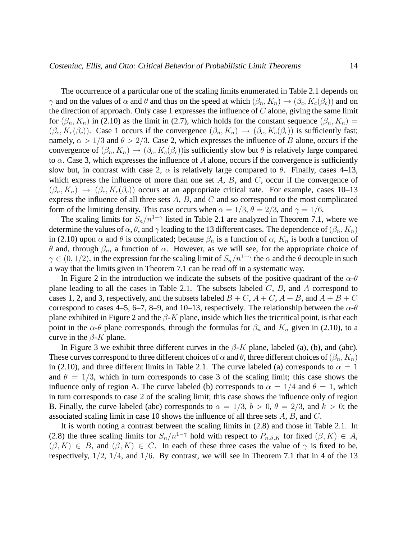The occurrence of a particular one of the scaling limits enumerated in Table 2.1 depends on  $\gamma$  and on the values of  $\alpha$  and  $\theta$  and thus on the speed at which  $(\beta_n, K_n) \to (\beta_c, K_c(\beta_c))$  and on the direction of approach. Only case 1 expresses the influence of  $C$  alone, giving the same limit for  $(\beta_n, K_n)$  in (2.10) as the limit in (2.7), which holds for the constant sequence  $(\beta_n, K_n)$  =  $(\beta_c, K_c(\beta_c))$ . Case 1 occurs if the convergence  $(\beta_n, K_n) \rightarrow (\beta_c, K_c(\beta_c))$  is sufficiently fast; namely,  $\alpha > 1/3$  and  $\theta > 2/3$ . Case 2, which expresses the influence of B alone, occurs if the convergence of  $(\beta_n, K_n) \to (\beta_c, K_c(\beta_c))$  is sufficiently slow but  $\theta$  is relatively large compared to  $\alpha$ . Case 3, which expresses the influence of A alone, occurs if the convergence is sufficiently slow but, in contrast with case 2,  $\alpha$  is relatively large compared to  $\theta$ . Finally, cases 4–13, which express the influence of more than one set  $A$ ,  $B$ , and  $C$ , occur if the convergence of  $(\beta_n, K_n) \rightarrow (\beta_c, K_c(\beta_c))$  occurs at an appropriate critical rate. For example, cases 10–13 express the influence of all three sets  $A$ ,  $B$ , and  $C$  and so correspond to the most complicated form of the limiting density. This case occurs when  $\alpha = 1/3$ ,  $\theta = 2/3$ , and  $\gamma = 1/6$ .

The scaling limits for  $S_n/n^{1-\gamma}$  listed in Table 2.1 are analyzed in Theorem 7.1, where we determine the values of  $\alpha$ ,  $\theta$ , and  $\gamma$  leading to the 13 different cases. The dependence of  $(\beta_n, K_n)$ in (2.10) upon  $\alpha$  and  $\theta$  is complicated; because  $\beta_n$  is a function of  $\alpha$ ,  $K_n$  is both a function of θ and, through  $β_n$ , a function of  $α$ . However, as we will see, for the appropriate choice of  $\gamma \in (0, 1/2)$ , in the expression for the scaling limit of  $S_n/n^{1-\gamma}$  the  $\alpha$  and the  $\theta$  decouple in such a way that the limits given in Theorem 7.1 can be read off in a systematic way.

In Figure 2 in the introduction we indicate the subsets of the positive quadrant of the  $\alpha$ - $\theta$ plane leading to all the cases in Table 2.1. The subsets labeled  $C$ ,  $B$ , and  $A$  correspond to cases 1, 2, and 3, respectively, and the subsets labeled  $B + C$ ,  $A + C$ ,  $A + B$ , and  $A + B + C$ correspond to cases 4–5, 6–7, 8–9, and 10–13, respectively. The relationship between the  $\alpha$ - $\theta$ plane exhibited in Figure 2 and the  $\beta$ -K plane, inside which lies the tricritical point, is that each point in the  $\alpha$ - $\theta$  plane corresponds, through the formulas for  $\beta_n$  and  $K_n$  given in (2.10), to a curve in the  $\beta$ -K plane.

In Figure 3 we exhibit three different curves in the  $\beta$ -K plane, labeled (a), (b), and (abc). These curves correspond to three different choices of  $\alpha$  and  $\theta$ , three different choices of  $(\beta_n, K_n)$ in (2.10), and three different limits in Table 2.1. The curve labeled (a) corresponds to  $\alpha = 1$ and  $\theta = 1/3$ , which in turn corresponds to case 3 of the scaling limit; this case shows the influence only of region A. The curve labeled (b) corresponds to  $\alpha = 1/4$  and  $\theta = 1$ , which in turn corresponds to case 2 of the scaling limit; this case shows the influence only of region B. Finally, the curve labeled (abc) corresponds to  $\alpha = 1/3$ ,  $b > 0$ ,  $\theta = 2/3$ , and  $k > 0$ ; the associated scaling limit in case 10 shows the influence of all three sets  $A, B$ , and  $C$ .

It is worth noting a contrast between the scaling limits in (2.8) and those in Table 2.1. In (2.8) the three scaling limits for  $S_n/n^{1-\gamma}$  hold with respect to  $P_{n,\beta,K}$  for fixed  $(\beta,K) \in A$ ,  $(\beta, K) \in B$ , and  $(\beta, K) \in C$ . In each of these three cases the value of  $\gamma$  is fixed to be, respectively,  $1/2$ ,  $1/4$ , and  $1/6$ . By contrast, we will see in Theorem 7.1 that in 4 of the 13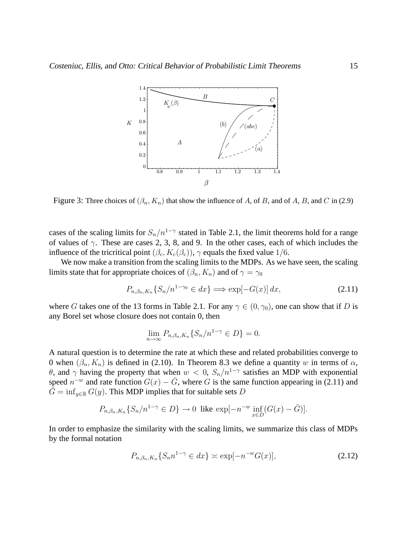

Figure 3: Three choices of  $(\beta_n, K_n)$  that show the influence of A, of B, and of A, B, and C in (2.9)

cases of the scaling limits for  $S_n/n^{1-\gamma}$  stated in Table 2.1, the limit theorems hold for a range of values of  $\gamma$ . These are cases 2, 3, 8, and 9. In the other cases, each of which includes the influence of the tricritical point  $(\beta_c, K_c(\beta_c))$ ,  $\gamma$  equals the fixed value 1/6.

We now make a transition from the scaling limits to the MDPs. As we have seen, the scaling limits state that for appropriate choices of  $(\beta_n, K_n)$  and of  $\gamma = \gamma_0$ 

$$
P_{n,\beta_n,K_n}\{S_n/n^{1-\gamma_0} \in dx\} \Longrightarrow \exp[-G(x)]\,dx,\tag{2.11}
$$

where G takes one of the 13 forms in Table 2.1. For any  $\gamma \in (0, \gamma_0)$ , one can show that if D is any Borel set whose closure does not contain 0, then

$$
\lim_{n \to \infty} P_{n,\beta_n, K_n} \{ S_n / n^{1-\gamma} \in D \} = 0.
$$

A natural question is to determine the rate at which these and related probabilities converge to 0 when  $(\beta_n, K_n)$  is defined in (2.10). In Theorem 8.3 we define a quantity w in terms of  $\alpha$ , θ, and γ having the property that when  $w < 0$ ,  $S_n/n^{1-\gamma}$  satisfies an MDP with exponential speed  $n^{-w}$  and rate function  $G(x) - \bar{G}$ , where G is the same function appearing in (2.11) and  $\overline{G}$  = inf<sub>y∈R</sub>  $G(y)$ . This MDP implies that for suitable sets D

$$
P_{n,\beta_n,K_n}\{S_n/n^{1-\gamma} \in D\} \to 0 \text{ like } \exp[-n^{-w} \inf_{x \in D} (G(x) - \bar{G})].
$$

In order to emphasize the similarity with the scaling limits, we summarize this class of MDPs by the formal notation

$$
P_{n,\beta_n,K_n}\{S_n n^{1-\gamma} \in dx\} \asymp \exp[-n^{-w}G(x)],\tag{2.12}
$$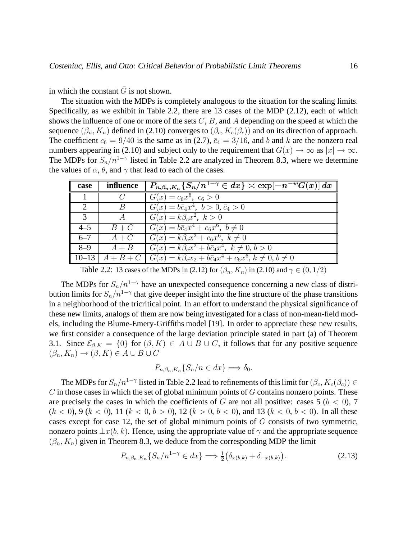in which the constant  $\overline{G}$  is not shown.

The situation with the MDPs is completely analogous to the situation for the scaling limits. Specifically, as we exhibit in Table 2.2, there are 13 cases of the MDP (2.12), each of which shows the influence of one or more of the sets  $C$ ,  $B$ , and  $A$  depending on the speed at which the sequence  $(\beta_n, K_n)$  defined in (2.10) converges to  $(\beta_c, K_c(\beta_c))$  and on its direction of approach. The coefficient  $c_6 = 9/40$  is the same as in (2.7),  $\bar{c}_4 = 3/16$ , and b and k are the nonzero real numbers appearing in (2.10) and subject only to the requirement that  $G(x) \to \infty$  as  $|x| \to \infty$ . The MDPs for  $S_n/n^{1-\gamma}$  listed in Table 2.2 are analyzed in Theorem 8.3, where we determine the values of  $\alpha$ ,  $\theta$ , and  $\gamma$  that lead to each of the cases.

| case                        | influence      | $P_{n,\beta_n,K_n}\{S_n/n^{1-\gamma} \in dx\} \asymp \exp[-n^{-w}G(x)] dx$                 |
|-----------------------------|----------------|--------------------------------------------------------------------------------------------|
|                             |                | $G(x) = c_6 x^6$ , $c_6 > 0$                                                               |
| $\mathcal{D}_{\mathcal{L}}$ | $\overline{B}$ | $G(x) = b\bar{c}_4x^4$ , $b > 0$ , $\bar{c}_4 > 0$                                         |
| $\mathcal{R}$               | $\overline{A}$ | $G(x) = k\beta_c x^2, k > 0$                                                               |
| $4 - 5$                     | $B+C$          | $G(x) = b\bar{c}_4x^4 + c_6x^6, b \neq 0$                                                  |
| $6 - 7$                     | $A+C$          | $G(x) = k\beta_c x^2 + c_6 x^6, k \neq 0$                                                  |
| $8 - 9$                     | $A+B$          | $G(x) = k\beta_c x^2 + b\bar{c}_4 x^4$ , $k \neq 0, b > 0$                                 |
|                             |                | 10-13   $A + B + C$   $G(x) = k\beta_c x_2 + b\bar{c}_4 x^4 + c_6 x^6, k \neq 0, b \neq 0$ |

Table 2.2: 13 cases of the MDPs in (2.12) for  $(\beta_n, K_n)$  in (2.10) and  $\gamma \in (0, 1/2)$ 

The MDPs for  $S_n/n^{1-\gamma}$  have an unexpected consequence concerning a new class of distribution limits for  $S_n/n^{1-\gamma}$  that give deeper insight into the fine structure of the phase transitions in a neighborhood of the tricritical point. In an effort to understand the physical significance of these new limits, analogs of them are now being investigated for a class of non-mean-field models, including the Blume-Emery-Griffiths model [19]. In order to appreciate these new results, we first consider a consequence of the large deviation principle stated in part (a) of Theorem 3.1. Since  $\mathcal{E}_{\beta,K} = \{0\}$  for  $(\beta, K) \in A \cup B \cup C$ , it follows that for any positive sequence  $(\beta_n, K_n) \to (\beta, K) \in A \cup B \cup C$ 

$$
P_{n,\beta_n,K_n}\{S_n/n\in dx\}\Longrightarrow \delta_0.
$$

The MDPs for  $S_n/n^{1-\gamma}$  listed in Table 2.2 lead to refinements of this limit for  $(\beta_c, K_c(\beta_c)) \in$  $C$  in those cases in which the set of global minimum points of  $G$  contains nonzero points. These are precisely the cases in which the coefficients of G are not all positive: cases  $5 (b < 0)$ , 7  $(k < 0)$ , 9  $(k < 0)$ , 11  $(k < 0, b > 0)$ , 12  $(k > 0, b < 0)$ , and 13  $(k < 0, b < 0)$ . In all these cases except for case 12, the set of global minimum points of  $G$  consists of two symmetric, nonzero points  $\pm x(b, k)$ . Hence, using the appropriate value of  $\gamma$  and the appropriate sequence  $(\beta_n, K_n)$  given in Theorem 8.3, we deduce from the corresponding MDP the limit

$$
P_{n,\beta_n,K_n}\{S_n/n^{1-\gamma} \in dx\} \Longrightarrow \frac{1}{2}(\delta_{x(b,k)} + \delta_{-x(b,k)}).
$$
\n(2.13)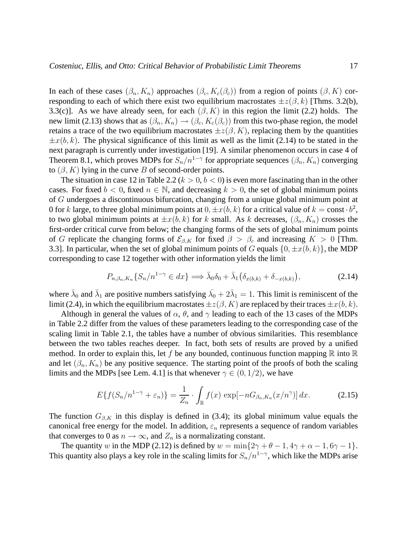In each of these cases  $(\beta_n, K_n)$  approaches  $(\beta_c, K_c(\beta_c))$  from a region of points  $(\beta, K)$  corresponding to each of which there exist two equilibrium macrostates  $\pm z(\beta, k)$  [Thms. 3.2(b), 3.3(c)]. As we have already seen, for each  $(\beta, K)$  in this region the limit (2.2) holds. The new limit (2.13) shows that as  $(\beta_n, K_n) \to (\beta_c, K_c(\beta_c))$  from this two-phase region, the model retains a trace of the two equilibrium macrostates  $\pm z(\beta, K)$ , replacing them by the quantities  $\pm x(b, k)$ . The physical significance of this limit as well as the limit (2.14) to be stated in the next paragraph is currently under investigation [19]. A similar phenomenon occurs in case 4 of Theorem 8.1, which proves MDPs for  $S_n/n^{1-\gamma}$  for appropriate sequences  $(\beta_n, K_n)$  converging to  $(\beta, K)$  lying in the curve B of second-order points.

The situation in case 12 in Table 2.2 ( $k > 0, b < 0$ ) is even more fascinating than in the other cases. For fixed  $b < 0$ , fixed  $n \in \mathbb{N}$ , and decreasing  $k > 0$ , the set of global minimum points of G undergoes a discontinuous bifurcation, changing from a unique global minimum point at 0 for k large, to three global minimum points at  $0, \pm x(b, k)$  for a critical value of  $k = \text{const} \cdot b^2$ , to two global minimum points at  $\pm x(b, k)$  for k small. As k decreases,  $(\beta_n, K_n)$  crosses the first-order critical curve from below; the changing forms of the sets of global minimum points of G replicate the changing forms of  $\mathcal{E}_{\beta,K}$  for fixed  $\beta > \beta_c$  and increasing  $K > 0$  [Thm. 3.3]. In particular, when the set of global minimum points of G equals  $\{0, \pm x(b, k)\}\)$ , the MDP corresponding to case 12 together with other information yields the limit

$$
P_{n,\beta_n,K_n}\{S_n/n^{1-\gamma} \in dx\} \Longrightarrow \bar{\lambda}_0 \delta_0 + \bar{\lambda}_1(\delta_{x(b,k)} + \delta_{-x(b,k)}),\tag{2.14}
$$

where  $\bar{\lambda}_0$  and  $\bar{\lambda}_1$  are positive numbers satisfying  $\bar{\lambda}_0 + 2\bar{\lambda}_1 = 1$ . This limit is reminiscent of the limit (2.4), in which the equilibrium macrostates  $\pm z(\beta, K)$  are replaced by their traces  $\pm x(b, k)$ .

Although in general the values of  $\alpha$ ,  $\theta$ , and  $\gamma$  leading to each of the 13 cases of the MDPs in Table 2.2 differ from the values of these parameters leading to the corresponding case of the scaling limit in Table 2.1, the tables have a number of obvious similarities. This resemblance between the two tables reaches deeper. In fact, both sets of results are proved by a unified method. In order to explain this, let f be any bounded, continuous function mapping  $\mathbb R$  into  $\mathbb R$ and let  $(\beta_n, K_n)$  be any positive sequence. The starting point of the proofs of both the scaling limits and the MDPs [see Lem. 4.1] is that whenever  $\gamma \in (0, 1/2)$ , we have

$$
E\{f(S_n/n^{1-\gamma}+\varepsilon_n)\}=\frac{1}{Z_n}\cdot\int_{\mathbb{R}}f(x)\,\exp[-nG_{\beta_n,K_n}(x/n^{\gamma})]\,dx.\tag{2.15}
$$

The function  $G_{\beta,K}$  in this display is defined in (3.4); its global minimum value equals the canonical free energy for the model. In addition,  $\varepsilon_n$  represents a sequence of random variables that converges to 0 as  $n \to \infty$ , and  $Z_n$  is a normalizating constant.

The quantity w in the MDP (2.12) is defined by  $w = \min\{2\gamma + \theta - 1, 4\gamma + \alpha - 1, 6\gamma - 1\}.$ This quantity also plays a key role in the scaling limits for  $S_n/n^{1-\gamma}$ , which like the MDPs arise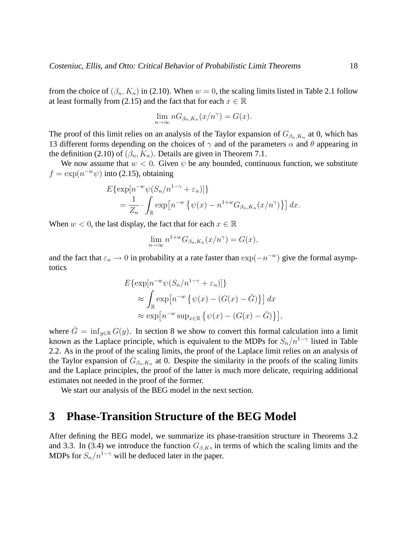from the choice of  $(\beta_n, K_n)$  in (2.10). When  $w = 0$ , the scaling limits listed in Table 2.1 follow at least formally from (2.15) and the fact that for each  $x \in \mathbb{R}$ 

$$
\lim_{n \to \infty} nG_{\beta_n, K_n}(x/n^{\gamma}) = G(x).
$$

The proof of this limit relies on an analysis of the Taylor expansion of  $G_{\beta_n,K_n}$  at 0, which has 13 different forms depending on the choices of  $\gamma$  and of the parameters  $\alpha$  and  $\theta$  appearing in the definition (2.10) of  $(\beta_n, K_n)$ . Details are given in Theorem 7.1.

We now assume that  $w < 0$ . Given  $\psi$  be any bounded, continuous function, we substitute  $f = \exp(n^{-w}\psi)$  into (2.15), obtaining

$$
E\{\exp[n^{-w}\psi(S_n/n^{1-\gamma}+\varepsilon_n)]\}
$$
  
=  $\frac{1}{Z_n} \cdot \int_{\mathbb{R}} \exp[n^{-w}\{\psi(x)-n^{1+w}G_{\beta_n,K_n}(x/n^{\gamma})\}] dx.$ 

When  $w < 0$ , the last display, the fact that for each  $x \in \mathbb{R}$ 

$$
\lim_{n \to \infty} n^{1+w} G_{\beta_n, K_n}(x/n^{\gamma}) = G(x),
$$

and the fact that  $\varepsilon_n \to 0$  in probability at a rate faster than  $\exp(-n^{-w})$  give the formal asymptotics

$$
E\{\exp[n^{-w}\psi(S_n/n^{1-\gamma} + \varepsilon_n)]\}
$$
  
\n
$$
\approx \int_{\mathbb{R}} \exp[n^{-w}\{\psi(x) - (G(x) - \bar{G})\}] dx
$$
  
\n
$$
\approx \exp[n^{-w}\sup_{x \in \mathbb{R}}\{\psi(x) - (G(x) - \bar{G})\}],
$$

where  $\overline{G} = \inf_{y \in \mathbb{R}} G(y)$ . In section 8 we show to convert this formal calculation into a limit known as the Laplace principle, which is equivalent to the MDPs for  $S_n/n^{1-\gamma}$  listed in Table 2.2. As in the proof of the scaling limits, the proof of the Laplace limit relies on an analysis of the Taylor expansion of  $G_{\beta_n,K_n}$  at 0. Despite the similarity in the proofs of the scaling limits and the Laplace principles, the proof of the latter is much more delicate, requiring additional estimates not needed in the proof of the former.

We start our analysis of the BEG model in the next section.

#### **3 Phase-Transition Structure of the BEG Model**

After defining the BEG model, we summarize its phase-transition structure in Theorems 3.2 and 3.3. In (3.4) we introduce the function  $G_{\beta,K}$ , in terms of which the scaling limits and the MDPs for  $S_n/n^{1-\gamma}$  will be deduced later in the paper.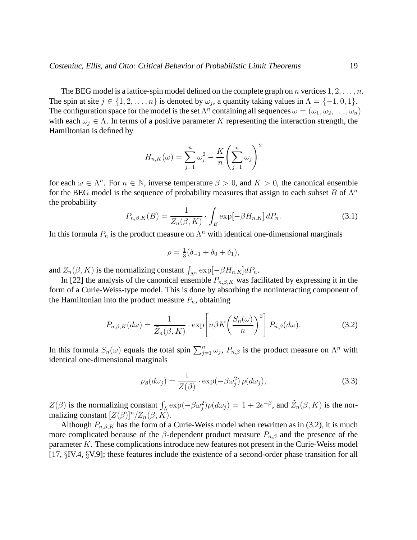The BEG model is a lattice-spin model defined on the complete graph on n vertices  $1, 2, \ldots, n$ . The spin at site  $j \in \{1, 2, \ldots, n\}$  is denoted by  $\omega_j$ , a quantity taking values in  $\Lambda = \{-1, 0, 1\}$ . The configuration space for the model is the set  $\Lambda^n$  containing all sequences  $\omega = (\omega_1, \omega_2, \dots, \omega_n)$ with each  $\omega_i \in \Lambda$ . In terms of a positive parameter K representing the interaction strength, the Hamiltonian is defined by

$$
H_{n,K}(\omega) = \sum_{j=1}^n \omega_j^2 - \frac{K}{n} \left( \sum_{j=1}^n \omega_j \right)^2
$$

for each  $\omega \in \Lambda^n$ . For  $n \in \mathbb{N}$ , inverse temperature  $\beta > 0$ , and  $K > 0$ , the canonical ensemble for the BEG model is the sequence of probability measures that assign to each subset B of  $\Lambda^n$ the probability

$$
P_{n,\beta,K}(B) = \frac{1}{Z_n(\beta,K)} \cdot \int_B \exp[-\beta H_{n,K}] \, dP_n. \tag{3.1}
$$

In this formula  $P_n$  is the product measure on  $\Lambda^n$  with identical one-dimensional marginals

$$
\rho = \frac{1}{3}(\delta_{-1} + \delta_0 + \delta_1),
$$

and  $Z_n(\beta, K)$  is the normalizing constant  $\int_{\Lambda^n} \exp[-\beta H_{n,K}]dP_n$ .

In [22] the analysis of the canonical ensemble  $P_{n,\beta,K}$  was facilitated by expressing it in the form of a Curie-Weiss-type model. This is done by absorbing the noninteracting component of the Hamiltonian into the product measure  $P_n$ , obtaining

$$
P_{n,\beta,K}(d\omega) = \frac{1}{\tilde{Z}_n(\beta,K)} \cdot \exp\left[n\beta K\left(\frac{S_n(\omega)}{n}\right)^2\right] P_{n,\beta}(d\omega). \tag{3.2}
$$

In this formula  $S_n(\omega)$  equals the total spin  $\sum_{j=1}^n \omega_j$ ,  $P_{n,\beta}$  is the product measure on  $\Lambda^n$  with identical one-dimensional marginals

$$
\rho_{\beta}(d\omega_j) = \frac{1}{Z(\beta)} \cdot \exp(-\beta \omega_j^2) \rho(d\omega_j), \qquad (3.3)
$$

 $Z(\beta)$  is the normalizing constant  $\int_{\Lambda} \exp(-\beta \omega_j^2) \rho(d\omega_j) = 1 + 2e^{-\beta}$ , and  $\tilde{Z}_n(\beta, K)$  is the normalizing constant  $[Z(\beta)]^n/Z_n(\beta, K)$ .

Although  $P_{n,\beta,K}$  has the form of a Curie-Weiss model when rewritten as in (3.2), it is much more complicated because of the  $\beta$ -dependent product measure  $P_{n,\beta}$  and the presence of the parameter K. These complications introduce new features not present in the Curie-Weiss model [17, §IV.4, §V.9]; these features include the existence of a second-order phase transition for all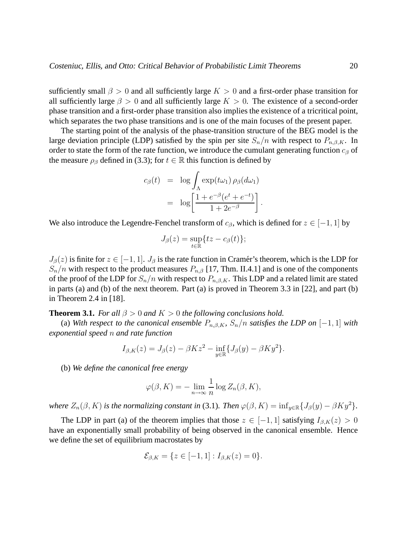sufficiently small  $\beta > 0$  and all sufficiently large  $K > 0$  and a first-order phase transition for all sufficiently large  $\beta > 0$  and all sufficiently large  $K > 0$ . The existence of a second-order phase transition and a first-order phase transition also implies the existence of a tricritical point, which separates the two phase transitions and is one of the main focuses of the present paper.

The starting point of the analysis of the phase-transition structure of the BEG model is the large deviation principle (LDP) satisfied by the spin per site  $S_n/n$  with respect to  $P_{n,\beta,K}$ . In order to state the form of the rate function, we introduce the cumulant generating function  $c_{\beta}$  of the measure  $\rho_{\beta}$  defined in (3.3); for  $t \in \mathbb{R}$  this function is defined by

$$
c_{\beta}(t) = \log \int_{\Lambda} \exp(t\omega_1) \, \rho_{\beta}(d\omega_1)
$$
  
= 
$$
\log \left[ \frac{1 + e^{-\beta} (e^t + e^{-t})}{1 + 2e^{-\beta}} \right].
$$

We also introduce the Legendre-Fenchel transform of  $c_{\beta}$ , which is defined for  $z \in [-1, 1]$  by

$$
J_{\beta}(z)=\sup_{t\in\mathbb{R}}\{tz-c_{\beta}(t)\};
$$

 $J_\beta(z)$  is finite for  $z \in [-1, 1]$ .  $J_\beta$  is the rate function in Cramér's theorem, which is the LDP for  $S_n/n$  with respect to the product measures  $P_{n,\beta}$  [17, Thm. II.4.1] and is one of the components of the proof of the LDP for  $S_n/n$  with respect to  $P_{n,\beta,K}$ . This LDP and a related limit are stated in parts (a) and (b) of the next theorem. Part (a) is proved in Theorem 3.3 in [22], and part (b) in Theorem 2.4 in [18].

**Theorem 3.1.** *For all*  $\beta > 0$  *and*  $K > 0$  *the following conclusions hold.* 

(a) *With respect to the canonical ensemble*  $P_{n, \beta, K}$ ,  $S_n/n$  *satisfies the LDP on* [-1, 1] *with exponential speed* n *and rate function*

$$
I_{\beta,K}(z) = J_{\beta}(z) - \beta K z^2 - \inf_{y \in \mathbb{R}} \{ J_{\beta}(y) - \beta K y^2 \}.
$$

(b) *We define the canonical free energy*

$$
\varphi(\beta, K) = -\lim_{n \to \infty} \frac{1}{n} \log Z_n(\beta, K),
$$

*where*  $Z_n(\beta, K)$  *is the normalizing constant in* (3.1)*. Then*  $\varphi(\beta, K) = \inf_{y \in \mathbb{R}} \{J_\beta(y) - \beta K y^2\}$ *.* 

The LDP in part (a) of the theorem implies that those  $z \in [-1,1]$  satisfying  $I_{\beta,K}(z) > 0$ have an exponentially small probability of being observed in the canonical ensemble. Hence we define the set of equilibrium macrostates by

$$
\mathcal{E}_{\beta,K} = \{ z \in [-1,1] : I_{\beta,K}(z) = 0 \}.
$$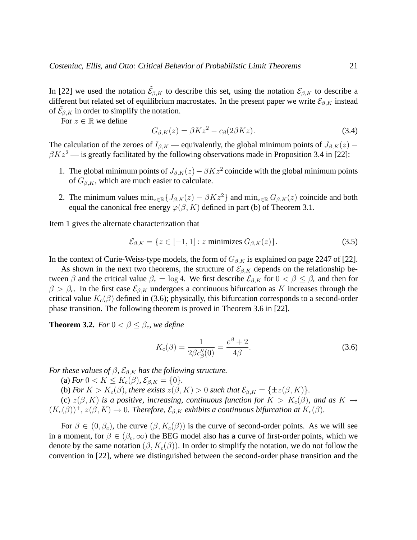In [22] we used the notation  $\tilde{\mathcal{E}}_{\beta,K}$  to describe this set, using the notation  $\mathcal{E}_{\beta,K}$  to describe a different but related set of equilibrium macrostates. In the present paper we write  $\mathcal{E}_{\beta,K}$  instead of  $\tilde{\mathcal{E}}_{\beta,K}$  in order to simplify the notation.

For  $z \in \mathbb{R}$  we define

$$
G_{\beta,K}(z) = \beta K z^2 - c_{\beta}(2\beta K z). \tag{3.4}
$$

The calculation of the zeroes of  $I_{\beta,K}$  — equivalently, the global minimum points of  $J_{\beta,K}(z)$  –  $\beta Kz^2$  — is greatly facilitated by the following observations made in Proposition 3.4 in [22]:

- 1. The global minimum points of  $J_{\beta,K}(z) \beta K z^2$  coincide with the global minimum points of  $G_{\beta,K}$ , which are much easier to calculate.
- 2. The minimum values  $\min_{z \in \mathbb{R}} \{J_{\beta,K}(z) \beta K z^2\}$  and  $\min_{z \in \mathbb{R}} G_{\beta,K}(z)$  coincide and both equal the canonical free energy  $\varphi(\beta, K)$  defined in part (b) of Theorem 3.1.

Item 1 gives the alternate characterization that

$$
\mathcal{E}_{\beta,K} = \{ z \in [-1,1] : z \text{ minimizes } G_{\beta,K}(z) \}. \tag{3.5}
$$

In the context of Curie-Weiss-type models, the form of  $G_{\beta,K}$  is explained on page 2247 of [22].

As shown in the next two theorems, the structure of  $\mathcal{E}_{\beta,K}$  depends on the relationship between  $\beta$  and the critical value  $\beta_c = \log 4$ . We first describe  $\mathcal{E}_{\beta,K}$  for  $0 < \beta \leq \beta_c$  and then for  $\beta > \beta_c$ . In the first case  $\mathcal{E}_{\beta,K}$  undergoes a continuous bifurcation as K increases through the critical value  $K_c(\beta)$  defined in (3.6); physically, this bifurcation corresponds to a second-order phase transition. The following theorem is proved in Theorem 3.6 in [22].

**Theorem 3.2.** *For*  $0 < \beta \leq \beta_c$ *, we define* 

$$
K_c(\beta) = \frac{1}{2\beta c''_{\beta}(0)} = \frac{e^{\beta} + 2}{4\beta}.
$$
\n(3.6)

*For these values of*  $\beta$ *,*  $\mathcal{E}_{\beta,K}$  *has the following structure.* 

(a) *For*  $0 < K \le K_c(\beta)$ ,  $\mathcal{E}_{\beta,K} = \{0\}$ .

(b) *For*  $K > K_c(\beta)$ *, there exists*  $z(\beta, K) > 0$  *such that*  $\mathcal{E}_{\beta,K} = \{\pm z(\beta,K)\}.$ 

(c)  $z(\beta, K)$  *is a positive, increasing, continuous function for*  $K > K_c(\beta)$ *, and as*  $K \to$  $(K_c(\beta))^+$ ,  $z(\beta, K) \to 0$ . Therefore,  $\mathcal{E}_{\beta,K}$  exhibits a continuous bifurcation at  $K_c(\beta)$ .

For  $\beta \in (0, \beta_c)$ , the curve  $(\beta, K_c(\beta))$  is the curve of second-order points. As we will see in a moment, for  $\beta \in (\beta_c, \infty)$  the BEG model also has a curve of first-order points, which we denote by the same notation  $(\beta, K_c(\beta))$ . In order to simplify the notation, we do not follow the convention in [22], where we distinguished between the second-order phase transition and the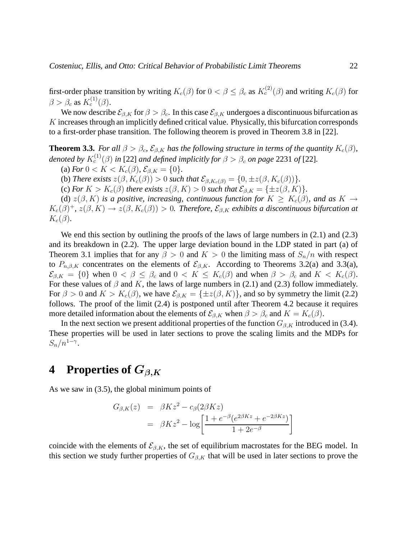first-order phase transition by writing  $K_c(\beta)$  for  $0 < \beta \leq \beta_c$  as  $K_c^{(2)}(\beta)$  and writing  $K_c(\beta)$  for  $\beta > \beta_c$  as  $K_c^{(1)}(\beta)$ .

We now describe  $\mathcal{E}_{\beta,K}$  for  $\beta > \beta_c$ . In this case  $\mathcal{E}_{\beta,K}$  undergoes a discontinuous bifurcation as K increases through an implicitly defined critical value. Physically, this bifurcation corresponds to a first-order phase transition. The following theorem is proved in Theorem 3.8 in [22].

**Theorem 3.3.** *For all*  $\beta > \beta_c$ ,  $\mathcal{E}_{\beta,K}$  *has the following structure in terms of the quantity*  $K_c(\beta)$ *,* denoted by  $K_c^{(1)}(\beta)$  in [22] and defined implicitly for  $\beta > \beta_c$  on page 2231 of [22].

(a) *For*  $0 < K < K_c(\beta)$ ,  $\mathcal{E}_{\beta,K} = \{0\}$ .

(b) *There exists*  $z(\beta, K_c(\beta)) > 0$  *such that*  $\mathcal{E}_{\beta, K_c(\beta)} = \{0, \pm z(\beta, K_c(\beta))\}.$ 

(c) *For*  $K > K_c(\beta)$  *there exists*  $z(\beta, K) > 0$  *such that*  $\mathcal{E}_{\beta,K} = \{\pm z(\beta,K)\}.$ 

(d)  $z(\beta, K)$  *is a positive, increasing, continuous function for*  $K \geq K_c(\beta)$ *, and as*  $K \to$  $K_c(\beta)^+$ ,  $z(\beta,K) \to z(\beta,K_c(\beta)) > 0$ . Therefore,  $\mathcal{E}_{\beta,K}$  exhibits a discontinuous bifurcation at  $K_c(\beta)$ .

We end this section by outlining the proofs of the laws of large numbers in  $(2.1)$  and  $(2.3)$ and its breakdown in (2.2). The upper large deviation bound in the LDP stated in part (a) of Theorem 3.1 implies that for any  $\beta > 0$  and  $K > 0$  the limiting mass of  $S_n/n$  with respect to  $P_{n,\beta,K}$  concentrates on the elements of  $\mathcal{E}_{\beta,K}$ . According to Theorems 3.2(a) and 3.3(a),  $\mathcal{E}_{\beta,K} = \{0\}$  when  $0 < \beta \leq \beta_c$  and  $0 < K \leq K_c(\beta)$  and when  $\beta > \beta_c$  and  $K < K_c(\beta)$ . For these values of  $\beta$  and K, the laws of large numbers in (2.1) and (2.3) follow immediately. For  $\beta > 0$  and  $K > K_c(\beta)$ , we have  $\mathcal{E}_{\beta,K} = {\pm z(\beta,K)}$ , and so by symmetry the limit (2.2) follows. The proof of the limit (2.4) is postponed until after Theorem 4.2 because it requires more detailed information about the elements of  $\mathcal{E}_{\beta,K}$  when  $\beta > \beta_c$  and  $K = K_c(\beta)$ .

In the next section we present additional properties of the function  $G_{\beta,K}$  introduced in (3.4). These properties will be used in later sections to prove the scaling limits and the MDPs for  $S_n/n^{1-\gamma}$ .

#### **4 Properties of** Gβ,K

As we saw in (3.5), the global minimum points of

$$
G_{\beta,K}(z) = \beta K z^2 - c_{\beta}(2\beta K z)
$$
  
=  $\beta K z^2 - \log \left[ \frac{1 + e^{-\beta} (e^{2\beta K z} + e^{-2\beta K z})}{1 + 2e^{-\beta}} \right]$ 

coincide with the elements of  $\mathcal{E}_{\beta,K}$ , the set of equilibrium macrostates for the BEG model. In this section we study further properties of  $G_{\beta,K}$  that will be used in later sections to prove the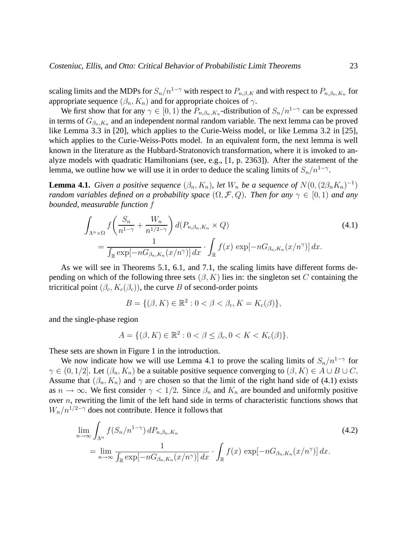scaling limits and the MDPs for  $S_n/n^{1-\gamma}$  with respect to  $P_{n,\beta,K}$  and with respect to  $P_{n,\beta_n,K_n}$  for appropriate sequence  $(\beta_n, K_n)$  and for appropriate choices of  $\gamma$ .

We first show that for any  $\gamma \in [0, 1)$  the  $P_{n, \beta_n, K_n}$ -distribution of  $S_n/n^{1-\gamma}$  can be expressed in terms of  $G_{\beta_n,K_n}$  and an independent normal random variable. The next lemma can be proved like Lemma 3.3 in [20], which applies to the Curie-Weiss model, or like Lemma 3.2 in [25], which applies to the Curie-Weiss-Potts model. In an equivalent form, the next lemma is well known in the literature as the Hubbard-Stratonovich transformation, where it is invoked to analyze models with quadratic Hamiltonians (see, e.g., [1, p. 2363]). After the statement of the lemma, we outline how we will use it in order to deduce the scaling limits of  $S_n/n^{1-\gamma}$ .

**Lemma 4.1.** *Given a positive sequence*  $(\beta_n, K_n)$ , let  $W_n$  be a sequence of  $N(0, (2\beta_n K_n)^{-1})$ *random variables defined on a probability space*  $(\Omega, \mathcal{F}, Q)$ *. Then for any*  $\gamma \in [0, 1)$  *and any bounded, measurable function* f

$$
\int_{\Lambda^n \times \Omega} f\left(\frac{S_n}{n^{1-\gamma}} + \frac{W_n}{n^{1/2-\gamma}}\right) d(P_{n,\beta_n,K_n} \times Q) \n= \frac{1}{\int_{\mathbb{R}} \exp[-nG_{\beta_n,K_n}(x/n^{\gamma})] dx} \cdot \int_{\mathbb{R}} f(x) \exp[-nG_{\beta_n,K_n}(x/n^{\gamma})] dx.
$$
\n(4.1)

As we will see in Theorems 5.1, 6.1, and 7.1, the scaling limits have different forms depending on which of the following three sets  $(\beta, K)$  lies in: the singleton set C containing the tricritical point  $(\beta_c, K_c(\beta_c))$ , the curve B of second-order points

$$
B = \{ (\beta, K) \in \mathbb{R}^2 : 0 < \beta < \beta_c, K = K_c(\beta) \},\
$$

and the single-phase region

$$
A = \{ (\beta, K) \in \mathbb{R}^2 : 0 < \beta \le \beta_c, 0 < K < K_c(\beta) \}.
$$

These sets are shown in Figure 1 in the introduction.

We now indicate how we will use Lemma 4.1 to prove the scaling limits of  $S_n/n^{1-\gamma}$  for  $\gamma \in (0, 1/2]$ . Let  $(\beta_n, K_n)$  be a suitable positive sequence converging to  $(\beta, K) \in A \cup B \cup C$ . Assume that  $(\beta_n, K_n)$  and  $\gamma$  are chosen so that the limit of the right hand side of (4.1) exists as  $n \to \infty$ . We first consider  $\gamma < 1/2$ . Since  $\beta_n$  and  $K_n$  are bounded and uniformly positive over  $n$ , rewriting the limit of the left hand side in terms of characteristic functions shows that  $W_n/n^{1/2-\gamma}$  does not contribute. Hence it follows that

$$
\lim_{n \to \infty} \int_{\Lambda^n} f(S_n/n^{1-\gamma}) dP_{n,\beta_n, K_n}
$$
\n
$$
= \lim_{n \to \infty} \frac{1}{\int_{\mathbb{R}} \exp[-nG_{\beta_n, K_n}(x/n^{\gamma})] dx} \cdot \int_{\mathbb{R}} f(x) \exp[-nG_{\beta_n, K_n}(x/n^{\gamma})] dx.
$$
\n(4.2)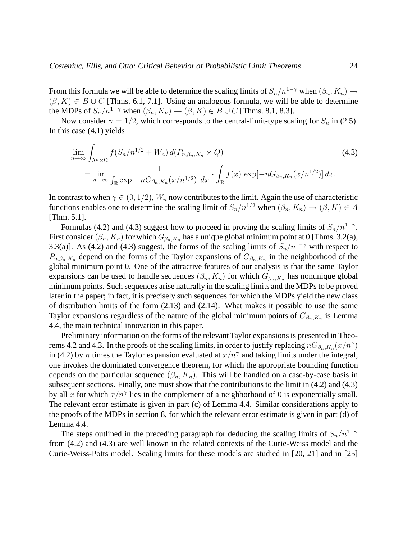From this formula we will be able to determine the scaling limits of  $S_n/n^{1-\gamma}$  when  $(\beta_n, K_n) \to$  $(\beta, K) \in B \cup C$  [Thms. 6.1, 7.1]. Using an analogous formula, we will be able to determine the MDPs of  $S_n/n^{1-\gamma}$  when  $(\beta_n, K_n) \to (\beta, K) \in B \cup C$  [Thms. 8.1, 8.3].

Now consider  $\gamma = 1/2$ , which corresponds to the central-limit-type scaling for  $S_n$  in (2.5). In this case (4.1) yields

$$
\lim_{n \to \infty} \int_{\Lambda^n \times \Omega} f(S_n/n^{1/2} + W_n) d(P_{n, \beta_n, K_n} \times Q)
$$
\n
$$
= \lim_{n \to \infty} \frac{1}{\int_{\mathbb{R}} \exp[-nG_{\beta_n, K_n}(x/n^{1/2})] dx} \cdot \int_{\mathbb{R}} f(x) \exp[-nG_{\beta_n, K_n}(x/n^{1/2})] dx.
$$
\n(4.3)

In contrast to when  $\gamma \in (0, 1/2)$ ,  $W_n$  now contributes to the limit. Again the use of characteristic functions enables one to determine the scaling limit of  $S_n/n^{1/2}$  when  $(\beta_n, K_n) \to (\beta, K) \in A$ [Thm. 5.1].

Formulas (4.2) and (4.3) suggest how to proceed in proving the scaling limits of  $S_n/n^{1-\gamma}$ . First consider  $(\beta_n, K_n)$  for which  $G_{\beta_n, K_n}$  has a unique global minimum point at 0 [Thms. 3.2(a), 3.3(a)]. As (4.2) and (4.3) suggest, the forms of the scaling limits of  $S_n/n^{1-\gamma}$  with respect to  $P_{n,\beta_n,K_n}$  depend on the forms of the Taylor expansions of  $G_{\beta_n,K_n}$  in the neighborhood of the global minimum point 0. One of the attractive features of our analysis is that the same Taylor expansions can be used to handle sequences  $(\beta_n, K_n)$  for which  $G_{\beta_n,K_n}$  has nonunique global minimum points. Such sequences arise naturally in the scaling limits and the MDPs to be proved later in the paper; in fact, it is precisely such sequences for which the MDPs yield the new class of distribution limits of the form (2.13) and (2.14). What makes it possible to use the same Taylor expansions regardless of the nature of the global minimum points of  $G_{\beta_n,K_n}$  is Lemma 4.4, the main technical innovation in this paper.

Preliminary information on the forms of the relevant Taylor expansions is presented in Theorems 4.2 and 4.3. In the proofs of the scaling limits, in order to justify replacing  $nG_{\beta_n,K_n}(x/n^{\gamma})$ in (4.2) by *n* times the Taylor expansion evaluated at  $x/n^{\gamma}$  and taking limits under the integral, one invokes the dominated convergence theorem, for which the appropriate bounding function depends on the particular sequence  $(\beta_n, K_n)$ . This will be handled on a case-by-case basis in subsequent sections. Finally, one must show that the contributions to the limit in (4.2) and (4.3) by all x for which  $x/n^{\gamma}$  lies in the complement of a neighborhood of 0 is exponentially small. The relevant error estimate is given in part (c) of Lemma 4.4. Similar considerations apply to the proofs of the MDPs in section 8, for which the relevant error estimate is given in part (d) of Lemma 4.4.

The steps outlined in the preceding paragraph for deducing the scaling limits of  $S_n/n^{1-\gamma}$ from (4.2) and (4.3) are well known in the related contexts of the Curie-Weiss model and the Curie-Weiss-Potts model. Scaling limits for these models are studied in [20, 21] and in [25]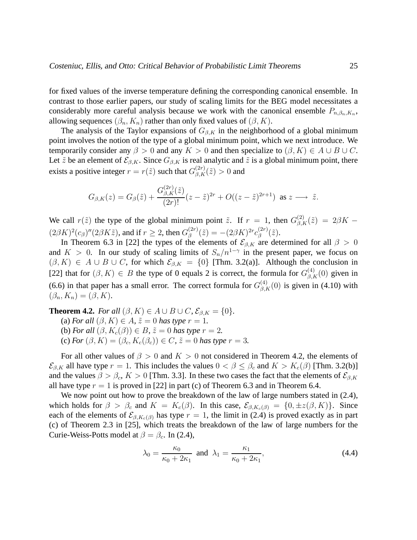for fixed values of the inverse temperature defining the corresponding canonical ensemble. In contrast to those earlier papers, our study of scaling limits for the BEG model necessitates a considerably more careful analysis because we work with the canonical ensemble  $P_{n,\beta_n,K_n}$ , allowing sequences  $(\beta_n, K_n)$  rather than only fixed values of  $(\beta, K)$ .

The analysis of the Taylor expansions of  $G_{\beta,K}$  in the neighborhood of a global minimum point involves the notion of the type of a global minimum point, which we next introduce. We temporarily consider any  $\beta > 0$  and any  $K > 0$  and then specialize to  $(\beta, K) \in A \cup B \cup C$ . Let  $\tilde{z}$  be an element of  $\mathcal{E}_{\beta,K}$ . Since  $G_{\beta,K}$  is real analytic and  $\tilde{z}$  is a global minimum point, there exists a positive integer  $r = r(\tilde{z})$  such that  $G_{\beta,K}^{(2r)}(\tilde{z}) > 0$  and

$$
G_{\beta,K}(z) = G_{\beta}(\tilde{z}) + \frac{G_{\beta,K}^{(2r)}(\tilde{z})}{(2r)!}(z-\tilde{z})^{2r} + O((z-\tilde{z})^{2r+1}) \text{ as } z \longrightarrow \tilde{z}.
$$

We call  $r(\tilde{z})$  the type of the global minimum point  $\tilde{z}$ . If  $r = 1$ , then  $G_{\beta,K}^{(2)}(\tilde{z}) = 2\beta K - 1$  $(2\beta K)^2(c_\beta)''(2\beta K\tilde{z})$ , and if  $r \geq 2$ , then  $G_\beta^{(2r)}$  $\binom{(2r)}{\beta} = -(2\beta K)^{2r} c_{\beta}^{(2r)}$  $\mathbf{f}_{\beta}^{(2r)}(\tilde{z}).$ 

In Theorem 6.3 in [22] the types of the elements of  $\mathcal{E}_{\beta,K}$  are determined for all  $\beta > 0$ and  $K > 0$ . In our study of scaling limits of  $S_n/n^{1-\gamma}$  in the present paper, we focus on  $(\beta, K) \in A \cup B \cup C$ , for which  $\mathcal{E}_{\beta,K} = \{0\}$  [Thm. 3.2(a)]. Although the conclusion in [22] that for  $(\beta, K) \in B$  the type of 0 equals 2 is correct, the formula for  $G_{\beta,K}^{(4)}(0)$  given in (6.6) in that paper has a small error. The correct formula for  $G_{\beta,K}^{(4)}(0)$  is given in (4.10) with  $(\beta_n, K_n) = (\beta, K).$ 

**Theorem 4.2.** *For all*  $(\beta, K) \in A \cup B \cup C$ *,*  $\mathcal{E}_{\beta,K} = \{0\}$ *.* 

(a) *For all*  $(\beta, K) \in A$ ,  $\tilde{z} = 0$  *has type*  $r = 1$ .

(b) *For all*  $(\beta, K_c(\beta)) \in B$ ,  $\tilde{z} = 0$  *has type*  $r = 2$ .

(c) *For*  $(\beta, K) = (\beta_c, K_c(\beta_c)) \in C$ ,  $\tilde{z} = 0$  *has type*  $r = 3$ .

For all other values of  $\beta > 0$  and  $K > 0$  not considered in Theorem 4.2, the elements of  $\mathcal{E}_{\beta,K}$  all have type  $r = 1$ . This includes the values  $0 < \beta \leq \beta_c$  and  $K > K_c(\beta)$  [Thm. 3.2(b)] and the values  $\beta > \beta_c$ ,  $K > 0$  [Thm. 3.3]. In these two cases the fact that the elements of  $\mathcal{E}_{\beta,K}$ all have type  $r = 1$  is proved in [22] in part (c) of Theorem 6.3 and in Theorem 6.4.

We now point out how to prove the breakdown of the law of large numbers stated in  $(2.4)$ , which holds for  $\beta > \beta_c$  and  $K = K_c(\beta)$ . In this case,  $\mathcal{E}_{\beta,K_c(\beta)} = \{0, \pm z(\beta,K)\}\$ . Since each of the elements of  $\mathcal{E}_{\beta,K_c(\beta)}$  has type  $r=1$ , the limit in (2.4) is proved exactly as in part (c) of Theorem 2.3 in [25], which treats the breakdown of the law of large numbers for the Curie-Weiss-Potts model at  $\beta = \beta_c$ . In (2.4),

$$
\lambda_0 = \frac{\kappa_0}{\kappa_0 + 2\kappa_1} \text{ and } \lambda_1 = \frac{\kappa_1}{\kappa_0 + 2\kappa_1},\tag{4.4}
$$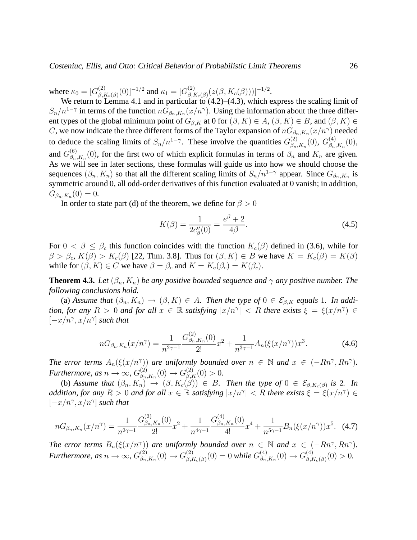Costeniuc, Ellis, and Otto: Critical Behavior of Probabilistic Limit Theorems 26

where  $\kappa_0 = [G_{\beta, R}^{(2)}]$  $\epsilon_{\beta,K_{c}(\beta)}^{(2)}(0)]^{-1/2}$  and  $\kappa_{1}=[G_{\beta,R}^{(2)}]$  $\frac{^{(2)}}{^{(\beta,K_c(\beta)}(z(\beta,K_c(\beta)))]^{-1/2}}.$ 

We return to Lemma 4.1 and in particular to  $(4.2)$ – $(4.3)$ , which express the scaling limit of  $S_n/n^{1-\gamma}$  in terms of the function  $nG_{\beta_n,K_n}(x/n^{\gamma})$ . Using the information about the three different types of the global minimum point of  $G_{\beta,K}$  at 0 for  $(\beta, K) \in A$ ,  $(\beta, K) \in B$ , and  $(\beta, K) \in A$ C, we now indicate the three different forms of the Taylor expansion of  $nG_{\beta_n,K_n}(x/n^{\gamma})$  needed to deduce the scaling limits of  $S_n/n^{1-\gamma}$ . These involve the quantities  $G_{\beta_n}^{(2)}$  $_{\beta _{n},K_{n}}^{(2)}(0),\ G_{\beta _{n}}^{(4)}$  $\binom{4}{\beta_n,K_n}(0),$ and  $G_{\beta_n}^{(6)}$  $\beta_{n,K_n}^{(0)}(0)$ , for the first two of which explicit formulas in terms of  $\beta_n$  and  $K_n$  are given. As we will see in later sections, these formulas will guide us into how we should choose the sequences  $(\beta_n, K_n)$  so that all the different scaling limits of  $S_n/n^{1-\gamma}$  appear. Since  $G_{\beta_n,K_n}$  is symmetric around 0, all odd-order derivatives of this function evaluated at 0 vanish; in addition,  $G_{\beta_n,K_n}(0) = 0.$ 

In order to state part (d) of the theorem, we define for  $\beta > 0$ 

$$
K(\beta) = \frac{1}{2c_{\beta}^{\prime\prime}(0)} = \frac{e^{\beta} + 2}{4\beta}.
$$
\n(4.5)

For  $0 < \beta \leq \beta_c$  this function coincides with the function  $K_c(\beta)$  defined in (3.6), while for  $\beta > \beta_c$ ,  $K(\beta) > K_c(\beta)$  [22, Thm. 3.8]. Thus for  $(\beta, K) \in B$  we have  $K = K_c(\beta) = K(\beta)$ while for  $(\beta, K) \in C$  we have  $\beta = \beta_c$  and  $K = K_c(\beta_c) = K(\beta_c)$ .

**Theorem 4.3.** *Let*  $(\beta_n, K_n)$  *be any positive bounded sequence and*  $\gamma$  *any positive number. The following conclusions hold.*

(a) Assume that  $(\beta_n, K_n) \to (\beta, K) \in A$ . Then the type of  $0 \in \mathcal{E}_{\beta,K}$  equals 1. In addi*tion, for any*  $R > 0$  *and for all*  $x \in \mathbb{R}$  *satisfying*  $|x/n^{\gamma}| < R$  *there exists*  $\xi = \xi(x/n^{\gamma}) \in$  $[-x/n^{\gamma}, x/n^{\gamma}]$  *such that* 

$$
nG_{\beta_n,K_n}(x/n^{\gamma}) = \frac{1}{n^{2\gamma - 1}} \frac{G_{\beta_n,K_n}^{(2)}(0)}{2!} x^2 + \frac{1}{n^{3\gamma - 1}} A_n(\xi(x/n^{\gamma})) x^3.
$$
 (4.6)

*The error terms*  $A_n(\xi(x/n^{\gamma}))$  *are uniformly bounded over*  $n \in \mathbb{N}$  *and*  $x \in (-Rn^{\gamma}, Rn^{\gamma})$ *. Furthermore, as*  $n \to \infty$ ,  $G_{\beta_n}^{(2)}$  $\beta_{n,K_n}(0) \to G_{\beta,K}^{(2)}(0) > 0.$ 

(b) *Assume that*  $(\beta_n, K_n) \to (\beta, K_c(\beta)) \in B$ . Then the type of  $0 \in \mathcal{E}_{\beta, K_c(\beta)}$  is 2. In *addition, for any*  $R > 0$  *and for all*  $x \in \mathbb{R}$  *satisfying*  $|x/n^{\gamma}| < R$  *there exists*  $\xi = \xi(x/n^{\gamma}) \in$  $[-x/n^{\gamma}, x/n^{\gamma}]$  *such that* 

$$
nG_{\beta_n,K_n}(x/n^{\gamma}) = \frac{1}{n^{2\gamma - 1}} \frac{G_{\beta_n,K_n}^{(2)}(0)}{2!} x^2 + \frac{1}{n^{4\gamma - 1}} \frac{G_{\beta_n,K_n}^{(4)}(0)}{4!} x^4 + \frac{1}{n^{5\gamma - 1}} B_n(\xi(x/n^{\gamma})) x^5. \tag{4.7}
$$

*The error terms*  $B_n(\xi(x/n^{\gamma}))$  *are uniformly bounded over*  $n \in \mathbb{N}$  *and*  $x \in (-Rn^{\gamma}, Rn^{\gamma})$ *. Furthermore, as*  $n \rightarrow \infty$ ,  $G_{\beta_n}^{(2)}$  $\beta_{n,K_n}(0) \to G_{\beta,I}^{(2)}$  $\hat{\beta}_{\beta,K_{c}(\beta)}^{(2)}(0)=0$  while  $G_{\beta_{n}}^{(4)}$  $\beta_{n,K_n}^{(4)}(0) \to G_{\beta,I}^{(4)}$  ${}_{\beta,K_c(\beta)}^{(4)}(0) > 0.$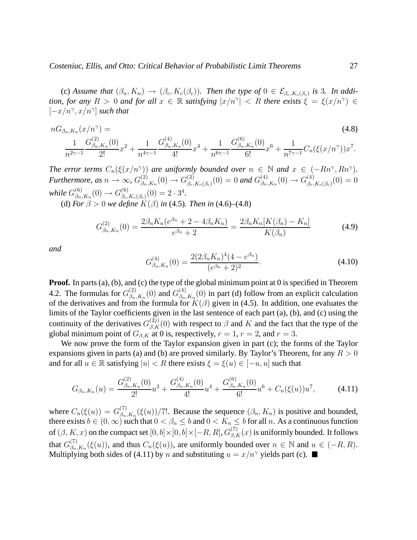(c) *Assume that*  $(\beta_n, K_n) \to (\beta_c, K_c(\beta_c))$ . Then the type of  $0 \in \mathcal{E}_{\beta_c, K_c(\beta_c)}$  is 3. In addi*tion, for any*  $R > 0$  *and for all*  $x \in \mathbb{R}$  *satisfying*  $|x/n^{\gamma}| < R$  *there exists*  $\xi = \xi(x/n^{\gamma}) \in$  $[-x/n^{\gamma}, x/n^{\gamma}]$  *such that* 

$$
nG_{\beta_n,K_n}(x/n^{\gamma}) = (4.8)
$$
  

$$
\frac{1}{n^{2\gamma-1}}\frac{G_{\beta_n,K_n}^{(2)}(0)}{2!}x^2 + \frac{1}{n^{4\gamma-1}}\frac{G_{\beta_n,K_n}^{(4)}(0)}{4!}x^4 + \frac{1}{n^{6\gamma-1}}\frac{G_{\beta_n,K_n}^{(6)}(0)}{6!}x^6 + \frac{1}{n^{7\gamma-1}}C_n(\xi(x/n^{\gamma}))x^7.
$$

*The error terms*  $C_n(\xi(x/n^{\gamma}))$  *are uniformly bounded over*  $n \in \mathbb{N}$  *and*  $x \in (-Rn^{\gamma}, Rn^{\gamma})$ *. Furthermore, as*  $n \to \infty$ ,  $G_{\beta_n}^{(2)}$  $\beta_{n,K_n}(0) \to G_{\beta_c}^{(2)}$  $\beta_{c,K_{c}(\beta_{c})}(0)=0$  and  $G_{\beta_{n}}^{(4)}$  $\beta_{n,K_n}(0) \to G_{\beta_c}^{(4)}$  $\binom{4}{\beta_c,K_c(\beta_c)}(0)=0$ while  $G_{\beta_n}^{(6)}$  $\beta_{n,K_n}(0) \to G_{\beta_c}^{(6)}$  $\binom{6}{\beta_c,K_c(\beta_c)}(0) = 2 \cdot 3^4.$ 

(d) *For*  $\beta > 0$  *we define*  $K(\beta)$  *in* (4.5)*. Then in* (4.6)–(4.8)

$$
G_{\beta_n,K_n}^{(2)}(0) = \frac{2\beta_n K_n(e^{\beta_n} + 2 - 4\beta_n K_n)}{e^{\beta_n} + 2} = \frac{2\beta_n K_n[K(\beta_n) - K_n]}{K(\beta_n)}
$$
(4.9)

*and*

$$
G_{\beta_n,K_n}^{(4)}(0) = \frac{2(2\beta_n K_n)^4 (4 - e^{\beta_n})}{(e^{\beta_n} + 2)^2}.
$$
\n(4.10)

**Proof.** In parts (a), (b), and (c) the type of the global minimum point at 0 is specified in Theorem 4.2. The formulas for  $G_{\beta_n}^{(2)}$  $\binom{(2)}{\beta_n,K_n}(0)$  and  $G_{\beta_n}^{(4)}$  $\beta_{n,K_n}^{(4)}(0)$  in part (d) follow from an explicit calculation of the derivatives and from the formula for  $K(\beta)$  given in (4.5). In addition, one evaluates the limits of the Taylor coefficients given in the last sentence of each part (a), (b), and (c) using the continuity of the derivatives  $G_{\beta,K}^{(2j)}(0)$  with respect to  $\beta$  and  $K$  and the fact that the type of the global minimum point of  $G_{\beta,K}$  at 0 is, respectively,  $r = 1$ ,  $r = 2$ , and  $r = 3$ .

We now prove the form of the Taylor expansion given in part (c); the forms of the Taylor expansions given in parts (a) and (b) are proved similarly. By Taylor's Theorem, for any  $R > 0$ and for all  $u \in \mathbb{R}$  satisfying  $|u| < R$  there exists  $\xi = \xi(u) \in [-u, u]$  such that

$$
G_{\beta_n,K_n}(u) = \frac{G_{\beta_n,K_n}^{(2)}(0)}{2!}u^2 + \frac{G_{\beta_n,K_n}^{(4)}(0)}{4!}u^4 + \frac{G_{\beta_n,K_n}^{(6)}(0)}{6!}u^6 + C_n(\xi(u))u^7, \tag{4.11}
$$

where  $C_n(\xi(u)) = G_{\beta_n}^{(7)}$  $\beta_{n,K_n}^{(1)}(\xi(u))/7!$ . Because the sequence  $(\beta_n, K_n)$  is positive and bounded, there exists  $b \in (0,\infty)$  such that  $0 < \beta_n \le b$  and  $0 < K_n \le b$  for all n. As a continuous function of  $(\beta, K, x)$  on the compact set  $[0, b] \times [0, b] \times [-R, R], G_{\beta, K}^{(7)}(x)$  is uniformly bounded. It follows that  $G_{\beta_n}^{(7)}$  $\beta_{n,K_n}^{(7)}(\xi(u))$ , and thus  $C_n(\xi(u))$ , are uniformly bounded over  $n \in \mathbb{N}$  and  $u \in (-R, R)$ . Multiplying both sides of (4.11) by n and substituting  $u = x/n^{\gamma}$  yields part (c).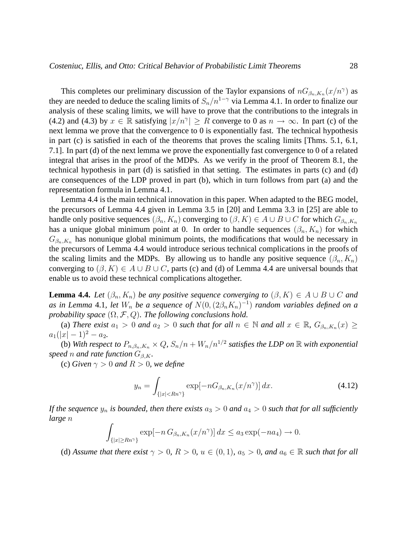This completes our preliminary discussion of the Taylor expansions of  $nG_{\beta_n,K_n}(x/n^{\gamma})$  as they are needed to deduce the scaling limits of  $S_n/n^{1-\gamma}$  via Lemma 4.1. In order to finalize our analysis of these scaling limits, we will have to prove that the contributions to the integrals in (4.2) and (4.3) by  $x \in \mathbb{R}$  satisfying  $|x/n^{\gamma}| \ge R$  converge to 0 as  $n \to \infty$ . In part (c) of the next lemma we prove that the convergence to 0 is exponentially fast. The technical hypothesis in part (c) is satisfied in each of the theorems that proves the scaling limits [Thms. 5.1, 6.1, 7.1]. In part (d) of the next lemma we prove the exponentially fast convergence to 0 of a related integral that arises in the proof of the MDPs. As we verify in the proof of Theorem 8.1, the technical hypothesis in part (d) is satisfied in that setting. The estimates in parts (c) and (d) are consequences of the LDP proved in part (b), which in turn follows from part (a) and the representation formula in Lemma 4.1.

Lemma 4.4 is the main technical innovation in this paper. When adapted to the BEG model, the precursors of Lemma 4.4 given in Lemma 3.5 in [20] and Lemma 3.3 in [25] are able to handle only positive sequences  $(\beta_n, K_n)$  converging to  $(\beta, K) \in A \cup B \cup C$  for which  $G_{\beta_n, K_n}$ has a unique global minimum point at 0. In order to handle sequences  $(\beta_n, K_n)$  for which  $G_{\beta_n,K_n}$  has nonunique global minimum points, the modifications that would be necessary in the precursors of Lemma 4.4 would introduce serious technical complications in the proofs of the scaling limits and the MDPs. By allowing us to handle any positive sequence  $(\beta_n, K_n)$ converging to  $(\beta, K) \in A \cup B \cup C$ , parts (c) and (d) of Lemma 4.4 are universal bounds that enable us to avoid these technical complications altogether.

**Lemma 4.4.** *Let*  $(\beta_n, K_n)$  *be any positive sequence converging to*  $(\beta, K) \in A \cup B \cup C$  *and* as in Lemma 4.1, let  $W_n$  be a sequence of  $N(0, (2\beta_n K_n)^{-1})$  random variables defined on a *probability space*  $(\Omega, \mathcal{F}, Q)$ *. The following conclusions hold.* 

(a) *There exist*  $a_1 > 0$  *and*  $a_2 > 0$  *such that for all*  $n \in \mathbb{N}$  *and all*  $x \in \mathbb{R}$ *,*  $G_{\beta_n,K_n}(x) \geq$  $a_1(|x|-1)^2-a_2.$ 

(b) With respect to  $P_{n,\beta_n,K_n} \times Q$ ,  $S_n/n + W_n/n^{1/2}$  satisfies the LDP on  $\mathbb R$  with exponential *speed n and rate function*  $G_{\beta,K}$ *.* 

(c) *Given*  $\gamma > 0$  *and*  $R > 0$ *, we define* 

$$
y_n = \int_{\{|x| < Rn^{\gamma}\}} \exp[-nG_{\beta_n, K_n}(x/n^{\gamma})] \, dx. \tag{4.12}
$$

*If the sequence*  $y_n$  *is bounded, then there exists*  $a_3 > 0$  *and*  $a_4 > 0$  *such that for all sufficiently large* n

$$
\int_{\{|x| \ge Rn^{\gamma}\}} \exp[-n G_{\beta_n,K_n}(x/n^{\gamma})] dx \le a_3 \exp(-na_4) \to 0.
$$

(d) *Assume that there exist*  $\gamma > 0$ *, R* > 0*,*  $u \in (0, 1)$ *,*  $a_5 > 0$ *, and*  $a_6 \in \mathbb{R}$  *such that for all*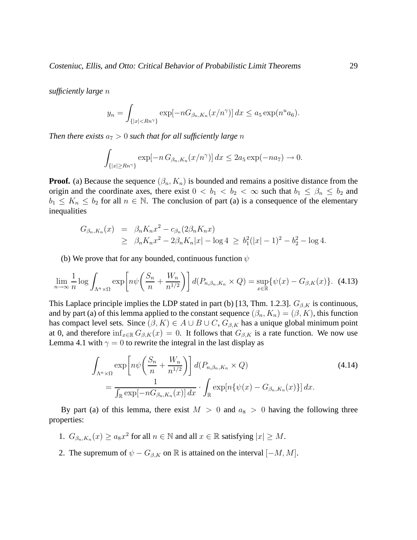*sufficiently large* n

$$
y_n = \int_{\{|x| < Rn^{\gamma}\}} \exp[-nG_{\beta_n, K_n}(x/n^{\gamma})] \, dx \le a_5 \exp(n^u a_6).
$$

*Then there exists*  $a_7 > 0$  *such that for all sufficiently large n* 

$$
\int_{\{|x| \ge Rn^{\gamma}\}} \exp[-n G_{\beta_n,K_n}(x/n^{\gamma})] dx \le 2a_5 \exp(-na_7) \to 0.
$$

**Proof.** (a) Because the sequence  $(\beta_n, K_n)$  is bounded and remains a positive distance from the origin and the coordinate axes, there exist  $0 < b_1 < b_2 < \infty$  such that  $b_1 \leq \beta_n \leq b_2$  and  $b_1 \leq K_n \leq b_2$  for all  $n \in \mathbb{N}$ . The conclusion of part (a) is a consequence of the elementary inequalities

$$
G_{\beta_n, K_n}(x) = \beta_n K_n x^2 - c_{\beta_n} (2\beta_n K_n x)
$$
  
\n
$$
\geq \beta_n K_n x^2 - 2\beta_n K_n |x| - \log 4 \geq b_1^2 (|x| - 1)^2 - b_2^2 - \log 4.
$$

(b) We prove that for any bounded, continuous function  $\psi$ 

$$
\lim_{n \to \infty} \frac{1}{n} \log \int_{\Lambda^n \times \Omega} \exp\left[n\psi\left(\frac{S_n}{n} + \frac{W_n}{n^{1/2}}\right)\right] d(P_{n,\beta_n,K_n} \times Q) = \sup_{x \in \mathbb{R}} \{\psi(x) - G_{\beta,K}(x)\}.
$$
 (4.13)

This Laplace principle implies the LDP stated in part (b) [13, Thm. 1.2.3].  $G_{\beta,K}$  is continuous, and by part (a) of this lemma applied to the constant sequence  $(\beta_n, K_n) = (\beta, K)$ , this function has compact level sets. Since  $(\beta, K) \in A \cup B \cup C$ ,  $G_{\beta, K}$  has a unique global minimum point at 0, and therefore  $\inf_{x \in \mathbb{R}} G_{\beta,K}(x) = 0$ . It follows that  $G_{\beta,K}$  is a rate function. We now use Lemma 4.1 with  $\gamma = 0$  to rewrite the integral in the last display as

$$
\int_{\Lambda^n \times \Omega} \exp\left[n\psi\left(\frac{S_n}{n} + \frac{W_n}{n^{1/2}}\right)\right] d(P_{n,\beta_n,K_n} \times Q) \tag{4.14}
$$
\n
$$
= \frac{1}{\int_{\mathbb{R}} \exp[-nG_{\beta_n,K_n}(x)] dx} \cdot \int_{\mathbb{R}} \exp[n\{\psi(x) - G_{\beta_n,K_n}(x)\}] dx.
$$

By part (a) of this lemma, there exist  $M > 0$  and  $a_8 > 0$  having the following three properties:

- 1.  $G_{\beta_n,K_n}(x) \ge a_8 x^2$  for all  $n \in \mathbb{N}$  and all  $x \in \mathbb{R}$  satisfying  $|x| \ge M$ .
- 2. The supremum of  $\psi G_{\beta,K}$  on R is attained on the interval  $[-M, M]$ .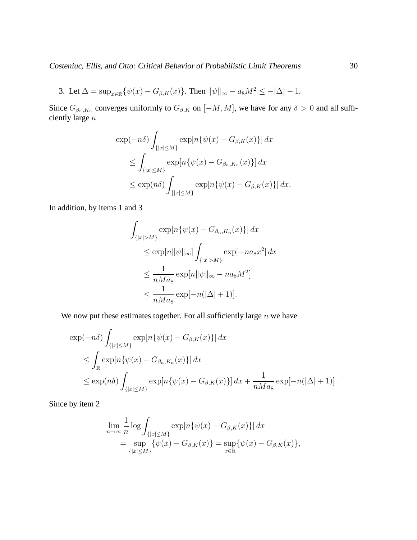Costeniuc, Ellis, and Otto: Critical Behavior of Probabilistic Limit Theorems 30

3. Let 
$$
\Delta = \sup_{x \in \mathbb{R}} {\{\psi(x) - G_{\beta,K}(x)\}}
$$
. Then  $\|\psi\|_{\infty} - a_8 M^2 \le -|\Delta| - 1$ .

Since  $G_{\beta_n,K_n}$  converges uniformly to  $G_{\beta,K}$  on  $[-M, M]$ , we have for any  $\delta > 0$  and all sufficiently large  $\boldsymbol{n}$ 

$$
\exp(-n\delta) \int_{\{|x| \le M\}} \exp[n\{\psi(x) - G_{\beta,K}(x)\}] dx
$$
  
\n
$$
\le \int_{\{|x| \le M\}} \exp[n\{\psi(x) - G_{\beta_n,K_n}(x)\}] dx
$$
  
\n
$$
\le \exp(n\delta) \int_{\{|x| \le M\}} \exp[n\{\psi(x) - G_{\beta,K}(x)\}] dx.
$$

In addition, by items 1 and 3

$$
\int_{\{|x|>M\}} \exp[n\{\psi(x) - G_{\beta_n, K_n}(x)\}] dx
$$
  
\n
$$
\leq \exp[n||\psi||_{\infty}] \int_{\{|x|>M\}} \exp[-na_8x^2] dx
$$
  
\n
$$
\leq \frac{1}{nMa_8} \exp[n||\psi||_{\infty} - na_8M^2]
$$
  
\n
$$
\leq \frac{1}{nMa_8} \exp[-n(|\Delta|+1)].
$$

We now put these estimates together. For all sufficiently large  $n$  we have

$$
\exp(-n\delta) \int_{\{|x| \le M\}} \exp[n\{\psi(x) - G_{\beta,K}(x)\}] dx
$$
  
\n
$$
\le \int_{\mathbb{R}} \exp[n\{\psi(x) - G_{\beta_n,K_n}(x)\}] dx
$$
  
\n
$$
\le \exp(n\delta) \int_{\{|x| \le M\}} \exp[n\{\psi(x) - G_{\beta,K}(x)\}] dx + \frac{1}{nMa_8} \exp[-n(|\Delta| + 1)].
$$

Since by item 2

$$
\lim_{n \to \infty} \frac{1}{n} \log \int_{\{|x| \le M\}} \exp[n\{\psi(x) - G_{\beta,K}(x)\}] dx \n= \sup_{\{|x| \le M\}} \{\psi(x) - G_{\beta,K}(x)\} = \sup_{x \in \mathbb{R}} \{\psi(x) - G_{\beta,K}(x)\},
$$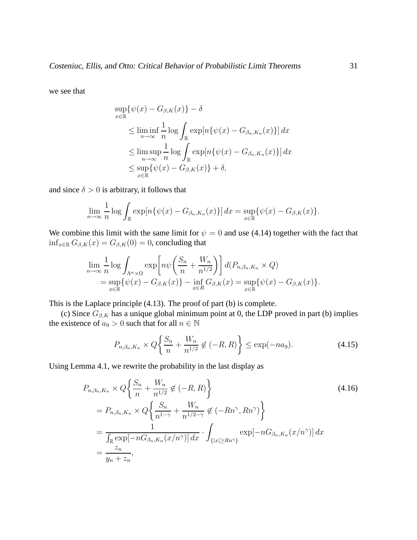we see that

$$
\sup_{x \in \mathbb{R}} \{\psi(x) - G_{\beta,K}(x)\} - \delta
$$
\n
$$
\leq \liminf_{n \to \infty} \frac{1}{n} \log \int_{\mathbb{R}} \exp[n\{\psi(x) - G_{\beta_n, K_n}(x)\}] dx
$$
\n
$$
\leq \limsup_{n \to \infty} \frac{1}{n} \log \int_{\mathbb{R}} \exp[n\{\psi(x) - G_{\beta_n, K_n}(x)\}] dx
$$
\n
$$
\leq \sup_{x \in \mathbb{R}} \{\psi(x) - G_{\beta, K}(x)\} + \delta,
$$

and since  $\delta > 0$  is arbitrary, it follows that

$$
\lim_{n\to\infty}\frac{1}{n}\log\int_{\mathbb{R}}\exp[n\{\psi(x)-G_{\beta_n,K_n}(x)\}]dx=\sup_{x\in\mathbb{R}}\{\psi(x)-G_{\beta,K}(x)\}.
$$

We combine this limit with the same limit for  $\psi = 0$  and use (4.14) together with the fact that  $\inf_{x \in \mathbb{R}} G_{\beta,K}(x) = G_{\beta,K}(0) = 0$ , concluding that

$$
\lim_{n \to \infty} \frac{1}{n} \log \int_{\Lambda^n \times \Omega} \exp \left[ n\psi \left( \frac{S_n}{n} + \frac{W_n}{n^{1/2}} \right) \right] d(P_{n,\beta_n,K_n} \times Q)
$$
  
= 
$$
\sup_{x \in \mathbb{R}} \{ \psi(x) - G_{\beta,K}(x) \} - \inf_{x \in R} G_{\beta,K}(x) = \sup_{x \in \mathbb{R}} \{ \psi(x) - G_{\beta,K}(x) \}.
$$

This is the Laplace principle (4.13). The proof of part (b) is complete.

(c) Since  $G_{\beta,K}$  has a unique global minimum point at 0, the LDP proved in part (b) implies the existence of  $a_9 > 0$  such that for all  $n \in \mathbb{N}$ 

$$
P_{n,\beta_n,K_n} \times Q\left\{\frac{S_n}{n} + \frac{W_n}{n^{1/2}} \notin (-R,R)\right\} \le \exp(-na_9).
$$
 (4.15)

Using Lemma 4.1, we rewrite the probability in the last display as

$$
P_{n,\beta_n,K_n} \times Q\left\{\frac{S_n}{n} + \frac{W_n}{n^{1/2}} \notin (-R, R)\right\}
$$
  
=  $P_{n,\beta_n,K_n} \times Q\left\{\frac{S_n}{n^{1-\gamma}} + \frac{W_n}{n^{1/2-\gamma}} \notin (-Rn^{\gamma}, Rn^{\gamma})\right\}$   
=  $\frac{1}{\int_{\mathbb{R}} \exp[-nG_{\beta_n,K_n}(x/n^{\gamma})] dx} \cdot \int_{\{|x| \ge Rn^{\gamma}\}} \exp[-nG_{\beta_n,K_n}(x/n^{\gamma})] dx$   
=  $\frac{z_n}{y_n + z_n}$ , (4.16)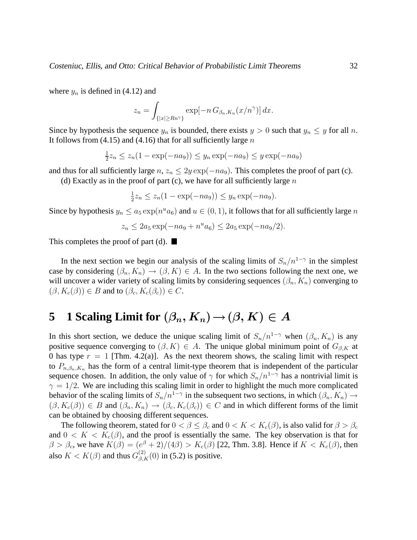where  $y_n$  is defined in (4.12) and

$$
z_n = \int_{\{|x| \ge Rn^{\gamma}\}} \exp[-n G_{\beta_n, K_n}(x/n^{\gamma})] dx.
$$

Since by hypothesis the sequence  $y_n$  is bounded, there exists  $y > 0$  such that  $y_n \leq y$  for all n. It follows from  $(4.15)$  and  $(4.16)$  that for all sufficiently large n

$$
\frac{1}{2}z_n \le z_n(1 - \exp(-na_9)) \le y_n \exp(-na_9) \le y \exp(-na_9)
$$

and thus for all sufficiently large  $n, z_n \leq 2y \exp(-na_9)$ . This completes the proof of part (c).

(d) Exactly as in the proof of part (c), we have for all sufficiently large  $n$ 

$$
\frac{1}{2}z_n \le z_n(1 - \exp(-na_9)) \le y_n \exp(-na_9).
$$

Since by hypothesis  $y_n \le a_5 \exp(n^u a_6)$  and  $u \in (0, 1)$ , it follows that for all sufficiently large n

$$
z_n \le 2a_5 \exp(-na_9 + n^u a_6) \le 2a_5 \exp(-na_9/2).
$$

This completes the proof of part (d).  $\blacksquare$ 

In the next section we begin our analysis of the scaling limits of  $S_n/n^{1-\gamma}$  in the simplest case by considering  $(\beta_n, K_n) \to (\beta, K) \in A$ . In the two sections following the next one, we will uncover a wider variety of scaling limits by considering sequences  $(\beta_n, K_n)$  converging to  $(\beta, K_c(\beta)) \in B$  and to  $(\beta_c, K_c(\beta_c)) \in C$ .

### **5 1** Scaling Limit for  $(\beta_n, K_n) \to (\beta, K) \in A$

In this short section, we deduce the unique scaling limit of  $S_n/n^{1-\gamma}$  when  $(\beta_n, K_n)$  is any positive sequence converging to  $(\beta, K) \in A$ . The unique global minimum point of  $G_{\beta,K}$  at 0 has type  $r = 1$  [Thm. 4.2(a)]. As the next theorem shows, the scaling limit with respect to  $P_{n,\beta_n,K_n}$  has the form of a central limit-type theorem that is independent of the particular sequence chosen. In addition, the only value of  $\gamma$  for which  $S_n/n^{1-\gamma}$  has a nontrivial limit is  $\gamma = 1/2$ . We are including this scaling limit in order to highlight the much more complicated behavior of the scaling limits of  $S_n/n^{1-\gamma}$  in the subsequent two sections, in which  $(\beta_n, K_n) \to$  $(\beta, K_c(\beta)) \in B$  and  $(\beta_n, K_n) \to (\beta_c, K_c(\beta_c)) \in C$  and in which different forms of the limit can be obtained by choosing different sequences.

The following theorem, stated for  $0 < \beta \leq \beta_c$  and  $0 < K < K_c(\beta)$ , is also valid for  $\beta > \beta_c$ and  $0 < K < K_c(\beta)$ , and the proof is essentially the same. The key observation is that for  $\beta > \beta_c$ , we have  $K(\beta) = (e^{\beta} + 2)/(4\beta) > K_c(\beta)$  [22, Thm. 3.8]. Hence if  $K < K_c(\beta)$ , then also  $K < K(\beta)$  and thus  $G_{\beta,K}^{(2)}(0)$  in (5.2) is positive.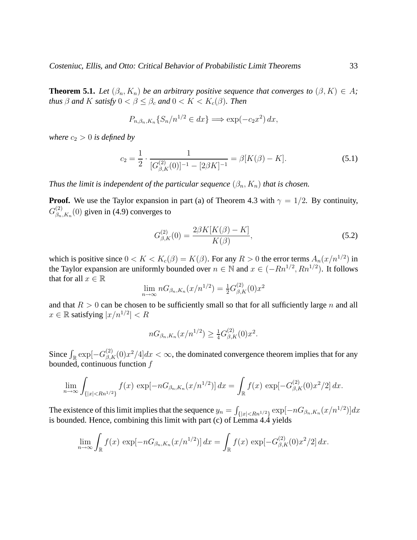**Theorem 5.1.** *Let*  $(\beta_n, K_n)$  *be an arbitrary positive sequence that converges to*  $(\beta, K) \in A$ *; thus*  $\beta$  *and* K *satisfy*  $0 < \beta \leq \beta_c$  *and*  $0 < K < K_c(\beta)$ *. Then* 

$$
P_{n,\beta_n,K_n}\{S_n/n^{1/2} \in dx\} \Longrightarrow \exp(-c_2x^2) \, dx,
$$

*where*  $c_2 > 0$  *is defined by* 

$$
c_2 = \frac{1}{2} \cdot \frac{1}{[G_{\beta,K}^{(2)}(0)]^{-1} - [2\beta K]^{-1}} = \beta[K(\beta) - K].
$$
\n(5.1)

*Thus the limit is independent of the particular sequence*  $(\beta_n, K_n)$  *that is chosen.* 

**Proof.** We use the Taylor expansion in part (a) of Theorem 4.3 with  $\gamma = 1/2$ . By continuity,  $G_{\beta_n}^{(2)}$  $\binom{2}{\beta_n,K_n}(0)$  given in (4.9) converges to

$$
G_{\beta,K}^{(2)}(0) = \frac{2\beta K[K(\beta) - K]}{K(\beta)},
$$
\n(5.2)

which is positive since  $0 < K < K_c(\beta) = K(\beta)$ . For any  $R > 0$  the error terms  $A_n(x/n^{1/2})$  in the Taylor expansion are uniformly bounded over  $n \in \mathbb{N}$  and  $x \in (-Rn^{1/2}, Rn^{1/2})$ . It follows that for all  $x \in \mathbb{R}$ 

$$
\lim_{n \to \infty} nG_{\beta_n, K_n}(x/n^{1/2}) = \frac{1}{2} G_{\beta, K}^{(2)}(0)x^2
$$

and that  $R > 0$  can be chosen to be sufficiently small so that for all sufficiently large n and all  $x \in \mathbb{R}$  satisfying  $|x/n^{1/2}| < R$ 

$$
nG_{\beta_n,K_n}(x/n^{1/2}) \ge \frac{1}{4}G_{\beta,K}^{(2)}(0)x^2.
$$

Since  $\int_{\mathbb{R}} \exp[-G_{\beta,K}^{(2)}(0)x^2/4]dx < \infty$ , the dominated convergence theorem implies that for any bounded, continuous function f

$$
\lim_{n \to \infty} \int_{\{|x| < Rn^{1/2}\}} f(x) \, \exp[-nG_{\beta_n, K_n}(x/n^{1/2})] \, dx = \int_{\mathbb{R}} f(x) \, \exp[-G_{\beta, K}^{(2)}(0)x^2/2] \, dx.
$$

The existence of this limit implies that the sequence  $y_n = \int_{\{|x| < Rn^{1/2}\}} \exp[-nG_{\beta_n,K_n}(x/n^{1/2})] dx$ is bounded. Hence, combining this limit with part (c) of Lemma 4.4 yields

$$
\lim_{n \to \infty} \int_{\mathbb{R}} f(x) \, \exp[-nG_{\beta_n, K_n}(x/n^{1/2})] \, dx = \int_{\mathbb{R}} f(x) \, \exp[-G_{\beta, K}^{(2)}(0)x^2/2] \, dx.
$$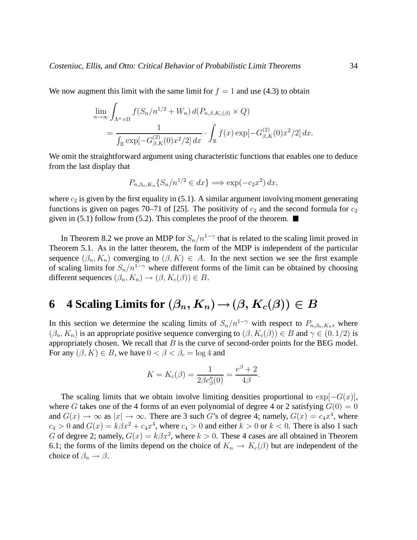We now augment this limit with the same limit for  $f = 1$  and use (4.3) to obtain

$$
\lim_{n \to \infty} \int_{\Lambda^n \times \Omega} f(S_n/n^{1/2} + W_n) d(P_{n,\beta,K_c(\beta)} \times Q)
$$
  
= 
$$
\frac{1}{\int_{\mathbb{R}} \exp[-G_{\beta,K}^{(2)}(0)x^2/2] dx} \cdot \int_{\mathbb{R}} f(x) \exp[-G_{\beta,K}^{(2)}(0)x^2/2] dx.
$$

We omit the straightforward argument using characteristic functions that enables one to deduce from the last display that

$$
P_{n,\beta_n,K_n}\{S_n/n^{1/2} \in dx\} \Longrightarrow \exp(-c_2x^2) \, dx,
$$

where  $c_2$  is given by the first equality in (5.1). A similar argument involving moment generating functions is given on pages 70–71 of [25]. The positivity of  $c_2$  and the second formula for  $c_2$ given in (5.1) follow from (5.2). This completes the proof of the theorem.  $\blacksquare$ 

In Theorem 8.2 we prove an MDP for  $S_n/n^{1-\gamma}$  that is related to the scaling limit proved in Theorem 5.1. As in the latter theorem, the form of the MDP is independent of the particular sequence  $(\beta_n, K_n)$  converging to  $(\beta, K) \in A$ . In the next section we see the first example of scaling limits for  $S_n/n^{1-\gamma}$  where different forms of the limit can be obtained by choosing different sequences  $(\beta_n, K_n) \to (\beta, K_c(\beta)) \in B$ .

## **6** 4 Scaling Limits for  $(\beta_n, K_n) \rightarrow (\beta, K_c(\beta)) \in B$

In this section we determine the scaling limits of  $S_n/n^{1-\gamma}$  with respect to  $P_{n,\beta_n,K_n}$ , where  $(\beta_n, K_n)$  is an appropriate positive sequence converging to  $(\beta, K_c(\beta)) \in B$  and  $\gamma \in (0, 1/2)$  is appropriately chosen. We recall that  $B$  is the curve of second-order points for the BEG model. For any  $(\beta, K) \in B$ , we have  $0 < \beta < \beta_c = \log 4$  and

$$
K = K_c(\beta) = \frac{1}{2\beta c''_{\beta}(0)} = \frac{e^{\beta} + 2}{4\beta}.
$$

The scaling limits that we obtain involve limiting densities proportional to  $\exp[-G(x)]$ , where G takes one of the 4 forms of an even polynomial of degree 4 or 2 satisfying  $G(0) = 0$ and  $G(x) \to \infty$  as  $|x| \to \infty$ . There are 3 such G's of degree 4; namely,  $G(x) = c_4x^4$ , where  $c_4 > 0$  and  $G(x) = k\beta x^2 + c_4x^4$ , where  $c_4 > 0$  and either  $k > 0$  or  $k < 0$ . There is also 1 such G of degree 2; namely,  $G(x) = k\beta x^2$ , where  $k > 0$ . These 4 cases are all obtained in Theorem 6.1; the forms of the limits depend on the choice of  $K_n \to K_c(\beta)$  but are independent of the choice of  $\beta_n \to \beta$ .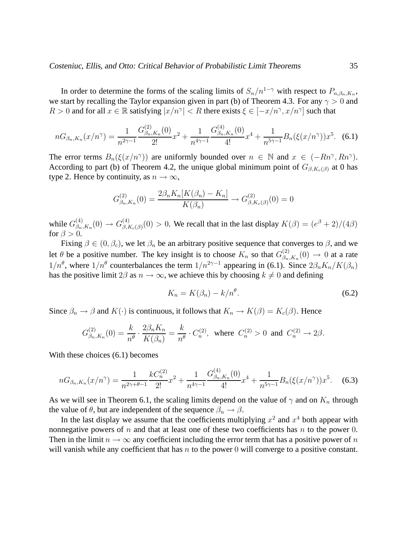In order to determine the forms of the scaling limits of  $S_n/n^{1-\gamma}$  with respect to  $P_{n,\beta_n,K_n}$ , we start by recalling the Taylor expansion given in part (b) of Theorem 4.3. For any  $\gamma > 0$  and  $R > 0$  and for all  $x \in \mathbb{R}$  satisfying  $|x/n^{\gamma}| < R$  there exists  $\xi \in [-x/n^{\gamma}, x/n^{\gamma}]$  such that

$$
nG_{\beta_n,K_n}(x/n^{\gamma}) = \frac{1}{n^{2\gamma - 1}} \frac{G_{\beta_n,K_n}^{(2)}(0)}{2!} x^2 + \frac{1}{n^{4\gamma - 1}} \frac{G_{\beta_n,K_n}^{(4)}(0)}{4!} x^4 + \frac{1}{n^{5\gamma - 1}} B_n(\xi(x/n^{\gamma})) x^5. \tag{6.1}
$$

The error terms  $B_n(\xi(x/n^{\gamma}))$  are uniformly bounded over  $n \in \mathbb{N}$  and  $x \in (-Rn^{\gamma}, Rn^{\gamma})$ . According to part (b) of Theorem 4.2, the unique global minimum point of  $G_{\beta,K_c(\beta)}$  at 0 has type 2. Hence by continuity, as  $n \to \infty$ ,

$$
G_{\beta_n,K_n}^{(2)}(0) = \frac{2\beta_n K_n[K(\beta_n) - K_n]}{K(\beta_n)} \to G_{\beta,K_c(\beta)}^{(2)}(0) = 0
$$

while  $G_{\beta_n}^{(4)}$  $\beta_{n,K_{n}}^{(4)}(0) \to G_{\beta,I}^{(4)}$  $\beta_{\beta,K_c(\beta)}^{(4)}(0) > 0$ . We recall that in the last display  $K(\beta) = (e^{\beta} + 2)/(4\beta)$ for  $\beta > 0$ .

Fixing  $\beta \in (0, \beta_c)$ , we let  $\beta_n$  be an arbitrary positive sequence that converges to  $\beta$ , and we let  $\theta$  be a positive number. The key insight is to choose  $K_n$  so that  $G_{\beta_n}^{(2)}$  $\beta_{n,K_n}^{(2)}(0) \rightarrow 0$  at a rate  $1/n^{\theta}$ , where  $1/n^{\theta}$  counterbalances the term  $1/n^{2\gamma-1}$  appearing in (6.1). Since  $2\beta_n K_n/K(\beta_n)$ has the positive limit 2 $\beta$  as  $n \to \infty$ , we achieve this by choosing  $k \neq 0$  and defining

$$
K_n = K(\beta_n) - k/n^{\theta}.
$$
\n(6.2)

Since  $\beta_n \to \beta$  and  $K(\cdot)$  is continuous, it follows that  $K_n \to K(\beta) = K_c(\beta)$ . Hence

$$
G_{\beta_n,K_n}^{(2)}(0) = \frac{k}{n^{\theta}} \cdot \frac{2\beta_n K_n}{K(\beta_n)} = \frac{k}{n^{\theta}} \cdot C_n^{(2)}, \text{ where } C_n^{(2)} > 0 \text{ and } C_n^{(2)} \to 2\beta.
$$

With these choices (6.1) becomes

$$
nG_{\beta_n,K_n}(x/n^{\gamma}) = \frac{1}{n^{2\gamma+\theta-1}} \frac{kC_n^{(2)}}{2!} x^2 + \frac{1}{n^{4\gamma-1}} \frac{G_{\beta_n,K_n}^{(4)}(0)}{4!} x^4 + \frac{1}{n^{5\gamma-1}} B_n(\xi(x/n^{\gamma})) x^5.
$$
 (6.3)

As we will see in Theorem 6.1, the scaling limits depend on the value of  $\gamma$  and on  $K_n$  through the value of  $\theta$ , but are independent of the sequence  $\beta_n \rightarrow \beta$ .

In the last display we assume that the coefficients multiplying  $x^2$  and  $x^4$  both appear with nonnegative powers of  $n$  and that at least one of these two coefficients has  $n$  to the power 0. Then in the limit  $n \to \infty$  any coefficient including the error term that has a positive power of n will vanish while any coefficient that has  $n$  to the power 0 will converge to a positive constant.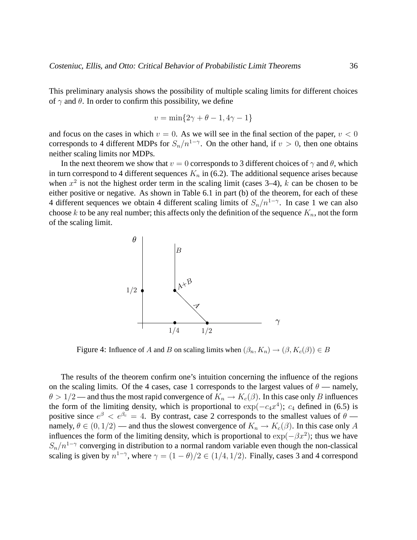This preliminary analysis shows the possibility of multiple scaling limits for different choices of  $\gamma$  and  $\theta$ . In order to confirm this possibility, we define

$$
v = \min\{2\gamma + \theta - 1, 4\gamma - 1\}
$$

and focus on the cases in which  $v = 0$ . As we will see in the final section of the paper,  $v < 0$ corresponds to 4 different MDPs for  $S_n/n^{1-\gamma}$ . On the other hand, if  $v > 0$ , then one obtains neither scaling limits nor MDPs.

In the next theorem we show that  $v = 0$  corresponds to 3 different choices of  $\gamma$  and  $\theta$ , which in turn correspond to 4 different sequences  $K_n$  in (6.2). The additional sequence arises because when  $x^2$  is not the highest order term in the scaling limit (cases 3–4), k can be chosen to be either positive or negative. As shown in Table 6.1 in part (b) of the theorem, for each of these 4 different sequences we obtain 4 different scaling limits of  $S_n/n^{1-\gamma}$ . In case 1 we can also choose k to be any real number; this affects only the definition of the sequence  $K_n$ , not the form of the scaling limit.



Figure 4: Influence of A and B on scaling limits when  $(\beta_n, K_n) \to (\beta, K_c(\beta)) \in B$ 

The results of the theorem confirm one's intuition concerning the influence of the regions on the scaling limits. Of the 4 cases, case 1 corresponds to the largest values of  $\theta$  — namely,  $\theta > 1/2$  — and thus the most rapid convergence of  $K_n \to K_c(\beta)$ . In this case only B influences the form of the limiting density, which is proportional to  $\exp(-c_4x^4)$ ;  $c_4$  defined in (6.5) is positive since  $e^{\beta} < e^{\beta_c} = 4$ . By contrast, case 2 corresponds to the smallest values of  $\theta$  namely,  $\theta \in (0, 1/2)$  — and thus the slowest convergence of  $K_n \to K_c(\beta)$ . In this case only A influences the form of the limiting density, which is proportional to  $\exp(-\beta x^2)$ ; thus we have  $S_n/n^{1-\gamma}$  converging in distribution to a normal random variable even though the non-classical scaling is given by  $n^{1-\gamma}$ , where  $\gamma = (1-\theta)/2 \in (1/4, 1/2)$ . Finally, cases 3 and 4 correspond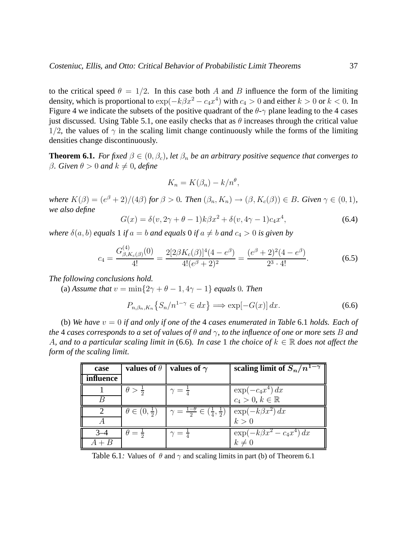to the critical speed  $\theta = 1/2$ . In this case both A and B influence the form of the limiting density, which is proportional to  $\exp(-k\beta x^2 - c_4x^4)$  with  $c_4 > 0$  and either  $k > 0$  or  $k < 0$ . In Figure 4 we indicate the subsets of the positive quadrant of the  $\theta$ - $\gamma$  plane leading to the 4 cases just discussed. Using Table 5.1, one easily checks that as  $\theta$  increases through the critical value 1/2, the values of  $\gamma$  in the scaling limit change continuously while the forms of the limiting densities change discontinuously.

**Theorem 6.1.** *For fixed*  $\beta \in (0, \beta_c)$ *, let*  $\beta_n$  *be an arbitrary positive sequence that converges to* β. Given  $\theta > 0$  and  $k \neq 0$ , define

$$
K_n = K(\beta_n) - k/n^{\theta},
$$

*where*  $K(\beta) = (e^{\beta} + 2)/(4\beta)$  *for*  $\beta > 0$ *. Then*  $(\beta_n, K_n) \rightarrow (\beta, K_c(\beta)) \in B$ *. Given*  $\gamma \in (0, 1)$ *, we also define*

$$
G(x) = \delta(v, 2\gamma + \theta - 1)k\beta x^{2} + \delta(v, 4\gamma - 1)c_{4}x^{4},
$$
\n(6.4)

*where*  $\delta(a, b)$  *equals* 1 *if*  $a = b$  *and equals* 0 *if*  $a \neq b$  *and*  $c_4 > 0$  *is given by* 

$$
c_4 = \frac{G_{\beta, K_c(\beta)}^{(4)}(0)}{4!} = \frac{2[2\beta K_c(\beta)]^4(4 - e^{\beta})}{4!(e^{\beta} + 2)^2} = \frac{(e^{\beta} + 2)^2(4 - e^{\beta})}{2^3 \cdot 4!}.
$$
 (6.5)

*The following conclusions hold.*

(a) *Assume that*  $v = \min\{2\gamma + \theta - 1, 4\gamma - 1\}$  *equals* 0*. Then* 

$$
P_{n,\beta_n,K_n}\left\{S_n/n^{1-\gamma} \in dx\right\} \Longrightarrow \exp[-G(x)]\,dx. \tag{6.6}
$$

(b) *We have* v = 0 *if and only if one of the* 4 *cases enumerated in Table* 6.1 *holds. Each of the* 4 *cases corresponds to a set of values of* θ *and* γ*, to the influence of one or more sets* B *and* A, and to a particular scaling limit in (6.6). In case 1 the choice of  $k \in \mathbb{R}$  does not affect the *form of the scaling limit.*

| values of $\theta$<br>case |                        | values of $\gamma$                                                                         | scaling limit of $S_n/n^{1-\gamma}$ |  |
|----------------------------|------------------------|--------------------------------------------------------------------------------------------|-------------------------------------|--|
| <i>influence</i>           |                        |                                                                                            |                                     |  |
|                            | $\theta > \frac{1}{2}$ | $\gamma = \frac{1}{4}$                                                                     | $\exp(-c_4x^4) dx$                  |  |
|                            |                        |                                                                                            | $c_4 > 0, k \in \mathbb{R}$         |  |
|                            |                        | $\theta \in (0, \frac{1}{2})$ $\gamma = \frac{1-\theta}{2} \in (\frac{1}{4}, \frac{1}{2})$ | $\exp(-k\beta x^2) dx$<br>$k > 0$   |  |
|                            |                        |                                                                                            |                                     |  |
|                            | $\theta = \frac{1}{2}$ | $\gamma = \frac{1}{4}$                                                                     | $\exp(-k\beta x^2-c_4x^4) dx$       |  |
|                            |                        |                                                                                            | $k\neq 0$                           |  |

Table 6.1: Values of  $\theta$  and  $\gamma$  and scaling limits in part (b) of Theorem 6.1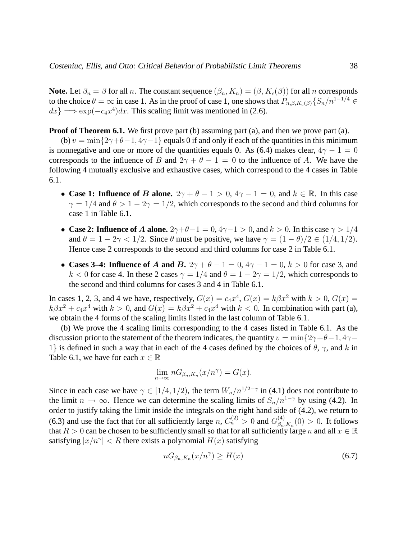**Note.** Let  $\beta_n = \beta$  for all n. The constant sequence  $(\beta_n, K_n) = (\beta, K_c(\beta))$  for all n corresponds to the choice  $\theta = \infty$  in case 1. As in the proof of case 1, one shows that  $P_{n,\beta,K_c(\beta)}\{S_n/n^{1-1/4} \in$  $dx$ }  $\Longrightarrow$  exp( $-c_4x^4$ ) $dx$ . This scaling limit was mentioned in (2.6).

**Proof of Theorem 6.1.** We first prove part (b) assuming part (a), and then we prove part (a).

(b)  $v = \min\{2\gamma + \theta - 1, 4\gamma - 1\}$  equals 0 if and only if each of the quantities in this minimum is nonnegative and one or more of the quantities equals 0. As (6.4) makes clear,  $4\gamma - 1 = 0$ corresponds to the influence of B and  $2\gamma + \theta - 1 = 0$  to the influence of A. We have the following 4 mutually exclusive and exhaustive cases, which correspond to the 4 cases in Table 6.1.

- **Case 1: Influence of B alone.**  $2\gamma + \theta 1 > 0$ ,  $4\gamma 1 = 0$ , and  $k \in \mathbb{R}$ . In this case  $\gamma = 1/4$  and  $\theta > 1 - 2\gamma = 1/2$ , which corresponds to the second and third columns for case 1 in Table 6.1.
- **Case 2: Influence of A alone.**  $2\gamma + \theta 1 = 0$ ,  $4\gamma 1 > 0$ , and  $k > 0$ . In this case  $\gamma > 1/4$ and  $\theta = 1 - 2\gamma < 1/2$ . Since  $\theta$  must be positive, we have  $\gamma = (1 - \theta)/2 \in (1/4, 1/2)$ . Hence case 2 corresponds to the second and third columns for case 2 in Table 6.1.
- **Cases 3–4: Influence of A and B.**  $2\gamma + \theta 1 = 0$ ,  $4\gamma 1 = 0$ ,  $k > 0$  for case 3, and k < 0 for case 4. In these 2 cases  $\gamma = 1/4$  and  $\theta = 1 - 2\gamma = 1/2$ , which corresponds to the second and third columns for cases 3 and 4 in Table 6.1.

In cases 1, 2, 3, and 4 we have, respectively,  $G(x) = c_4x^4$ ,  $G(x) = k\beta x^2$  with  $k > 0$ ,  $G(x) =$  $k\beta x^2 + c_4x^4$  with  $k > 0$ , and  $G(x) = k\beta x^2 + c_4x^4$  with  $k < 0$ . In combination with part (a), we obtain the 4 forms of the scaling limits listed in the last column of Table 6.1.

(b) We prove the 4 scaling limits corresponding to the 4 cases listed in Table 6.1. As the discussion prior to the statement of the theorem indicates, the quantity  $v = \min\{2\gamma + \theta - 1, 4\gamma - 1\}$ 1} is defined in such a way that in each of the 4 cases defined by the choices of  $\theta$ ,  $\gamma$ , and k in Table 6.1, we have for each  $x \in \mathbb{R}$ 

$$
\lim_{n \to \infty} nG_{\beta_n, K_n}(x/n^{\gamma}) = G(x).
$$

Since in each case we have  $\gamma \in [1/4, 1/2)$ , the term  $W_n/n^{1/2-\gamma}$  in (4.1) does not contribute to the limit  $n \to \infty$ . Hence we can determine the scaling limits of  $S_n/n^{1-\gamma}$  by using (4.2). In order to justify taking the limit inside the integrals on the right hand side of (4.2), we return to (6.3) and use the fact that for all sufficiently large  $n, C_n^{(2)} > 0$  and  $G_{\beta_n}^{(4)}$  $\beta_{n,K_n}^{(4)}(0) > 0$ . It follows that  $R > 0$  can be chosen to be sufficiently small so that for all sufficiently large n and all  $x \in \mathbb{R}$ satisfying  $|x/n^{\gamma}| < R$  there exists a polynomial  $H(x)$  satisfying

$$
nG_{\beta_n,K_n}(x/n^{\gamma}) \ge H(x) \tag{6.7}
$$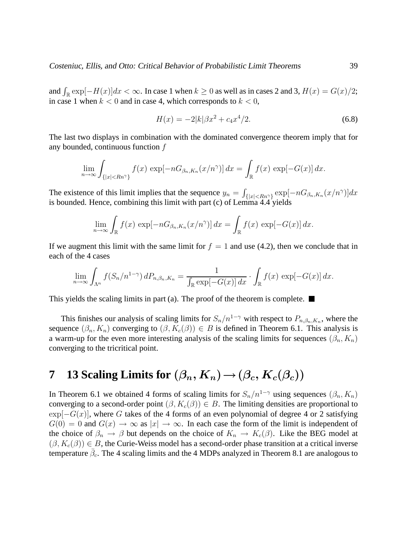and  $\int_{\mathbb{R}} \exp[-H(x)]dx < \infty$ . In case 1 when  $k \ge 0$  as well as in cases 2 and 3,  $H(x) = G(x)/2$ ; in case 1 when  $k < 0$  and in case 4, which corresponds to  $k < 0$ ,

$$
H(x) = -2|k|\beta x^2 + c_4 x^4/2.
$$
\n(6.8)

The last two displays in combination with the dominated convergence theorem imply that for any bounded, continuous function f

$$
\lim_{n\to\infty}\int_{\{|x|
$$

The existence of this limit implies that the sequence  $y_n = \int_{\{|x| < Rn^{\gamma}\}} \exp[-nG_{\beta_n,K_n}(x/n^{\gamma})] dx$ is bounded. Hence, combining this limit with part  $(c)$  of Lemma 4.4 yields

$$
\lim_{n \to \infty} \int_{\mathbb{R}} f(x) \, \exp[-nG_{\beta_n, K_n}(x/n^{\gamma})] \, dx = \int_{\mathbb{R}} f(x) \, \exp[-G(x)] \, dx.
$$

If we augment this limit with the same limit for  $f = 1$  and use (4.2), then we conclude that in each of the 4 cases

$$
\lim_{n\to\infty}\int_{\Lambda^n}f(S_n/n^{1-\gamma})\,dP_{n,\beta_n,K_n}=\frac{1}{\int_{\mathbb{R}}\exp[-G(x)]\,dx}\cdot\int_{\mathbb{R}}f(x)\,\exp[-G(x)]\,dx.
$$

This yields the scaling limits in part (a). The proof of the theorem is complete.  $\blacksquare$ 

This finishes our analysis of scaling limits for  $S_n/n^{1-\gamma}$  with respect to  $P_{n,\beta_n,K_n}$ , where the sequence  $(\beta_n, K_n)$  converging to  $(\beta, K_c(\beta)) \in B$  is defined in Theorem 6.1. This analysis is a warm-up for the even more interesting analysis of the scaling limits for sequences  $(\beta_n, K_n)$ converging to the tricritical point.

### **7 13 Scaling Limits for**  $(\beta_n, K_n) \rightarrow (\beta_c, K_c(\beta_c))$

In Theorem 6.1 we obtained 4 forms of scaling limits for  $S_n/n^{1-\gamma}$  using sequences  $(\beta_n, K_n)$ converging to a second-order point  $(\beta, K_c(\beta)) \in B$ . The limiting densities are proportional to  $\exp[-G(x)]$ , where G takes of the 4 forms of an even polynomial of degree 4 or 2 satisfying  $G(0) = 0$  and  $G(x) \to \infty$  as  $|x| \to \infty$ . In each case the form of the limit is independent of the choice of  $\beta_n \to \beta$  but depends on the choice of  $K_n \to K_c(\beta)$ . Like the BEG model at  $(\beta, K_c(\beta)) \in B$ , the Curie-Weiss model has a second-order phase transition at a critical inverse temperature  $\bar{\beta}_c$ . The 4 scaling limits and the 4 MDPs analyzed in Theorem 8.1 are analogous to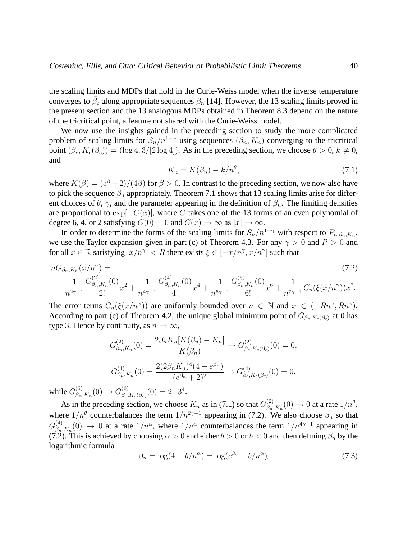the scaling limits and MDPs that hold in the Curie-Weiss model when the inverse temperature converges to  $\bar{\beta}_c$  along appropriate sequences  $\beta_n$  [14]. However, the 13 scaling limits proved in the present section and the 13 analogous MDPs obtained in Theorem 8.3 depend on the nature of the tricritical point, a feature not shared with the Curie-Weiss model.

We now use the insights gained in the preceding section to study the more complicated problem of scaling limits for  $S_n/n^{1-\gamma}$  using sequences  $(\beta_n, K_n)$  converging to the tricritical point  $(\beta_c, K_c(\beta_c)) = (\log 4, 3/[2 \log 4])$ . As in the preceding section, we choose  $\theta > 0$ ,  $k \neq 0$ , and

$$
K_n = K(\beta_n) - k/n^{\theta},\tag{7.1}
$$

where  $K(\beta) = (e^{\beta} + 2)/(4\beta)$  for  $\beta > 0$ . In contrast to the preceding section, we now also have to pick the sequence  $\beta_n$  appropriately. Theorem 7.1 shows that 13 scaling limits arise for different choices of  $\theta$ ,  $\gamma$ , and the parameter appearing in the definition of  $\beta_n$ . The limiting densities are proportional to  $\exp[-G(x)]$ , where G takes one of the 13 forms of an even polynomial of degree 6, 4, or 2 satisfying  $G(0) = 0$  and  $G(x) \rightarrow \infty$  as  $|x| \rightarrow \infty$ .

In order to determine the forms of the scaling limits for  $S_n/n^{1-\gamma}$  with respect to  $P_{n,\beta_n,K_n}$ , we use the Taylor expansion given in part (c) of Theorem 4.3. For any  $\gamma > 0$  and  $R > 0$  and for all  $x \in \mathbb{R}$  satisfying  $|x/n^{\gamma}| < R$  there exists  $\xi \in [-x/n^{\gamma}, x/n^{\gamma}]$  such that

$$
nG_{\beta_n,K_n}(x/n^{\gamma}) = (7.2)
$$
  

$$
\frac{1}{n^{2\gamma-1}}\frac{G_{\beta_n,K_n}^{(2)}(0)}{2!}x^2 + \frac{1}{n^{4\gamma-1}}\frac{G_{\beta_n,K_n}^{(4)}(0)}{4!}x^4 + \frac{1}{n^{6\gamma-1}}\frac{G_{\beta_n,K_n}^{(6)}(0)}{6!}x^6 + \frac{1}{n^{7\gamma-1}}C_n(\xi(x/n^{\gamma}))x^7.
$$

The error terms  $C_n(\xi(x/n^{\gamma}))$  are uniformly bounded over  $n \in \mathbb{N}$  and  $x \in (-Rn^{\gamma}, Rn^{\gamma})$ . According to part (c) of Theorem 4.2, the unique global minimum point of  $G_{\beta_c,K_c(\beta_c)}$  at 0 has type 3. Hence by continuity, as  $n \to \infty$ ,

$$
G_{\beta_n,K_n}^{(2)}(0) = \frac{2\beta_n K_n[K(\beta_n) - K_n]}{K(\beta_n)} \to G_{\beta_c,K_c(\beta_c)}^{(2)}(0) = 0,
$$
  

$$
G_{\beta_n,K_n}^{(4)}(0) = \frac{2(2\beta_n K_n)^4 (4 - e^{\beta_n})}{(e^{\beta_n} + 2)^2} \to G_{\beta_c,K_c(\beta_c)}^{(4)}(0) = 0,
$$

while  $G_{\beta_n}^{(6)}$  $\beta_{n,K_n}(0) \to G_{\beta_c}^{(6)}$  $\binom{6}{\beta_c,K_c(\beta_c)}(0) = 2 \cdot 3^4.$ 

As in the preceding section, we choose  $K_n$  as in (7.1) so that  $G_{\beta_n}^{(2)}$  $\beta_{n,K_n}(0) \to 0$  at a rate  $1/n^{\theta}$ , where  $1/n^{\theta}$  counterbalances the term  $1/n^{2\gamma-1}$  appearing in (7.2). We also choose  $\beta_n$  so that  $G_{\beta_n}^{(4)}$  $\beta_{n,K_n}(0) \to 0$  at a rate  $1/n^{\alpha}$ , where  $1/n^{\alpha}$  counterbalances the term  $1/n^{4\gamma-1}$  appearing in (7.2). This is achieved by choosing  $\alpha > 0$  and either  $b > 0$  or  $b < 0$  and then defining  $\beta_n$  by the logarithmic formula

$$
\beta_n = \log(4 - b/n^{\alpha}) = \log(e^{\beta_c} - b/n^{\alpha});\tag{7.3}
$$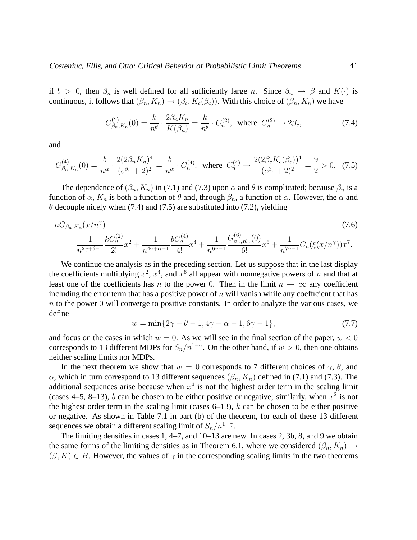if  $b > 0$ , then  $\beta_n$  is well defined for all sufficiently large n. Since  $\beta_n \to \beta$  and  $K(\cdot)$  is continuous, it follows that  $(\beta_n, K_n) \to (\beta_c, K_c(\beta_c))$ . With this choice of  $(\beta_n, K_n)$  we have

$$
G_{\beta_n, K_n}^{(2)}(0) = \frac{k}{n^{\theta}} \cdot \frac{2\beta_n K_n}{K(\beta_n)} = \frac{k}{n^{\theta}} \cdot C_n^{(2)}, \text{ where } C_n^{(2)} \to 2\beta_c,
$$
 (7.4)

and

$$
G_{\beta_n,K_n}^{(4)}(0) = \frac{b}{n^{\alpha}} \cdot \frac{2(2\beta_n K_n)^4}{(e^{\beta_n} + 2)^2} = \frac{b}{n^{\alpha}} \cdot C_n^{(4)}, \text{ where } C_n^{(4)} \to \frac{2(2\beta_c K_c(\beta_c))^4}{(e^{\beta_c} + 2)^2} = \frac{9}{2} > 0. \tag{7.5}
$$

The dependence of  $(\beta_n, K_n)$  in (7.1) and (7.3) upon  $\alpha$  and  $\theta$  is complicated; because  $\beta_n$  is a function of  $\alpha$ ,  $K_n$  is both a function of  $\theta$  and, through  $\beta_n$ , a function of  $\alpha$ . However, the  $\alpha$  and  $\theta$  decouple nicely when (7.4) and (7.5) are substituted into (7.2), yielding

$$
nG_{\beta_n,K_n}(x/n^{\gamma})\n= \frac{1}{n^{2\gamma+\theta-1}} \frac{kC_n^{(2)}}{2!} x^2 + \frac{1}{n^{4\gamma+\alpha-1}} \frac{bC_n^{(4)}}{4!} x^4 + \frac{1}{n^{6\gamma-1}} \frac{G_{\beta_n,K_n}^{(6)}(0)}{6!} x^6 + \frac{1}{n^{7\gamma-1}} C_n(\xi(x/n^{\gamma})) x^7.
$$
\n(7.6)

We continue the analysis as in the preceding section. Let us suppose that in the last display the coefficients multiplying  $x^2$ ,  $x^4$ , and  $x^6$  all appear with nonnegative powers of n and that at least one of the coefficients has n to the power 0. Then in the limit  $n \to \infty$  any coefficient including the error term that has a positive power of  $n$  will vanish while any coefficient that has  $n$  to the power 0 will converge to positive constants. In order to analyze the various cases, we define

 $w = \min\{2\gamma + \theta - 1, 4\gamma + \alpha - 1, 6\gamma - 1\},$  (7.7)

and focus on the cases in which  $w = 0$ . As we will see in the final section of the paper,  $w < 0$ corresponds to 13 different MDPs for  $S_n/n^{1-\gamma}$ . On the other hand, if  $w > 0$ , then one obtains neither scaling limits nor MDPs.

In the next theorem we show that  $w = 0$  corresponds to 7 different choices of  $\gamma$ ,  $\theta$ , and α, which in turn correspond to 13 different sequences  $(β<sub>n</sub>, K<sub>n</sub>)$  defined in (7.1) and (7.3). The additional sequences arise because when  $x<sup>4</sup>$  is not the highest order term in the scaling limit (cases 4–5, 8–13), b can be chosen to be either positive or negative; similarly, when  $x^2$  is not the highest order term in the scaling limit (cases  $6-13$ ), k can be chosen to be either positive or negative. As shown in Table 7.1 in part (b) of the theorem, for each of these 13 different sequences we obtain a different scaling limit of  $S_n/n^{1-\gamma}$ .

The limiting densities in cases 1, 4–7, and 10–13 are new. In cases 2, 3b, 8, and 9 we obtain the same forms of the limiting densities as in Theorem 6.1, where we considered  $(\beta_n, K_n) \rightarrow$  $(\beta, K) \in B$ . However, the values of  $\gamma$  in the corresponding scaling limits in the two theorems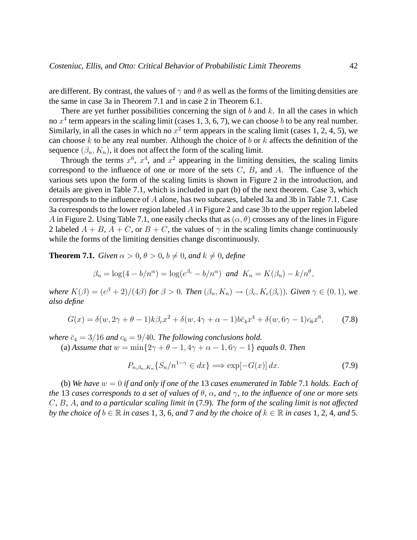are different. By contrast, the values of  $\gamma$  and  $\theta$  as well as the forms of the limiting densities are the same in case 3a in Theorem 7.1 and in case 2 in Theorem 6.1.

There are yet further possibilities concerning the sign of  $b$  and  $k$ . In all the cases in which no  $x^4$  term appears in the scaling limit (cases 1, 3, 6, 7), we can choose b to be any real number. Similarly, in all the cases in which no  $x^2$  term appears in the scaling limit (cases 1, 2, 4, 5), we can choose k to be any real number. Although the choice of b or k affects the definition of the sequence  $(\beta_n, K_n)$ , it does not affect the form of the scaling limit.

Through the terms  $x^6$ ,  $x^4$ , and  $x^2$  appearing in the limiting densities, the scaling limits correspond to the influence of one or more of the sets  $C$ ,  $B$ , and  $A$ . The influence of the various sets upon the form of the scaling limits is shown in Figure 2 in the introduction, and details are given in Table 7.1, which is included in part (b) of the next theorem. Case 3, which corresponds to the influence of A alone, has two subcases, labeled 3a and 3b in Table 7.1. Case 3a corresponds to the lower region labeled A in Figure 2 and case 3b to the upper region labeled A in Figure 2. Using Table 7.1, one easily checks that as  $(\alpha, \theta)$  crosses any of the lines in Figure 2 labeled  $A + B$ ,  $A + C$ , or  $B + C$ , the values of  $\gamma$  in the scaling limits change continuously while the forms of the limiting densities change discontinuously.

**Theorem 7.1.** *Given*  $\alpha > 0$ ,  $\theta > 0$ ,  $b \neq 0$ , and  $k \neq 0$ , define

$$
\beta_n = \log(4 - b/n^{\alpha}) = \log(e^{\beta_c} - b/n^{\alpha}) \text{ and } K_n = K(\beta_n) - k/n^{\theta},
$$

*where*  $K(\beta) = (e^{\beta} + 2)/(4\beta)$  *for*  $\beta > 0$ *. Then*  $(\beta_n, K_n) \rightarrow (\beta_c, K_c(\beta_c))$ *. Given*  $\gamma \in (0, 1)$ *, we also define*

$$
G(x) = \delta(w, 2\gamma + \theta - 1)k\beta_c x^2 + \delta(w, 4\gamma + \alpha - 1)b\bar{c}_4 x^4 + \delta(w, 6\gamma - 1)c_6 x^6, \tag{7.8}
$$

*where*  $\bar{c}_4 = 3/16$  *and*  $c_6 = 9/40$ *. The following conclusions hold.* 

(a) *Assume that*  $w = \min\{2\gamma + \theta - 1, 4\gamma + \alpha - 1, 6\gamma - 1\}$  *equals 0. Then* 

$$
P_{n,\beta_n,K_n}\{S_n/n^{1-\gamma} \in dx\} \Longrightarrow \exp[-G(x)]\,dx. \tag{7.9}
$$

(b) *We have* w = 0 *if and only if one of the* 13 *cases enumerated in Table* 7.1 *holds. Each of the* 13 *cases corresponds to a set of values of* θ*,* α*, and* γ*, to the influence of one or more sets* C*,* B*,* A*, and to a particular scaling limit in* (7.9)*. The form of the scaling limit is not affected by the choice of*  $b \in \mathbb{R}$  *in cases* 1, 3, 6, and 7 and by the choice of  $k \in \mathbb{R}$  in cases 1, 2, 4, and 5.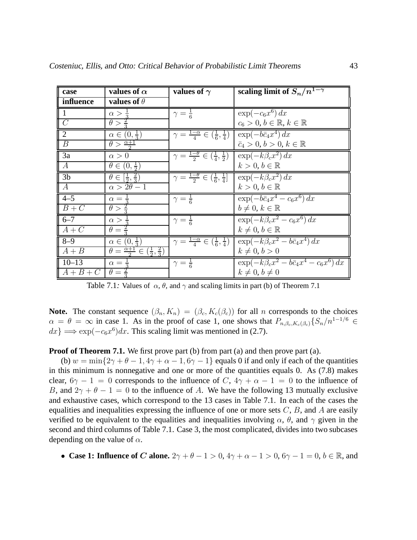| case             | values of $\alpha$                                                     | values of $\gamma$                                                      | scaling limit of $S_n/n^{1-\gamma}$                           |
|------------------|------------------------------------------------------------------------|-------------------------------------------------------------------------|---------------------------------------------------------------|
| influence        | values of $\theta$                                                     |                                                                         |                                                               |
| $\mathbf{1}$     | $\alpha > \frac{1}{3}$                                                 | $\gamma = \frac{1}{6}$                                                  | $\exp(-c_6x^6) d\overline{x}$                                 |
| $\overline{C}$   | $\theta > \frac{2}{3}$                                                 |                                                                         | $c_6 > 0, b \in \mathbb{R}, k \in \mathbb{R}$                 |
| $\overline{2}$   | $\alpha \in (0, \frac{1}{3})$                                          | $\gamma = \frac{1-\alpha}{4} \in (\frac{1}{6}, \frac{1}{4})$            | $\exp(-b\bar{c}_4x^4) dx$                                     |
| $\overline{B}$   | $\theta > \frac{\alpha+1}{2}$                                          |                                                                         | $\bar{c}_4 > 0, b > 0, k \in \mathbb{R}$                      |
| 3a               | $\alpha > 0$                                                           | $\gamma = \frac{1-\theta}{2} \in (\frac{1}{4}, \frac{1}{2})$            | $\exp(-k\beta_c x^2) dx$                                      |
| $\overline{A}$   | $\theta \in (0, \frac{1}{2})$                                          |                                                                         | $k>0, b \in \mathbb{R}$                                       |
| 3 <sub>b</sub>   | $\theta \in [\frac{1}{2}, \frac{2}{3})$                                | $\gamma = \frac{1-\theta}{2} \in \left(\frac{1}{6}, \frac{1}{4}\right]$ | $\exp(-k\beta_c x^2) dx$                                      |
| $\boldsymbol{A}$ | $\alpha > 2\theta - 1$                                                 |                                                                         | $k > 0, b \in \mathbb{R}$                                     |
| $4 - 5$          | $\alpha = \frac{1}{3}$                                                 | $\gamma = \frac{1}{6}$                                                  | $\exp(-b\bar{c}_4x^4-c_6x^6) dx$                              |
| $B+C$            | $\theta > \frac{2}{3}$                                                 |                                                                         | $b \neq 0, k \in \mathbb{R}$                                  |
| $6 - 7$          | $\alpha > \frac{1}{3}$                                                 | $\gamma = \frac{1}{6}$                                                  | $\exp(-k\beta_c x^2 - c_6 x^6) dx$                            |
| $A+C$            | $\theta = \frac{2}{3}$                                                 |                                                                         | $k\neq 0, b\in\mathbb{R}$                                     |
| $8 - 9$          | $\alpha \in (0, \frac{1}{3})$                                          | $\gamma = \frac{1-\alpha}{4} \in (\frac{1}{6}, \frac{1}{4})$            | $\exp(-k\beta_c x^2 - b\bar{c}_4 x^4) dx$                     |
| $A + B$          | $\theta = \frac{\alpha+1}{2} \in \left(\frac{1}{2},\frac{2}{3}\right)$ |                                                                         | $k \neq 0, b > 0$                                             |
| $10 - 13$        | $\alpha = \frac{1}{3}$                                                 | $\gamma = \frac{1}{6}$                                                  | $\exp(-k\overline{\beta_c x^2-b\overline{c}_4x^4-c_6x^6}) dx$ |
| $A+B+C$          | $\overline{\theta}=\frac{2}{3}$                                        |                                                                         | $k \neq 0, b \neq 0$                                          |

Table 7.1: Values of  $\alpha$ ,  $\theta$ , and  $\gamma$  and scaling limits in part (b) of Theorem 7.1

**Note.** The constant sequence  $(\beta_n, K_n) = (\beta_c, K_c(\beta_c))$  for all n corresponds to the choices  $\alpha = \theta = \infty$  in case 1. As in the proof of case 1, one shows that  $P_{n,\beta_c,K_c(\beta_c)}\{S_n/n^{1-1/6} \in$  $dx$ }  $\Longrightarrow$  exp( $-c_6x^6$ ) $dx$ . This scaling limit was mentioned in (2.7).

**Proof of Theorem 7.1.** We first prove part (b) from part (a) and then prove part (a).

(b)  $w = \min\{2\gamma + \theta - 1, 4\gamma + \alpha - 1, 6\gamma - 1\}$  equals 0 if and only if each of the quantities in this minimum is nonnegative and one or more of the quantities equals 0. As (7.8) makes clear,  $6\gamma - 1 = 0$  corresponds to the influence of C,  $4\gamma + \alpha - 1 = 0$  to the influence of B, and  $2\gamma + \theta - 1 = 0$  to the influence of A. We have the following 13 mutually exclusive and exhaustive cases, which correspond to the 13 cases in Table 7.1. In each of the cases the equalities and inequalities expressing the influence of one or more sets  $C, B$ , and A are easily verified to be equivalent to the equalities and inequalities involving  $\alpha$ ,  $\theta$ , and  $\gamma$  given in the second and third columns of Table 7.1. Case 3, the most complicated, divides into two subcases depending on the value of  $\alpha$ .

• **Case 1: Influence of C alone.**  $2\gamma + \theta - 1 > 0$ ,  $4\gamma + \alpha - 1 > 0$ ,  $6\gamma - 1 = 0$ ,  $b \in \mathbb{R}$ , and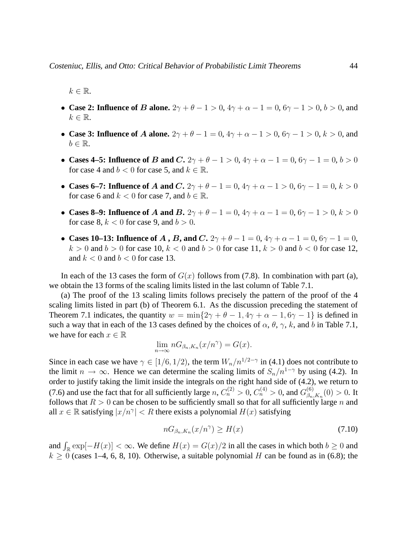$k \in \mathbb{R}$ .

- **Case 2: Influence of B alone.**  $2\gamma + \theta 1 > 0$ ,  $4\gamma + \alpha 1 = 0$ ,  $6\gamma 1 > 0$ ,  $b > 0$ , and  $k \in \mathbb{R}$ .
- **Case 3: Influence of A alone.**  $2\gamma + \theta 1 = 0$ ,  $4\gamma + \alpha 1 > 0$ ,  $6\gamma 1 > 0$ ,  $k > 0$ , and  $b \in \mathbb{R}$ .
- **Cases 4–5: Influence of B and C.**  $2\gamma + \theta 1 > 0$ ,  $4\gamma + \alpha 1 = 0$ ,  $6\gamma 1 = 0$ ,  $b > 0$ for case 4 and  $b < 0$  for case 5, and  $k \in \mathbb{R}$ .
- **Cases 6–7: Influence of A and C.**  $2\gamma + \theta 1 = 0$ ,  $4\gamma + \alpha 1 > 0$ ,  $6\gamma 1 = 0$ ,  $k > 0$ for case 6 and  $k < 0$  for case 7, and  $b \in \mathbb{R}$ .
- **Cases 8–9: Influence of A and B.**  $2\gamma + \theta 1 = 0$ ,  $4\gamma + \alpha 1 = 0$ ,  $6\gamma 1 > 0$ ,  $k > 0$ for case 8,  $k < 0$  for case 9, and  $b > 0$ .
- **Cases 10–13: Influence of A, B, and C.**  $2\gamma + \theta 1 = 0$ ,  $4\gamma + \alpha 1 = 0$ ,  $6\gamma 1 = 0$ ,  $k > 0$  and  $b > 0$  for case 10,  $k < 0$  and  $b > 0$  for case 11,  $k > 0$  and  $b < 0$  for case 12, and  $k < 0$  and  $b < 0$  for case 13.

In each of the 13 cases the form of  $G(x)$  follows from (7.8). In combination with part (a), we obtain the 13 forms of the scaling limits listed in the last column of Table 7.1.

(a) The proof of the 13 scaling limits follows precisely the pattern of the proof of the 4 scaling limits listed in part (b) of Theorem 6.1. As the discussion preceding the statement of Theorem 7.1 indicates, the quantity  $w = \min\{2\gamma + \theta - 1, 4\gamma + \alpha - 1, 6\gamma - 1\}$  is defined in such a way that in each of the 13 cases defined by the choices of  $\alpha$ ,  $\theta$ ,  $\gamma$ , k, and b in Table 7.1, we have for each  $x \in \mathbb{R}$ 

$$
\lim_{n \to \infty} nG_{\beta_n, K_n}(x/n^{\gamma}) = G(x).
$$

Since in each case we have  $\gamma \in [1/6, 1/2)$ , the term  $W_n/n^{1/2-\gamma}$  in (4.1) does not contribute to the limit  $n \to \infty$ . Hence we can determine the scaling limits of  $S_n/n^{1-\gamma}$  by using (4.2). In order to justify taking the limit inside the integrals on the right hand side of (4.2), we return to (7.6) and use the fact that for all sufficiently large  $n, C_n^{(2)} > 0, C_n^{(4)} > 0$ , and  $G_{\beta_n}^{(6)}$  $\binom{0}{\beta_n,K_n}(0) > 0.$  It follows that  $R > 0$  can be chosen to be sufficiently small so that for all sufficiently large n and all  $x \in \mathbb{R}$  satisfying  $|x/n^{\gamma}| < R$  there exists a polynomial  $H(x)$  satisfying

$$
nG_{\beta_n,K_n}(x/n^{\gamma}) \ge H(x) \tag{7.10}
$$

and  $\int_{\mathbb{R}} \exp[-H(x)] < \infty$ . We define  $H(x) = G(x)/2$  in all the cases in which both  $b \ge 0$  and  $k > 0$  (cases 1–4, 6, 8, 10). Otherwise, a suitable polynomial H can be found as in (6.8); the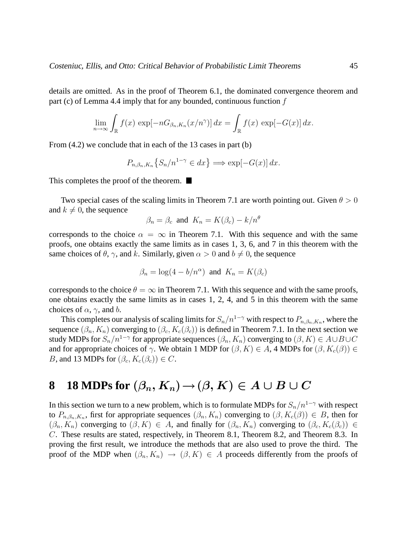details are omitted. As in the proof of Theorem 6.1, the dominated convergence theorem and part (c) of Lemma 4.4 imply that for any bounded, continuous function  $f$ 

$$
\lim_{n \to \infty} \int_{\mathbb{R}} f(x) \, \exp[-nG_{\beta_n, K_n}(x/n^{\gamma})] \, dx = \int_{\mathbb{R}} f(x) \, \exp[-G(x)] \, dx.
$$

From  $(4.2)$  we conclude that in each of the 13 cases in part (b)

$$
P_{n,\beta_n,K_n}\left\{S_n/n^{1-\gamma} \in dx\right\} \Longrightarrow \exp[-G(x)] \, dx.
$$

This completes the proof of the theorem.  $\blacksquare$ 

Two special cases of the scaling limits in Theorem 7.1 are worth pointing out. Given  $\theta > 0$ and  $k \neq 0$ , the sequence

$$
\beta_n = \beta_c
$$
 and  $K_n = K(\beta_c) - k/n^{\theta}$ 

corresponds to the choice  $\alpha = \infty$  in Theorem 7.1. With this sequence and with the same proofs, one obtains exactly the same limits as in cases 1, 3, 6, and 7 in this theorem with the same choices of  $\theta$ ,  $\gamma$ , and k. Similarly, given  $\alpha > 0$  and  $b \neq 0$ , the sequence

$$
\beta_n = \log(4 - b/n^{\alpha})
$$
 and  $K_n = K(\beta_c)$ 

corresponds to the choice  $\theta = \infty$  in Theorem 7.1. With this sequence and with the same proofs, one obtains exactly the same limits as in cases 1, 2, 4, and 5 in this theorem with the same choices of  $\alpha$ ,  $\gamma$ , and b.

This completes our analysis of scaling limits for  $S_n/n^{1-\gamma}$  with respect to  $P_{n,\beta_n,K_n}$ , where the sequence  $(\beta_n, K_n)$  converging to  $(\beta_c, K_c(\beta_c))$  is defined in Theorem 7.1. In the next section we study MDPs for  $S_n/n^{1-\gamma}$  for appropriate sequences  $(\beta_n, K_n)$  converging to  $(\beta, K) \in A \cup B \cup C$ and for appropriate choices of  $\gamma$ . We obtain 1 MDP for  $(\beta, K) \in A$ , 4 MDPs for  $(\beta, K_c(\beta)) \in A$ B, and 13 MDPs for  $(\beta_c, K_c(\beta_c)) \in C$ .

### **8 18 MDPs for**  $(\beta_n, K_n) \to (\beta, K) \in A \cup B \cup C$

In this section we turn to a new problem, which is to formulate MDPs for  $S_n/n^{1-\gamma}$  with respect to  $P_{n,\beta_n,K_n}$ , first for appropriate sequences  $(\beta_n, K_n)$  converging to  $(\beta, K_c(\beta)) \in B$ , then for  $(\beta_n, K_n)$  converging to  $(\beta, K) \in A$ , and finally for  $(\beta_n, K_n)$  converging to  $(\beta_c, K_c(\beta_c)) \in A$ C. These results are stated, respectively, in Theorem 8.1, Theorem 8.2, and Theorem 8.3. In proving the first result, we introduce the methods that are also used to prove the third. The proof of the MDP when  $(\beta_n, K_n) \to (\beta, K) \in A$  proceeds differently from the proofs of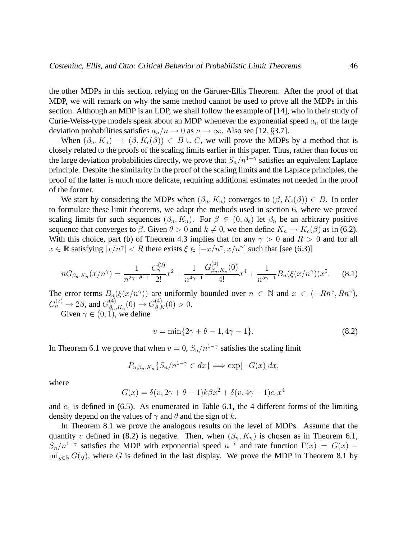the other MDPs in this section, relying on the Gärtner-Ellis Theorem. After the proof of that MDP, we will remark on why the same method cannot be used to prove all the MDPs in this section. Although an MDP is an LDP, we shall follow the example of [14], who in their study of Curie-Weiss-type models speak about an MDP whenever the exponential speed  $a_n$  of the large deviation probabilities satisfies  $a_n/n \to 0$  as  $n \to \infty$ . Also see [12, §3.7].

When  $(\beta_n, K_n) \to (\beta, K_c(\beta)) \in B \cup C$ , we will prove the MDPs by a method that is closely related to the proofs of the scaling limits earlier in this paper. Thus, rather than focus on the large deviation probabilities directly, we prove that  $S_n/n^{1-\gamma}$  satisfies an equivalent Laplace principle. Despite the similarity in the proof of the scaling limits and the Laplace principles, the proof of the latter is much more delicate, requiring additional estimates not needed in the proof of the former.

We start by considering the MDPs when  $(\beta_n, K_n)$  converges to  $(\beta, K_c(\beta)) \in B$ . In order to formulate these limit theorems, we adapt the methods used in section 6, where we proved scaling limits for such sequences  $(\beta_n, K_n)$ . For  $\beta \in (0, \beta_c)$  let  $\beta_n$  be an arbitrary positive sequence that converges to  $\beta$ . Given  $\theta > 0$  and  $k \neq 0$ , we then define  $K_n \to K_c(\beta)$  as in (6.2). With this choice, part (b) of Theorem 4.3 implies that for any  $\gamma > 0$  and  $R > 0$  and for all  $x \in \mathbb{R}$  satisfying  $|x/n^{\gamma}| < R$  there exists  $\xi \in [-x/n^{\gamma}, x/n^{\gamma}]$  such that [see (6.3)]

$$
nG_{\beta_n,K_n}(x/n^{\gamma}) = \frac{1}{n^{2\gamma+\theta-1}} \frac{C_n^{(2)}}{2!} x^2 + \frac{1}{n^{4\gamma-1}} \frac{G_{\beta_n,K_n}^{(4)}(0)}{4!} x^4 + \frac{1}{n^{5\gamma-1}} B_n(\xi(x/n^{\gamma})) x^5.
$$
 (8.1)

The error terms  $B_n(\xi(x/n^{\gamma}))$  are uniformly bounded over  $n \in \mathbb{N}$  and  $x \in (-Rn^{\gamma}, Rn^{\gamma})$ ,  $C_n^{(2)} \rightarrow 2\beta$ , and  $G_{\beta_n}^{(4)}$  $\beta_{n,K_n}^{(4)}(0) \to G_{\beta,K}^{(4)}(0) > 0.$ 

Given  $\gamma \in (0, 1)$ , we define

$$
v = \min\{2\gamma + \theta - 1, 4\gamma - 1\}.
$$
 (8.2)

In Theorem 6.1 we prove that when  $v = 0$ ,  $S_n/n^{1-\gamma}$  satisfies the scaling limit

$$
P_{n,\beta_n,K_n}\{S_n/n^{1-\gamma} \in dx\} \Longrightarrow \exp[-G(x)]dx,
$$

where

$$
G(x) = \delta(v, 2\gamma + \theta - 1)k\beta x^2 + \delta(v, 4\gamma - 1)c_4x^4
$$

and  $c_4$  is defined in (6.5). As enumerated in Table 6.1, the 4 different forms of the limiting density depend on the values of  $\gamma$  and  $\theta$  and the sign of k.

In Theorem 8.1 we prove the analogous results on the level of MDPs. Assume that the quantity v defined in (8.2) is negative. Then, when  $(\beta_n, K_n)$  is chosen as in Theorem 6.1,  $S_n/n^{1-\gamma}$  satisfies the MDP with exponential speed  $n^{-\nu}$  and rate function  $\Gamma(x) = G(x)$ inf<sub>y∈R</sub>  $G(y)$ , where G is defined in the last display. We prove the MDP in Theorem 8.1 by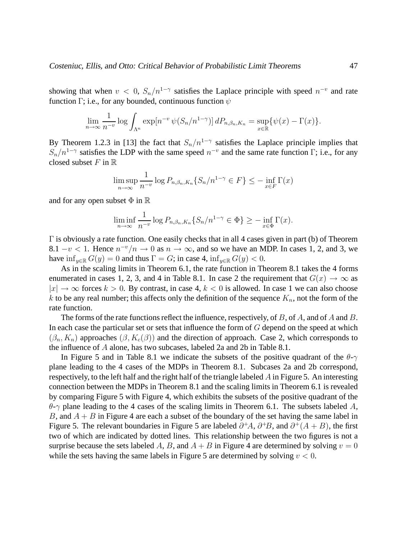showing that when  $v < 0$ ,  $S_n/n^{1-\gamma}$  satisfies the Laplace principle with speed  $n^{-v}$  and rate function Γ; i.e., for any bounded, continuous function  $\psi$ 

$$
\lim_{n\to\infty}\frac{1}{n^{-v}}\log\int_{\Lambda^n}\exp[n^{-v}\,\psi(S_n/n^{1-\gamma})]\,dP_{n,\beta_n,K_n}=\sup_{x\in\mathbb{R}}\{\psi(x)-\Gamma(x)\}.
$$

By Theorem 1.2.3 in [13] the fact that  $S_n/n^{1-\gamma}$  satisfies the Laplace principle implies that  $S_n/n^{1-\gamma}$  satisfies the LDP with the same speed  $n^{-\nu}$  and the same rate function  $\Gamma$ ; i.e., for any closed subset  $F$  in  $\mathbb R$ 

$$
\limsup_{n \to \infty} \frac{1}{n^{-v}} \log P_{n,\beta_n,K_n} \{ S_n / n^{1-\gamma} \in F \} \le - \inf_{x \in F} \Gamma(x)
$$

and for any open subset  $\Phi$  in  $\mathbb R$ 

$$
\liminf_{n \to \infty} \frac{1}{n^{-v}} \log P_{n,\beta_n,K_n} \{ S_n/n^{1-\gamma} \in \Phi \} \ge - \inf_{x \in \Phi} \Gamma(x).
$$

 $\Gamma$  is obviously a rate function. One easily checks that in all 4 cases given in part (b) of Theorem 8.1 –  $v < 1$ . Hence  $n^{-v}/n \to 0$  as  $n \to \infty$ , and so we have an MDP. In cases 1, 2, and 3, we have  $\inf_{y \in \mathbb{R}} G(y) = 0$  and thus  $\Gamma = G$ ; in case 4,  $\inf_{y \in \mathbb{R}} G(y) < 0$ .

As in the scaling limits in Theorem 6.1, the rate function in Theorem 8.1 takes the 4 forms enumerated in cases 1, 2, 3, and 4 in Table 8.1. In case 2 the requirement that  $G(x) \to \infty$  as  $|x| \to \infty$  forces  $k > 0$ . By contrast, in case 4,  $k < 0$  is allowed. In case 1 we can also choose k to be any real number; this affects only the definition of the sequence  $K_n$ , not the form of the rate function.

The forms of the rate functions reflect the influence, respectively, of B, of A, and of A and B. In each case the particular set or sets that influence the form of  $G$  depend on the speed at which  $(\beta_n, K_n)$  approaches  $(\beta, K_c(\beta))$  and the direction of approach. Case 2, which corresponds to the influence of A alone, has two subcases, labeled 2a and 2b in Table 8.1.

In Figure 5 and in Table 8.1 we indicate the subsets of the positive quadrant of the  $\theta$ - $\gamma$ plane leading to the 4 cases of the MDPs in Theorem 8.1. Subcases 2a and 2b correspond, respectively, to the left half and the right half of the triangle labeled A in Figure 5. An interesting connection between the MDPs in Theorem 8.1 and the scaling limits in Theorem 6.1 is revealed by comparing Figure 5 with Figure 4, which exhibits the subsets of the positive quadrant of the  $\theta$ - $\gamma$  plane leading to the 4 cases of the scaling limits in Theorem 6.1. The subsets labeled A, B, and  $A + B$  in Figure 4 are each a subset of the boundary of the set having the same label in Figure 5. The relevant boundaries in Figure 5 are labeled  $\partial^+ A$ ,  $\partial^+ B$ , and  $\partial^+ (A + B)$ , the first two of which are indicated by dotted lines. This relationship between the two figures is not a surprise because the sets labeled A, B, and  $A + B$  in Figure 4 are determined by solving  $v = 0$ while the sets having the same labels in Figure 5 are determined by solving  $v < 0$ .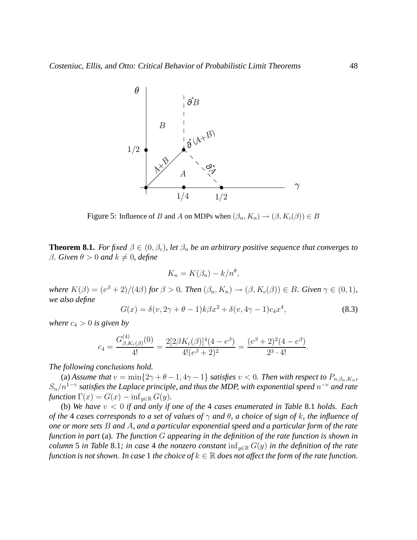

Figure 5: Influence of B and A on MDPs when  $(\beta_n, K_n) \to (\beta, K_c(\beta)) \in B$ 

**Theorem 8.1.** *For fixed*  $\beta \in (0, \beta_c)$ *, let*  $\beta_n$  *be an arbitrary positive sequence that converges to* β. Given  $\theta > 0$  and  $k \neq 0$ , define

$$
K_n = K(\beta_n) - k/n^{\theta},
$$

*where*  $K(\beta) = (e^{\beta} + 2)/(4\beta)$  *for*  $\beta > 0$ *. Then*  $(\beta_n, K_n) \rightarrow (\beta, K_c(\beta)) \in B$ *. Given*  $\gamma \in (0, 1)$ *, we also define*

$$
G(x) = \delta(v, 2\gamma + \theta - 1)k\beta x^{2} + \delta(v, 4\gamma - 1)c_{4}x^{4},
$$
\n(8.3)

*where*  $c_4 > 0$  *is given by* 

$$
c_4 = \frac{G_{\beta, K_c(\beta)}^{(4)}(0)}{4!} = \frac{2[2\beta K_c(\beta)]^4(4 - e^{\beta})}{4!(e^{\beta} + 2)^2} = \frac{(e^{\beta} + 2)^2(4 - e^{\beta})}{2^3 \cdot 4!}.
$$

*The following conclusions hold.*

(a) *Assume that*  $v = \min\{2\gamma + \theta - 1, 4\gamma - 1\}$  *satisfies*  $v < 0$ *. Then with respect to*  $P_{n,\beta_n,K_n}$ ,  $S_n/n^{1-\gamma}$  satisfies the Laplace principle, and thus the MDP, with exponential speed  $n^{-v}$  and rate *function*  $\Gamma(x) = G(x) - \inf_{y \in \mathbb{R}} G(y)$ .

(b) *We have* v < 0 *if and only if one of the* 4 *cases enumerated in Table* 8.1 *holds. Each of the* 4 *cases corresponds to a set of values of* γ *and* θ*, a choice of sign of* k*, the influence of one or more sets* B *and* A*, and a particular exponential speed and a particular form of the rate function in part* (a)*. The function* G *appearing in the definition of the rate function is shown in column* 5 *in Table* 8.1*; in case* 4 *the nonzero constant*  $\inf_{y \in \mathbb{R}} G(y)$  *in the definition of the rate function is not shown. In case* 1 *the choice of*  $k \in \mathbb{R}$  *does not affect the form of the rate function.*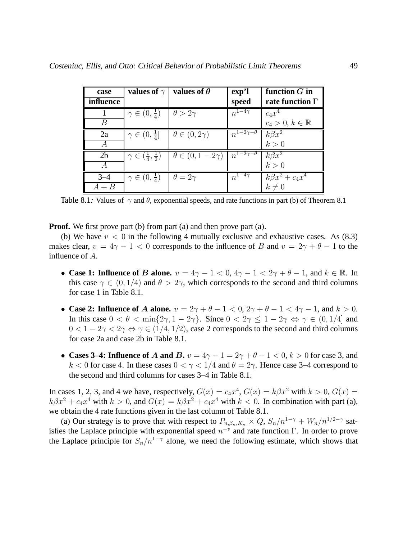| case           | values of $\gamma$                     | values of $\theta$          | exp <sup>2</sup>           | function $G$ in                  |
|----------------|----------------------------------------|-----------------------------|----------------------------|----------------------------------|
| influence      |                                        |                             | speed                      | rate function $\Gamma$           |
|                | $\gamma \in (0, \frac{1}{4})$          | $\theta > 2\gamma$          | $n^{1-4\gamma}$            | $c_4x^4$                         |
| B              |                                        |                             |                            | $c_4 > 0, k \in \mathbb{R}$      |
| 2a             | $\gamma \in (0, \frac{1}{4}]$          | $\theta \in (0, 2\gamma)$   | $n^{1-2\gamma-\theta}$     | $k\beta x^2$                     |
|                |                                        |                             |                            | k>0                              |
| 2 <sub>b</sub> | $\gamma \in (\frac{1}{4},\frac{1}{2})$ | $\theta \in (0, 1-2\gamma)$ | $n^{1-2\gamma-\theta}$     | $k\beta x^2$                     |
|                |                                        |                             |                            | k>0                              |
| $3 - 4$        | $\gamma \in (0, \frac{1}{4})$          | $\theta = 2\gamma$          | $n^{1-\overline{4}\gamma}$ | $\overline{k\beta x^2} + c_4x^4$ |
| $A + B$        |                                        |                             |                            | $k\neq 0$                        |

Table 8.1: Values of  $\gamma$  and  $\theta$ , exponential speeds, and rate functions in part (b) of Theorem 8.1

**Proof.** We first prove part (b) from part (a) and then prove part (a).

(b) We have  $v < 0$  in the following 4 mutually exclusive and exhaustive cases. As (8.3) makes clear,  $v = 4\gamma - 1 < 0$  corresponds to the influence of B and  $v = 2\gamma + \theta - 1$  to the influence of A.

- **Case 1: Influence of B alone.**  $v = 4\gamma 1 < 0$ ,  $4\gamma 1 < 2\gamma + \theta 1$ , and  $k \in \mathbb{R}$ . In this case  $\gamma \in (0, 1/4)$  and  $\theta > 2\gamma$ , which corresponds to the second and third columns for case 1 in Table 8.1.
- **Case 2: Influence of A alone.**  $v = 2\gamma + \theta 1 < 0$ ,  $2\gamma + \theta 1 < 4\gamma 1$ , and  $k > 0$ . In this case  $0 < \theta < \min\{2\gamma, 1 - 2\gamma\}$ . Since  $0 < 2\gamma \le 1 - 2\gamma \Leftrightarrow \gamma \in (0, 1/4]$  and  $0 < 1 - 2\gamma < 2\gamma \Leftrightarrow \gamma \in (1/4, 1/2)$ , case 2 corresponds to the second and third columns for case 2a and case 2b in Table 8.1.
- **Cases 3–4: Influence of A and B.**  $v = 4\gamma 1 = 2\gamma + \theta 1 < 0$ ,  $k > 0$  for case 3, and k < 0 for case 4. In these cases  $0 < \gamma < 1/4$  and  $\theta = 2\gamma$ . Hence case 3–4 correspond to the second and third columns for cases 3–4 in Table 8.1.

In cases 1, 2, 3, and 4 we have, respectively,  $G(x) = c_4x^4$ ,  $G(x) = k\beta x^2$  with  $k > 0$ ,  $G(x) =$  $k\beta x^2 + c_4x^4$  with  $k > 0$ , and  $G(x) = k\beta x^2 + c_4x^4$  with  $k < 0$ . In combination with part (a), we obtain the 4 rate functions given in the last column of Table 8.1.

(a) Our strategy is to prove that with respect to  $P_{n,\beta_n,K_n} \times Q$ ,  $S_n/n^{1-\gamma} + W_n/n^{1/2-\gamma}$  satisfies the Laplace principle with exponential speed  $n^{-v}$  and rate function  $\Gamma$ . In order to prove the Laplace principle for  $S_n/n^{1-\gamma}$  alone, we need the following estimate, which shows that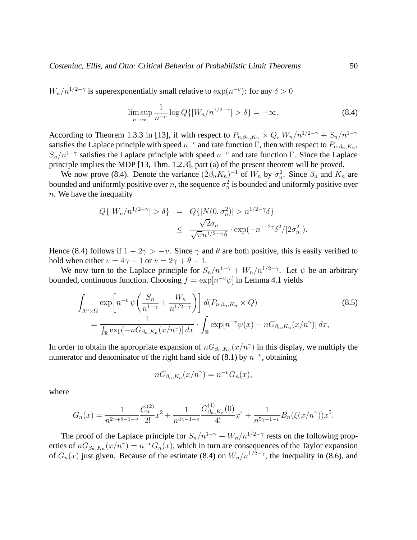$W_n/n^{1/2-\gamma}$  is superexponentially small relative to  $\exp(n^{-\nu})$ : for any  $\delta > 0$ 

$$
\limsup_{n \to \infty} \frac{1}{n^{-v}} \log Q\{|W_n/n^{1/2 - \gamma}| > \delta\} = -\infty. \tag{8.4}
$$

According to Theorem 1.3.3 in [13], if with respect to  $P_{n,\beta_n,K_n} \times Q$ ,  $W_n/n^{1/2-\gamma} + S_n/n^{1-\gamma}$ satisfies the Laplace principle with speed  $n^{-v}$  and rate function  $\Gamma$ , then with respect to  $P_{n,\beta_n,K_n}$ ,  $S_n/n^{1-\gamma}$  satisfies the Laplace principle with speed  $n^{-\nu}$  and rate function Γ. Since the Laplace principle implies the MDP [13, Thm. 1.2.3], part (a) of the present theorem will be proved.

We now prove (8.4). Denote the variance  $(2\beta_n K_n)^{-1}$  of  $W_n$  by  $\sigma_n^2$ . Since  $\beta_n$  and  $K_n$  are bounded and uniformly positive over n, the sequence  $\sigma_n^2$  is bounded and uniformly positive over  $n.$  We have the inequality

$$
Q\{|W_n/n^{1/2-\gamma}| > \delta\} = Q\{|N(0, \sigma_n^2)| > n^{1/2-\gamma}\delta\}
$$
  

$$
\leq \frac{\sqrt{2}\sigma_n}{\sqrt{\pi}n^{1/2-\gamma}\delta} \cdot \exp(-n^{1-2\gamma}\delta^2/[2\sigma_n^2]).
$$

Hence (8.4) follows if  $1 - 2\gamma > -v$ . Since  $\gamma$  and  $\theta$  are both positive, this is easily verified to hold when either  $v = 4\gamma - 1$  or  $v = 2\gamma + \theta - 1$ .

We now turn to the Laplace principle for  $S_n/n^{1-\gamma} + W_n/n^{1/2-\gamma}$ . Let  $\psi$  be an arbitrary bounded, continuous function. Choosing  $f = \exp[n^{-v}\psi]$  in Lemma 4.1 yields

$$
\int_{\Lambda^n \times \Omega} \exp\left[n^{-v} \psi\left(\frac{S_n}{n^{1-\gamma}} + \frac{W_n}{n^{1/2-\gamma}}\right)\right] d(P_{n,\beta_n,K_n} \times Q) \tag{8.5}
$$
\n
$$
= \frac{1}{\int_{\mathbb{R}} \exp[-nG_{\beta_n,K_n}(x/n^{\gamma})] dx} \cdot \int_{\mathbb{R}} \exp[n^{-v} \psi(x) - nG_{\beta_n,K_n}(x/n^{\gamma})] dx,
$$

In order to obtain the appropriate expansion of  $nG_{\beta_n,K_n}(x/n^{\gamma})$  in this display, we multiply the numerator and denominator of the right hand side of (8.1) by  $n^{-v}$ , obtaining

$$
nG_{\beta_n,K_n}(x/n^{\gamma}) = n^{-v}G_n(x),
$$

where

$$
G_n(x) = \frac{1}{n^{2\gamma + \theta - 1 - v}} \frac{C_n^{(2)}}{2!} x^2 + \frac{1}{n^{4\gamma - 1 - v}} \frac{G_{\beta_n, K_n}^{(4)}(0)}{4!} x^4 + \frac{1}{n^{5\gamma - 1 - v}} B_n(\xi(x/n^{\gamma})) x^5.
$$

The proof of the Laplace principle for  $S_n/n^{1-\gamma} + W_n/n^{1/2-\gamma}$  rests on the following properties of  $nG_{\beta_n,K_n}(x/n^{\gamma}) = n^{-\nu}G_n(x)$ , which in turn are consequences of the Taylor expansion of  $G_n(x)$  just given. Because of the estimate (8.4) on  $W_n/n^{1/2-\gamma}$ , the inequality in (8.6), and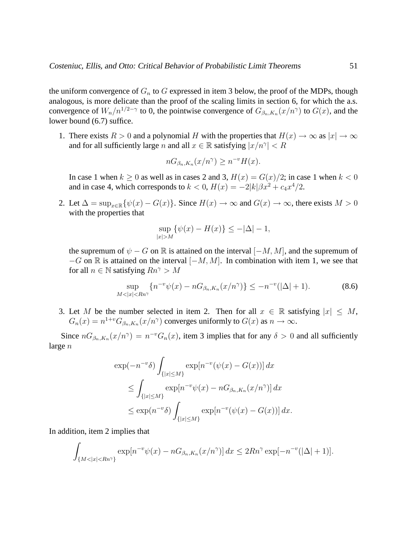the uniform convergence of  $G_n$  to G expressed in item 3 below, the proof of the MDPs, though analogous, is more delicate than the proof of the scaling limits in section 6, for which the a.s. convergence of  $W_n/n^{1/2-\gamma}$  to 0, the pointwise convergence of  $G_{\beta_n,K_n}(x/n^{\gamma})$  to  $G(x)$ , and the lower bound (6.7) suffice.

1. There exists  $R > 0$  and a polynomial H with the properties that  $H(x) \to \infty$  as  $|x| \to \infty$ and for all sufficiently large n and all  $x \in \mathbb{R}$  satisfying  $|x/n^{\gamma}| < R$ 

$$
nG_{\beta_n,K_n}(x/n^{\gamma}) \ge n^{-\nu}H(x).
$$

In case 1 when  $k \ge 0$  as well as in cases 2 and 3,  $H(x) = G(x)/2$ ; in case 1 when  $k < 0$ and in case 4, which corresponds to  $k < 0$ ,  $H(x) = -2|k|\beta x^2 + c_4x^4/2$ .

2. Let  $\Delta = \sup_{x \in \mathbb{R}} \{ \psi(x) - G(x) \}.$  Since  $H(x) \to \infty$  and  $G(x) \to \infty$ , there exists  $M > 0$ with the properties that

$$
\sup_{|x|>M} \{ \psi(x) - H(x) \} \le -|\Delta| - 1,
$$

the supremum of  $\psi - G$  on R is attained on the interval  $[-M, M]$ , and the supremum of  $-G$  on  $\mathbb R$  is attained on the interval  $[-M, M]$ . In combination with item 1, we see that for all  $n \in \mathbb{N}$  satisfying  $Rn^{\gamma} > M$ 

$$
\sup_{M < |x| < Rn^{\gamma}} \{ n^{-v} \psi(x) - nG_{\beta_n, K_n}(x/n^{\gamma}) \} \le -n^{-v} (|\Delta| + 1). \tag{8.6}
$$

3. Let M be the number selected in item 2. Then for all  $x \in \mathbb{R}$  satisfying  $|x| \leq M$ ,  $G_n(x) = n^{1+v} G_{\beta_n, K_n}(x/n^{\gamma})$  converges uniformly to  $G(x)$  as  $n \to \infty$ .

Since  $nG_{\beta_n,K_n}(x/n^{\gamma}) = n^{-\nu}G_n(x)$ , item 3 implies that for any  $\delta > 0$  and all sufficiently large n

$$
\exp(-n^{-v}\delta) \int_{\{|x| \le M\}} \exp[n^{-v}(\psi(x) - G(x))] dx
$$
  
\n
$$
\le \int_{\{|x| \le M\}} \exp[n^{-v}\psi(x) - nG_{\beta_n, K_n}(x/n^{\gamma})] dx
$$
  
\n
$$
\le \exp(n^{-v}\delta) \int_{\{|x| \le M\}} \exp[n^{-v}(\psi(x) - G(x))] dx.
$$

In addition, item 2 implies that

$$
\int_{\{M < |x| < Rn^{\gamma}\}} \exp[n^{-v}\psi(x) - nG_{\beta_n, K_n}(x/n^{\gamma})] \, dx \leq 2Rn^{\gamma} \exp[-n^{-v}(|\Delta|+1)].
$$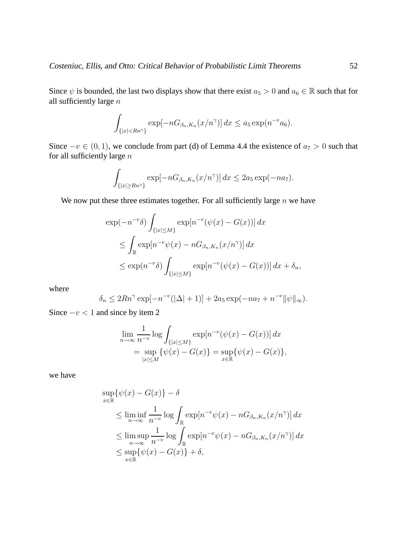Since  $\psi$  is bounded, the last two displays show that there exist  $a_5 > 0$  and  $a_6 \in \mathbb{R}$  such that for all sufficiently large  $\bar{n}$ 

$$
\int_{\{|x| < Rn^{\gamma}\}} \exp[-nG_{\beta_n, K_n}(x/n^{\gamma})] \, dx \le a_5 \exp(n^{-\nu}a_6).
$$

Since  $-v \in (0, 1)$ , we conclude from part (d) of Lemma 4.4 the existence of  $a_7 > 0$  such that for all sufficiently large  $n$ 

$$
\int_{\{|x| \ge Rn^{\gamma}\}} \exp[-nG_{\beta_n,K_n}(x/n^{\gamma})] dx \le 2a_5 \exp(-na_7).
$$

We now put these three estimates together. For all sufficiently large  $n$  we have

$$
\exp(-n^{-v}\delta) \int_{\{|x| \le M\}} \exp[n^{-v}(\psi(x) - G(x))] dx
$$
  
\n
$$
\le \int_{\mathbb{R}} \exp[n^{-v}\psi(x) - nG_{\beta_n, K_n}(x/n^{\gamma})] dx
$$
  
\n
$$
\le \exp(n^{-v}\delta) \int_{\{|x| \le M\}} \exp[n^{-v}(\psi(x) - G(x))] dx + \delta_n,
$$

where

$$
\delta_n \le 2Rn^{\gamma} \exp[-n^{-\nu}(|\Delta|+1)] + 2a_5 \exp(-na_7 + n^{-\nu} ||\psi||_{\infty}).
$$

Since  $-v < 1$  and since by item 2

$$
\lim_{n \to \infty} \frac{1}{n^{-v}} \log \int_{\{|x| \le M\}} \exp[n^{-v}(\psi(x) - G(x))] dx
$$
  
= 
$$
\sup_{|x| \le M} {\psi(x) - G(x)} = \sup_{x \in \mathbb{R}} {\psi(x) - G(x)},
$$

we have

$$
\sup_{x \in \mathbb{R}} \{\psi(x) - G(x)\} - \delta
$$
\n
$$
\leq \liminf_{n \to \infty} \frac{1}{n^{-v}} \log \int_{\mathbb{R}} \exp[n^{-v}\psi(x) - nG_{\beta_n, K_n}(x/n^{\gamma})] dx
$$
\n
$$
\leq \limsup_{n \to \infty} \frac{1}{n^{-v}} \log \int_{\mathbb{R}} \exp[n^{-v}\psi(x) - nG_{\beta_n, K_n}(x/n^{\gamma})] dx
$$
\n
$$
\leq \sup_{x \in \mathbb{R}} \{\psi(x) - G(x)\} + \delta,
$$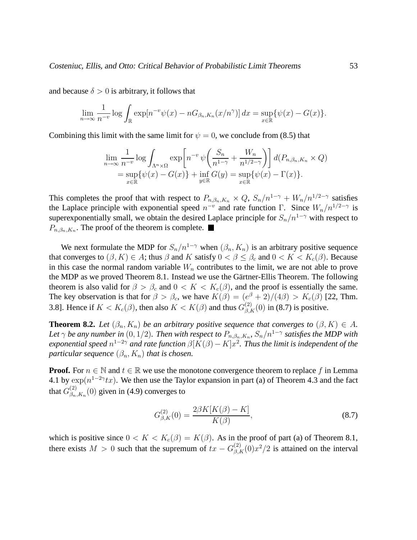and because  $\delta > 0$  is arbitrary, it follows that

$$
\lim_{n \to \infty} \frac{1}{n^{-v}} \log \int_{\mathbb{R}} \exp[n^{-v}\psi(x) - nG_{\beta_n, K_n}(x/n^{\gamma})] dx = \sup_{x \in \mathbb{R}} \{\psi(x) - G(x)\}.
$$

Combining this limit with the same limit for  $\psi = 0$ , we conclude from (8.5) that

$$
\lim_{n \to \infty} \frac{1}{n^{-v}} \log \int_{\Lambda^n \times \Omega} \exp \left[ n^{-v} \psi \left( \frac{S_n}{n^{1-\gamma}} + \frac{W_n}{n^{1/2-\gamma}} \right) \right] d(P_{n,\beta_n,K_n} \times Q)
$$
  
= 
$$
\sup_{x \in \mathbb{R}} \{ \psi(x) - G(x) \} + \inf_{y \in \mathbb{R}} G(y) = \sup_{x \in \mathbb{R}} \{ \psi(x) - \Gamma(x) \}.
$$

This completes the proof that with respect to  $P_{n,\beta_n,K_n} \times Q$ ,  $S_n/n^{1-\gamma} + W_n/n^{1/2-\gamma}$  satisfies the Laplace principle with exponential speed  $n^{-\nu}$  and rate function Γ. Since  $W_n/n^{1/2-\gamma}$  is superexponentially small, we obtain the desired Laplace principle for  $S_n/n^{1-\gamma}$  with respect to  $P_{n,\beta_n,K_n}$ . The proof of the theorem is complete.

We next formulate the MDP for  $S_n/n^{1-\gamma}$  when  $(\beta_n, K_n)$  is an arbitrary positive sequence that converges to  $(\beta, K) \in A$ ; thus  $\beta$  and K satisfy  $0 < \beta \leq \beta_c$  and  $0 < K < K_c(\beta)$ . Because in this case the normal random variable  $W_n$  contributes to the limit, we are not able to prove the MDP as we proved Theorem 8.1. Instead we use the Gärtner-Ellis Theorem. The following theorem is also valid for  $\beta > \beta_c$  and  $0 < K < K_c(\beta)$ , and the proof is essentially the same. The key observation is that for  $\beta > \beta_c$ , we have  $K(\beta) = (e^{\beta} + 2)/(4\beta) > K_c(\beta)$  [22, Thm. 3.8]. Hence if  $K < K_c(\beta)$ , then also  $K < K(\beta)$  and thus  $G_{\beta,K}^{(2)}(0)$  in (8.7) is positive.

**Theorem 8.2.** *Let*  $(\beta_n, K_n)$  *be an arbitrary positive sequence that converges to*  $(\beta, K) \in A$ *.* Let  $\gamma$  be any number in  $(0,1/2)$ . Then with respect to  $P_{n,\beta_n,K_n},$   $S_n/n^{1-\gamma}$  satisfies the MDP with *exponential speed*  $n^{1-2\gamma}$  *and rate function*  $\beta[K(\beta)-K]x^2$ . *Thus the limit is independent of the particular sequence*  $(\beta_n, K_n)$  *that is chosen.* 

**Proof.** For  $n \in \mathbb{N}$  and  $t \in \mathbb{R}$  we use the monotone convergence theorem to replace f in Lemma 4.1 by  $\exp(n^{1-2\gamma}tx)$ . We then use the Taylor expansion in part (a) of Theorem 4.3 and the fact that  $G_{\beta_n}^{(2)}$  $\binom{2}{\beta_n,K_n}(0)$  given in (4.9) converges to

$$
G_{\beta,K}^{(2)}(0) = \frac{2\beta K[K(\beta) - K]}{K(\beta)},
$$
\n(8.7)

which is positive since  $0 < K < K_c(\beta) = K(\beta)$ . As in the proof of part (a) of Theorem 8.1, there exists  $M > 0$  such that the supremum of  $tx - G_{\beta,K}^{(2)}(0)x^2/2$  is attained on the interval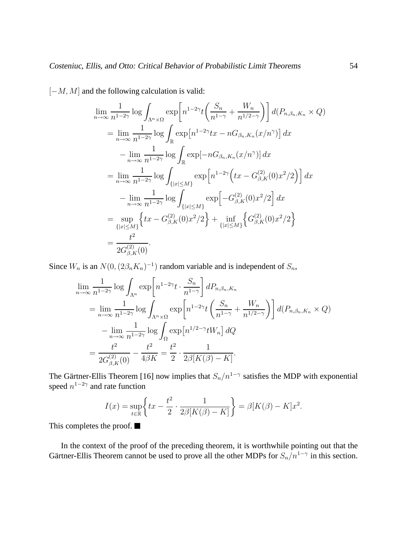[−M, M] and the following calculation is valid:

$$
\lim_{n \to \infty} \frac{1}{n^{1-2\gamma}} \log \int_{\Lambda^n \times \Omega} \exp \left[ n^{1-2\gamma} t \left( \frac{S_n}{n^{1-\gamma}} + \frac{W_n}{n^{1/2-\gamma}} \right) \right] d(P_{n,\beta_n,K_n} \times Q)
$$
\n
$$
= \lim_{n \to \infty} \frac{1}{n^{1-2\gamma}} \log \int_{\mathbb{R}} \exp \left[ n^{1-2\gamma} tx - nG_{\beta_n,K_n}(x/n^{\gamma}) \right] dx
$$
\n
$$
- \lim_{n \to \infty} \frac{1}{n^{1-2\gamma}} \log \int_{\mathbb{R}} \exp \left[ -nG_{\beta_n,K_n}(x/n^{\gamma}) \right] dx
$$
\n
$$
= \lim_{n \to \infty} \frac{1}{n^{1-2\gamma}} \log \int_{\{|x| \le M\}} \exp \left[ n^{1-2\gamma} \left( tx - G_{\beta,K}^{(2)}(0)x^2/2 \right) \right] dx
$$
\n
$$
- \lim_{n \to \infty} \frac{1}{n^{1-2\gamma}} \log \int_{\{|x| \le M\}} \exp \left[ -G_{\beta,K}^{(2)}(0)x^2/2 \right] dx
$$
\n
$$
= \sup_{\{|x| \le M\}} \left\{ tx - G_{\beta,K}^{(2)}(0)x^2/2 \right\} + \inf_{\{|x| \le M\}} \left\{ G_{\beta,K}^{(2)}(0)x^2/2 \right\}
$$
\n
$$
= \frac{t^2}{2G_{\beta,K}^{(2)}(0)}.
$$

Since  $W_n$  is an  $N(0, (2\beta_n K_n)^{-1})$  random variable and is independent of  $S_n$ ,

$$
\lim_{n \to \infty} \frac{1}{n^{1-2\gamma}} \log \int_{\Lambda^n} \exp\left[n^{1-2\gamma} t \cdot \frac{S_n}{n^{1-\gamma}}\right] dP_{n,\beta_n, K_n}
$$
\n
$$
= \lim_{n \to \infty} \frac{1}{n^{1-2\gamma}} \log \int_{\Lambda^n \times \Omega} \exp\left[n^{1-2\gamma} t \left(\frac{S_n}{n^{1-\gamma}} + \frac{W_n}{n^{1/2-\gamma}}\right)\right] d(P_{n,\beta_n, K_n} \times Q)
$$
\n
$$
- \lim_{n \to \infty} \frac{1}{n^{1-2\gamma}} \log \int_{\Omega} \exp\left[n^{1/2-\gamma} t W_n\right] dQ
$$
\n
$$
= \frac{t^2}{2G_{\beta,K}^{(2)}(0)} - \frac{t^2}{4\beta K} = \frac{t^2}{2} \cdot \frac{1}{2\beta[K(\beta) - K]}.
$$

The Gärtner-Ellis Theorem [16] now implies that  $S_n/n^{1-\gamma}$  satisfies the MDP with exponential speed  $n^{1-2\gamma}$  and rate function

$$
I(x) = \sup_{t \in \mathbb{R}} \left\{ tx - \frac{t^2}{2} \cdot \frac{1}{2\beta[K(\beta) - K]} \right\} = \beta[K(\beta) - K]x^2.
$$

This completes the proof.

In the context of the proof of the preceding theorem, it is worthwhile pointing out that the Gärtner-Ellis Theorem cannot be used to prove all the other MDPs for  $S_n/n^{1-\gamma}$  in this section.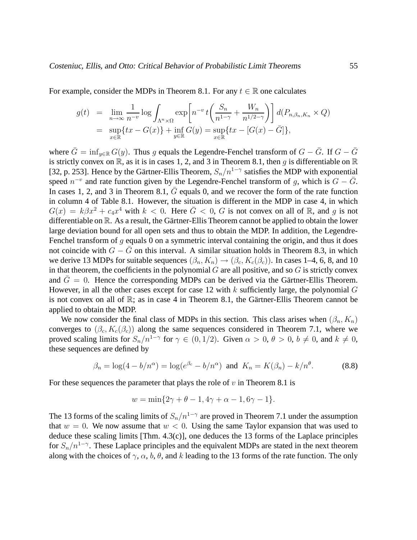For example, consider the MDPs in Theorem 8.1. For any  $t \in \mathbb{R}$  one calculates

$$
g(t) = \lim_{n \to \infty} \frac{1}{n^{-v}} \log \int_{\Lambda^n \times \Omega} \exp \left[ n^{-v} t \left( \frac{S_n}{n^{1-\gamma}} + \frac{W_n}{n^{1/2-\gamma}} \right) \right] d(P_{n,\beta_n,K_n} \times Q)
$$
  
= 
$$
\sup_{x \in \mathbb{R}} \{ tx - G(x) \} + \inf_{y \in \mathbb{R}} G(y) = \sup_{x \in \mathbb{R}} \{ tx - [G(x) - \bar{G}] \},
$$

where  $\bar{G} = \inf_{y \in \mathbb{R}} G(y)$ . Thus g equals the Legendre-Fenchel transform of  $G - \bar{G}$ . If  $G - \bar{G}$ is strictly convex on  $\mathbb{R}$ , as it is in cases 1, 2, and 3 in Theorem 8.1, then q is differentiable on  $\mathbb{R}$ [32, p. 253]. Hence by the Gärtner-Ellis Theorem,  $S_n/n^{1-\gamma}$  satisfies the MDP with exponential speed  $n^{-v}$  and rate function given by the Legendre-Fenchel transform of g, which is  $G - \bar{G}$ . In cases 1, 2, and 3 in Theorem 8.1,  $\bar{G}$  equals 0, and we recover the form of the rate function in column 4 of Table 8.1. However, the situation is different in the MDP in case 4, in which  $G(x) = k\beta x^2 + c_4x^4$  with  $k < 0$ . Here  $\overline{G} < 0$ , G is not convex on all of R, and g is not differentiable on  $\mathbb R$ . As a result, the Gärtner-Ellis Theorem cannot be applied to obtain the lower large deviation bound for all open sets and thus to obtain the MDP. In addition, the Legendre-Fenchel transform of  $q$  equals 0 on a symmetric interval containing the origin, and thus it does not coincide with  $G - \bar{G}$  on this interval. A similar situation holds in Theorem 8.3, in which we derive 13 MDPs for suitable sequences  $(\beta_n, K_n) \to (\beta_c, K_c(\beta_c))$ . In cases 1–4, 6, 8, and 10 in that theorem, the coefficients in the polynomial  $G$  are all positive, and so  $G$  is strictly convex and  $\bar{G} = 0$ . Hence the corresponding MDPs can be derived via the Gärtner-Ellis Theorem. However, in all the other cases except for case 12 with  $k$  sufficiently large, the polynomial  $G$ is not convex on all of  $\mathbb{R}$ ; as in case 4 in Theorem 8.1, the Gärtner-Ellis Theorem cannot be applied to obtain the MDP.

We now consider the final class of MDPs in this section. This class arises when  $(\beta_n, K_n)$ converges to  $(\beta_c, K_c(\beta_c))$  along the same sequences considered in Theorem 7.1, where we proved scaling limits for  $S_n/n^{1-\gamma}$  for  $\gamma \in (0, 1/2)$ . Given  $\alpha > 0$ ,  $\theta > 0$ ,  $b \neq 0$ , and  $k \neq 0$ , these sequences are defined by

$$
\beta_n = \log(4 - b/n^{\alpha}) = \log(e^{\beta_c} - b/n^{\alpha})
$$
 and  $K_n = K(\beta_n) - k/n^{\theta}$ . (8.8)

For these sequences the parameter that plays the role of  $v$  in Theorem 8.1 is

$$
w = \min\{2\gamma + \theta - 1, 4\gamma + \alpha - 1, 6\gamma - 1\}.
$$

The 13 forms of the scaling limits of  $S_n/n^{1-\gamma}$  are proved in Theorem 7.1 under the assumption that  $w = 0$ . We now assume that  $w < 0$ . Using the same Taylor expansion that was used to deduce these scaling limits  $[Thm. 4.3(c)]$ , one deduces the 13 forms of the Laplace principles for  $S_n/n^{1-\gamma}$ . These Laplace principles and the equivalent MDPs are stated in the next theorem along with the choices of  $\gamma$ ,  $\alpha$ ,  $b$ ,  $\theta$ , and k leading to the 13 forms of the rate function. The only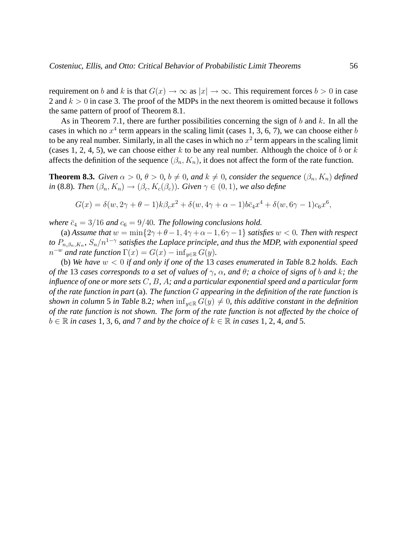requirement on b and k is that  $G(x) \to \infty$  as  $|x| \to \infty$ . This requirement forces  $b > 0$  in case 2 and  $k > 0$  in case 3. The proof of the MDPs in the next theorem is omitted because it follows the same pattern of proof of Theorem 8.1.

As in Theorem 7.1, there are further possibilities concerning the sign of b and k. In all the cases in which no  $x^4$  term appears in the scaling limit (cases 1, 3, 6, 7), we can choose either b to be any real number. Similarly, in all the cases in which no  $x^2$  term appears in the scaling limit (cases 1, 2, 4, 5), we can choose either k to be any real number. Although the choice of b or k affects the definition of the sequence  $(\beta_n, K_n)$ , it does not affect the form of the rate function.

**Theorem 8.3.** *Given*  $\alpha > 0$ ,  $\theta > 0$ ,  $b \neq 0$ , and  $k \neq 0$ , consider the sequence  $(\beta_n, K_n)$  *defined in* (8.8)*. Then*  $(\beta_n, K_n) \to (\beta_c, K_c(\beta_c))$ *. Given*  $\gamma \in (0, 1)$ *, we also define* 

$$
G(x) = \delta(w, 2\gamma + \theta - 1)k\beta_c x^2 + \delta(w, 4\gamma + \alpha - 1)b\bar{c}_4 x^4 + \delta(w, 6\gamma - 1)c_6 x^6,
$$

*where*  $\bar{c}_4 = 3/16$  *and*  $c_6 = 9/40$ *. The following conclusions hold.* 

(a) *Assume that*  $w = \min\{2\gamma + \theta - 1, 4\gamma + \alpha - 1, 6\gamma - 1\}$  *satisfies*  $w < 0$ *. Then with respect to*  $P_{n,\beta_n,K_n}$ ,  $S_n/n^{1-\gamma}$  satisfies the Laplace principle, and thus the MDP, with exponential speed  $n^{-w}$  *and rate function*  $\Gamma(x) = G(x) - \inf_{y \in \mathbb{R}} G(y)$ *.* 

(b) *We have* w < 0 *if and only if one of the* 13 *cases enumerated in Table* 8.2 *holds. Each of the* 13 *cases corresponds to a set of values of* γ*,* α*, and* θ*; a choice of signs of* b *and* k*; the influence of one or more sets* C*,* B*,* A*; and a particular exponential speed and a particular form of the rate function in part* (a)*. The function* G *appearing in the definition of the rate function is shown in column* 5 *in Table* 8.2; when  $\inf_{y \in \mathbb{R}} G(y) \neq 0$ , this additive constant in the definition *of the rate function is not shown. The form of the rate function is not affected by the choice of*  $b \in \mathbb{R}$  *in cases* 1, 3, 6, and 7 and by the choice of  $k \in \mathbb{R}$  *in cases* 1, 2, 4, and 5.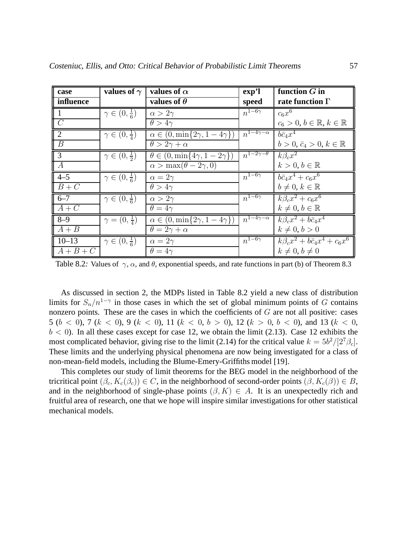| case                     | values of $\gamma$            | values of $\alpha$                           | exp <sup>2</sup>                  | function $G$ in                               |
|--------------------------|-------------------------------|----------------------------------------------|-----------------------------------|-----------------------------------------------|
| influence                |                               | values of $\theta$                           | speed                             | rate function $\Gamma$                        |
| $\parallel$ 1            | $\gamma \in (0, \frac{1}{6})$ | $\alpha > 2\gamma$                           | $n^{1-6\gamma}$                   | $c_6x^6$                                      |
| $\overline{\mathcal{C}}$ |                               | $\theta > 4\gamma$                           |                                   | $c_6 > 0, b \in \mathbb{R}, k \in \mathbb{R}$ |
| $\sqrt{2}$               | $\gamma \in (0, \frac{1}{4})$ | $\alpha \in (0, \min\{2\gamma, 1-4\gamma\})$ | $\overline{n^{1-4\gamma-\alpha}}$ | $b\bar{c}_4x^4$                               |
| $\overline{B}$           |                               | $\theta > 2\gamma + \alpha$                  |                                   | $b > 0, \bar{c}_4 > 0, k \in \mathbb{R}$      |
| $\sqrt{3}$               | $\gamma \in (0, \frac{1}{2})$ | $\theta \in (0, \min\{4\gamma, 1-2\gamma\})$ | $n^{1-2\gamma-\theta}$            | $k\beta_c x^2$                                |
| $\overline{A}$           |                               | $\alpha > \max(\theta - 2\gamma, 0)$         |                                   | $k > 0, b \in \mathbb{R}$                     |
| $4 - 5$                  | $\gamma \in (0, \frac{1}{6})$ | $\alpha = 2\gamma$                           | $n^{1-6\gamma}$                   | $b\bar{c}_4x^4+c_6x^6$                        |
| $B + C$                  |                               | $\theta > 4\gamma$                           |                                   | $b \neq 0, k \in \mathbb{R}$                  |
| $6 - 7$                  | $\gamma \in (0, \frac{1}{6})$ | $\alpha > 2\gamma$                           | $n^{1-6\gamma}$                   | $k\beta_c x^2+c_6x^6$                         |
| $A+C$                    |                               | $\theta = 4\gamma$                           |                                   | $k \neq 0, b \in \mathbb{R}$                  |
| $8 - 9$                  | $\gamma=(0,\frac{1}{4})$      | $\alpha \in (0, \min\{2\gamma, 1-4\gamma\})$ | $n^{1-4\gamma-\alpha}$            | $k\beta_c x^2 + b\bar{c}_4 x^4$               |
| $A + B$                  |                               | $\theta = 2\gamma + \alpha$                  |                                   | $k\neq 0, b>0$                                |
| $10 - 13$                | $\gamma \in (0, \frac{1}{6})$ | $\alpha = 2\gamma$                           | $n^{1-6\gamma}$                   | $k\beta_c x^2 + b\bar{c}_4 x^4 + c_6 x^6$     |
| $A+B+C$                  |                               | $\theta = 4\gamma$                           |                                   | $k \neq 0, b \neq 0$                          |

Table 8.2: Values of  $\gamma$ ,  $\alpha$ , and  $\theta$ , exponential speeds, and rate functions in part (b) of Theorem 8.3

As discussed in section 2, the MDPs listed in Table 8.2 yield a new class of distribution limits for  $S_n/n^{1-\gamma}$  in those cases in which the set of global minimum points of G contains nonzero points. These are the cases in which the coefficients of  $G$  are not all positive: cases 5 ( $b < 0$ ), 7 ( $k < 0$ ), 9 ( $k < 0$ ), 11 ( $k < 0$ ,  $b > 0$ ), 12 ( $k > 0$ ,  $b < 0$ ), and 13 ( $k < 0$ ,  $b < 0$ ). In all these cases except for case 12, we obtain the limit (2.13). Case 12 exhibits the most complicated behavior, giving rise to the limit (2.14) for the critical value  $k = 5b^2/[2^7 \beta_c]$ . These limits and the underlying physical phenomena are now being investigated for a class of non-mean-field models, including the Blume-Emery-Griffiths model [19].

This completes our study of limit theorems for the BEG model in the neighborhood of the tricritical point  $(\beta_c, K_c(\beta_c)) \in C$ , in the neighborhood of second-order points  $(\beta, K_c(\beta)) \in B$ , and in the neighborhood of single-phase points  $(\beta, K) \in A$ . It is an unexpectedly rich and fruitful area of research, one that we hope will inspire similar investigations for other statistical mechanical models.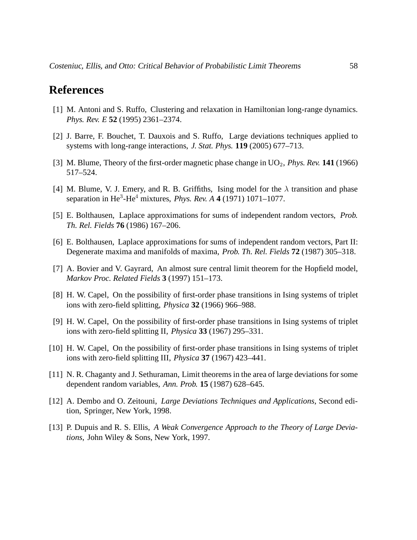#### **References**

- [1] M. Antoni and S. Ruffo, Clustering and relaxation in Hamiltonian long-range dynamics. *Phys. Rev. E* **52** (1995) 2361–2374.
- [2] J. Barre, F. Bouchet, T. Dauxois and S. Ruffo, Large deviations techniques applied to systems with long-range interactions, *J. Stat. Phys.* **119** (2005) 677–713.
- [3] M. Blume, Theory of the first-order magnetic phase change in UO<sub>2</sub>, *Phys. Rev.* **141** (1966) 517–524.
- [4] M. Blume, V. J. Emery, and R. B. Griffiths, Ising model for the  $\lambda$  transition and phase separation in He<sup>3</sup> -He<sup>4</sup> mixtures, *Phys. Rev. A* **4** (1971) 1071–1077.
- [5] E. Bolthausen, Laplace approximations for sums of independent random vectors, *Prob. Th. Rel. Fields* **76** (1986) 167–206.
- [6] E. Bolthausen, Laplace approximations for sums of independent random vectors, Part II: Degenerate maxima and manifolds of maxima, *Prob. Th. Rel. Fields* **72** (1987) 305–318.
- [7] A. Bovier and V. Gayrard, An almost sure central limit theorem for the Hopfield model, *Markov Proc. Related Fields* **3** (1997) 151–173.
- [8] H. W. Capel, On the possibility of first-order phase transitions in Ising systems of triplet ions with zero-field splitting, *Physica* **32** (1966) 966–988.
- [9] H. W. Capel, On the possibility of first-order phase transitions in Ising systems of triplet ions with zero-field splitting II, *Physica* **33** (1967) 295–331.
- [10] H. W. Capel, On the possibility of first-order phase transitions in Ising systems of triplet ions with zero-field splitting III, *Physica* **37** (1967) 423–441.
- [11] N. R. Chaganty and J. Sethuraman, Limit theorems in the area of large deviations for some dependent random variables, *Ann. Prob.* **15** (1987) 628–645.
- [12] A. Dembo and O. Zeitouni, *Large Deviations Techniques and Applications*, Second edition, Springer, New York, 1998.
- [13] P. Dupuis and R. S. Ellis, A Weak Convergence Approach to the Theory of Large Devia*tions*, John Wiley & Sons, New York, 1997.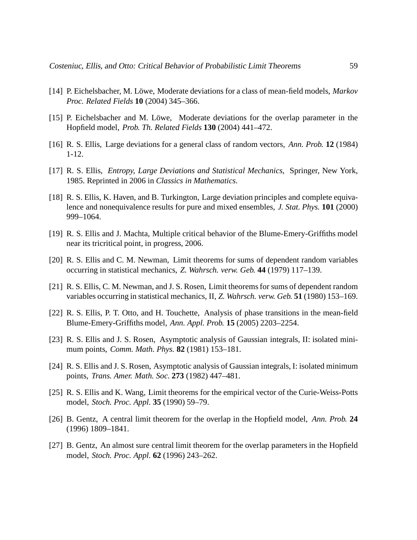- [14] P. Eichelsbacher, M. Löwe, Moderate deviations for a class of mean-field models, *Markov Proc. Related Fields* **10** (2004) 345–366.
- [15] P. Eichelsbacher and M. Löwe, Moderate deviations for the overlap parameter in the Hopfield model, *Prob. Th. Related Fields* **130** (2004) 441–472.
- [16] R. S. Ellis, Large deviations for a general class of random vectors, *Ann. Prob.* **12** (1984) 1-12.
- [17] R. S. Ellis, *Entropy, Large Deviations and Statistical Mechanics*, Springer, New York, 1985. Reprinted in 2006 in *Classics in Mathematics*.
- [18] R. S. Ellis, K. Haven, and B. Turkington, Large deviation principles and complete equivalence and nonequivalence results for pure and mixed ensembles, *J. Stat. Phys.* **101** (2000) 999–1064.
- [19] R. S. Ellis and J. Machta, Multiple critical behavior of the Blume-Emery-Griffiths model near its tricritical point, in progress, 2006.
- [20] R. S. Ellis and C. M. Newman, Limit theorems for sums of dependent random variables occurring in statistical mechanics, *Z. Wahrsch. verw. Geb.* **44** (1979) 117–139.
- [21] R. S. Ellis, C. M. Newman, and J. S. Rosen, Limit theorems for sums of dependent random variables occurring in statistical mechanics, II, *Z. Wahrsch. verw. Geb.* **51** (1980) 153–169.
- [22] R. S. Ellis, P. T. Otto, and H. Touchette, Analysis of phase transitions in the mean-field Blume-Emery-Griffiths model, *Ann. Appl. Prob.* **15** (2005) 2203–2254.
- [23] R. S. Ellis and J. S. Rosen, Asymptotic analysis of Gaussian integrals, II: isolated minimum points, *Comm. Math. Phys.* **82** (1981) 153–181.
- [24] R. S. Ellis and J. S. Rosen, Asymptotic analysis of Gaussian integrals, I: isolated minimum points, *Trans. Amer. Math. Soc.* **273** (1982) 447–481.
- [25] R. S. Ellis and K. Wang, Limit theorems for the empirical vector of the Curie-Weiss-Potts model, *Stoch. Proc. Appl.* **35** (1990) 59–79.
- [26] B. Gentz, A central limit theorem for the overlap in the Hopfield model, *Ann. Prob.* **24** (1996) 1809–1841.
- [27] B. Gentz, An almost sure central limit theorem for the overlap parameters in the Hopfield model, *Stoch. Proc. Appl.* **62** (1996) 243–262.